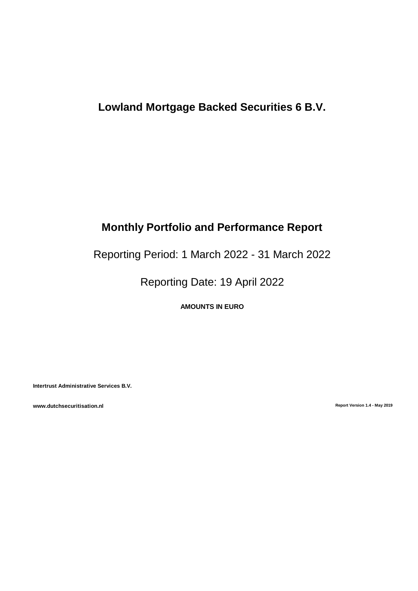# **Lowland Mortgage Backed Securities 6 B.V.**

# **Monthly Portfolio and Performance Report**

Reporting Period: 1 March 2022 - 31 March 2022

Reporting Date: 19 April 2022

**AMOUNTS IN EURO**

**Intertrust Administrative Services B.V.**

**www.dutchsecuritisation.nl Report Version 1.4 - May 2019**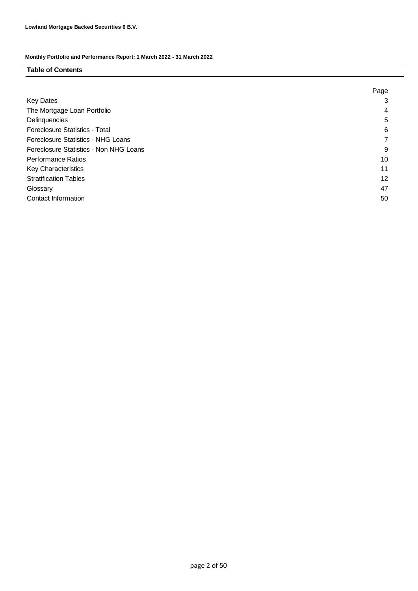### **Table of Contents**

|                                           | Page |
|-------------------------------------------|------|
| <b>Key Dates</b>                          | 3    |
| The Mortgage Loan Portfolio               | 4    |
| Delinquencies                             | 5    |
| <b>Foreclosure Statistics - Total</b>     | 6    |
| <b>Foreclosure Statistics - NHG Loans</b> |      |
| Foreclosure Statistics - Non NHG Loans    | 9    |
| <b>Performance Ratios</b>                 | 10   |
| <b>Key Characteristics</b>                | 11   |
| <b>Stratification Tables</b>              | 12   |
| Glossary                                  | 47   |
| Contact Information                       | 50   |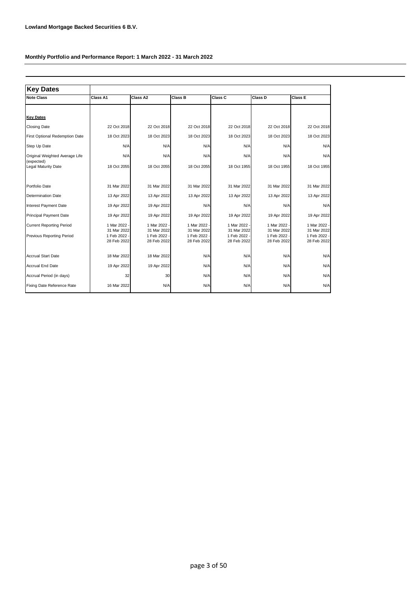| <b>Key Dates</b>                             |                           |                             |                             |                             |                           |                           |
|----------------------------------------------|---------------------------|-----------------------------|-----------------------------|-----------------------------|---------------------------|---------------------------|
| <b>Note Class</b>                            | Class A1                  | Class A2                    | Class B                     | Class C                     | Class D                   | Class E                   |
| <b>Key Dates</b>                             |                           |                             |                             |                             |                           |                           |
|                                              |                           |                             |                             |                             |                           |                           |
| <b>Closing Date</b>                          | 22 Oct 2018               | 22 Oct 2018                 | 22 Oct 2018                 | 22 Oct 2018                 | 22 Oct 2018               | 22 Oct 2018               |
| First Optional Redemption Date               | 18 Oct 2023               | 18 Oct 2023                 | 18 Oct 2023                 | 18 Oct 2023                 | 18 Oct 2023               | 18 Oct 2023               |
| Step Up Date                                 | N/A                       | N/A                         | N/A                         | N/A                         | N/A                       | N/A                       |
| Original Weighted Average Life<br>(expected) | N/A                       | N/A                         | N/A                         | N/A                         | N/A                       | N/A                       |
| Legal Maturity Date                          | 18 Oct 2055               | 18 Oct 2055                 | 18 Oct 2055                 | 18 Oct 1955                 | 18 Oct 1955               | 18 Oct 1955               |
| Portfolio Date                               | 31 Mar 2022               | 31 Mar 2022                 | 31 Mar 2022                 | 31 Mar 2022                 | 31 Mar 2022               | 31 Mar 2022               |
| Determination Date                           | 13 Apr 2022               | 13 Apr 2022                 | 13 Apr 2022                 | 13 Apr 2022                 | 13 Apr 2022               | 13 Apr 2022               |
| Interest Payment Date                        | 19 Apr 2022               | 19 Apr 2022                 | N/A                         | N/A                         | N/A                       | N/A                       |
| <b>Principal Payment Date</b>                | 19 Apr 2022               | 19 Apr 2022                 | 19 Apr 2022                 | 19 Apr 2022                 | 19 Apr 2022               | 19 Apr 2022               |
| <b>Current Reporting Period</b>              | 1 Mar 2022<br>31 Mar 2022 | 1 Mar 2022 -<br>31 Mar 2022 | 1 Mar 2022 -<br>31 Mar 2022 | 1 Mar 2022 -<br>31 Mar 2022 | 1 Mar 2022<br>31 Mar 2022 | 1 Mar 2022<br>31 Mar 2022 |
| Previous Reporting Period                    | 1 Feb 2022<br>28 Feb 2022 | 1 Feb 2022 -<br>28 Feb 2022 | 1 Feb 2022 -<br>28 Feb 2022 | 1 Feb 2022 -<br>28 Feb 2022 | 1 Feb 2022<br>28 Feb 2022 | 1 Feb 2022<br>28 Feb 2022 |
| <b>Accrual Start Date</b>                    | 18 Mar 2022               | 18 Mar 2022                 | N/A                         | N/A                         | N/A                       | N/A                       |
| <b>Accrual End Date</b>                      | 19 Apr 2022               | 19 Apr 2022                 | N/A                         | N/A                         | N/A                       | N/A                       |
| Accrual Period (in days)                     | 32                        | 30                          | N/A                         | N/A                         | N/A                       | N/A                       |
| Fixing Date Reference Rate                   | 16 Mar 2022               | N/A                         | N/A                         | N/A                         | N/A                       | N/A                       |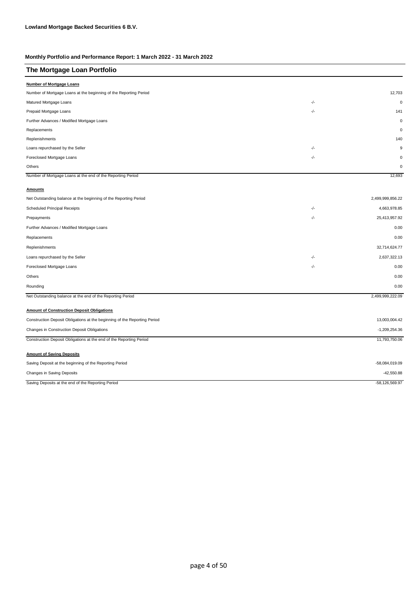| The Mortgage Loan Portfolio                                               |       |                  |
|---------------------------------------------------------------------------|-------|------------------|
| <b>Number of Mortgage Loans</b>                                           |       |                  |
| Number of Mortgage Loans at the beginning of the Reporting Period         |       | 12,703           |
| Matured Mortgage Loans                                                    | -/-   | $\mathbf 0$      |
| Prepaid Mortgage Loans                                                    | -/-   | 141              |
| Further Advances / Modified Mortgage Loans                                |       | $\mathbf 0$      |
| Replacements                                                              |       | $\mathbf 0$      |
| Replenishments                                                            |       | 140              |
| Loans repurchased by the Seller                                           | $-/-$ | 9                |
| Foreclosed Mortgage Loans                                                 | $-/-$ | $\mathbf 0$      |
| Others                                                                    |       | $\mathbf 0$      |
| Number of Mortgage Loans at the end of the Reporting Period               |       | 12,693           |
| <b>Amounts</b>                                                            |       |                  |
| Net Outstanding balance at the beginning of the Reporting Period          |       | 2,499,999,856.22 |
| Scheduled Principal Receipts                                              | -/-   | 4,663,978.85     |
| Prepayments                                                               | -/-   | 25,413,957.92    |
| Further Advances / Modified Mortgage Loans                                |       | 0.00             |
| Replacements                                                              |       | 0.00             |
| Replenishments                                                            |       | 32,714,624.77    |
| Loans repurchased by the Seller                                           | -/-   | 2,637,322.13     |
| Foreclosed Mortgage Loans                                                 | -/-   | 0.00             |
| Others                                                                    |       | 0.00             |
| Rounding                                                                  |       | 0.00             |
| Net Outstanding balance at the end of the Reporting Period                |       | 2,499,999,222.09 |
| <b>Amount of Construction Deposit Obligations</b>                         |       |                  |
| Construction Deposit Obligations at the beginning of the Reporting Period |       | 13,003,004.42    |
| Changes in Construction Deposit Obligations                               |       | $-1,209,254.36$  |
| Construction Deposit Obligations at the end of the Reporting Period       |       | 11,793,750.06    |
|                                                                           |       |                  |
| <b>Amount of Saving Deposits</b>                                          |       |                  |
| Saving Deposit at the beginning of the Reporting Period                   |       | -58,084,019.09   |
| Changes in Saving Deposits                                                |       | $-42,550.88$     |
| Saving Deposits at the end of the Reporting Period                        |       | $-58,126,569.97$ |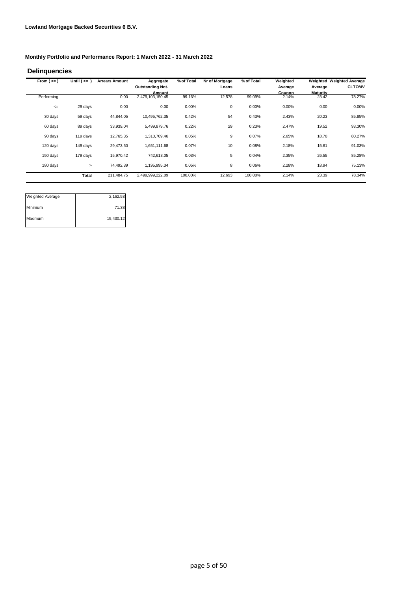| From $(>=)$ | Until $(<= )$ | <b>Arrears Amount</b> | Aggregate                  | % of Total | Nr of Mortgage | % of Total | Weighted        |                   | Weighted Weighted Average |
|-------------|---------------|-----------------------|----------------------------|------------|----------------|------------|-----------------|-------------------|---------------------------|
|             |               |                       | <b>Outstanding Not.</b>    |            | Loans          |            | Average         | Average           | <b>CLTOMV</b>             |
| Performing  |               | 0.00                  | Amount<br>2,479,103,150.45 | 99.16%     | 12,578         | 99.09%     | Coupon<br>2.14% | Maturity<br>23.42 | 78.27%                    |
| $\leq$      | 29 days       | 0.00                  | 0.00                       | 0.00%      | 0              | 0.00%      | 0.00%           | 0.00              | 0.00%                     |
| 30 days     | 59 days       | 44,844.05             | 10,495,762.35              | 0.42%      | 54             | 0.43%      | 2.43%           | 20.23             | 85.85%                    |
| 60 days     | 89 days       | 33,939.04             | 5,499,879.76               | 0.22%      | 29             | 0.23%      | 2.47%           | 19.52             | 93.30%                    |
| 90 days     | 119 days      | 12,765.35             | 1,310,709.46               | 0.05%      | 9              | 0.07%      | 2.65%           | 18.70             | 80.27%                    |
| 120 days    | 149 days      | 29,473.50             | 1,651,111.68               | 0.07%      | 10             | 0.08%      | 2.18%           | 15.61             | 91.03%                    |
| 150 days    | 179 days      | 15,970.42             | 742.613.05                 | 0.03%      | 5              | 0.04%      | 2.35%           | 26.55             | 85.28%                    |
| 180 days    | $\geq$        | 74,492.39             | 1,195,995.34               | 0.05%      | 8              | 0.06%      | 2.28%           | 18.94             | 75.13%                    |
|             | Total         | 211,484.75            | 2,499,999,222.09           | 100.00%    | 12,693         | 100.00%    | 2.14%           | 23.39             | 78.34%                    |

| <b>Weighted Average</b> | 2,162.53  |
|-------------------------|-----------|
| Minimum                 | 71.38     |
| Maximum                 | 15,430.12 |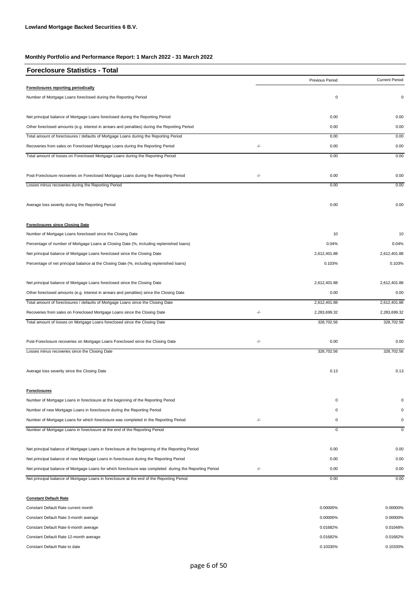| <b>Foreclosure Statistics - Total</b>                                                                   |     |                 |                       |
|---------------------------------------------------------------------------------------------------------|-----|-----------------|-----------------------|
|                                                                                                         |     | Previous Period | <b>Current Period</b> |
| Foreclosures reporting periodically                                                                     |     |                 |                       |
| Number of Mortgage Loans foreclosed during the Reporting Period                                         |     | 0               | 0                     |
| Net principal balance of Mortgage Loans foreclosed during the Reporting Period                          |     | 0.00            | 0.00                  |
| Other foreclosed amounts (e.g. interest in arrears and penalties) during the Reporting Period           |     | 0.00            | 0.00                  |
| Total amount of foreclosures / defaults of Mortgage Loans during the Reporting Period                   |     | 0.00            | 0.00                  |
| Recoveries from sales on Foreclosed Mortgage Loans during the Reporting Period                          | -/- | 0.00            | 0.00                  |
| Total amount of losses on Foreclosed Mortgage Loans during the Reporting Period                         |     | 0.00            | 0.00                  |
| Post-Foreclosure recoveries on Foreclosed Mortgage Loans during the Reporting Period                    | -/- | 0.00            | 0.00                  |
| Losses minus recoveries during the Reporting Period                                                     |     | 0.00            | 0.00                  |
| Average loss severity during the Reporting Period                                                       |     | 0.00            | 0.00                  |
| <b>Foreclosures since Closing Date</b>                                                                  |     |                 |                       |
| Number of Mortgage Loans foreclosed since the Closing Date                                              |     | 10              | 10                    |
| Percentage of number of Mortgage Loans at Closing Date (%, including replenished loans)                 |     | 0.04%           | 0.04%                 |
| Net principal balance of Mortgage Loans foreclosed since the Closing Date                               |     | 2,612,401.88    | 2,612,401.88          |
| Percentage of net principal balance at the Closing Date (%, including replenished loans)                |     | 0.103%          | 0.103%                |
| Net principal balance of Mortgage Loans foreclosed since the Closing Date                               |     | 2,612,401.88    | 2,612,401.88          |
| Other foreclosed amounts (e.g. interest in arrears and penalties) since the Closing Date                |     | 0.00            | 0.00                  |
| Total amount of foreclosures / defaults of Mortgage Loans since the Closing Date                        |     | 2,612,401.88    | 2,612,401.88          |
| Recoveries from sales on Foreclosed Mortgage Loans since the Closing Date                               | -/- | 2,283,699.32    | 2,283,699.32          |
| Total amount of losses on Mortgage Loans foreclosed since the Closing Date                              |     | 328,702.56      | 328,702.56            |
| Post-Foreclosure recoveries on Mortgage Loans Foreclosed since the Closing Date                         | -/- | 0.00            | 0.00                  |
| Losses minus recoveries since the Closing Date                                                          |     | 328,702.56      | 328,702.56            |
| Average loss severity since the Closing Date                                                            |     | 0.13            | 0.13                  |
| <b>Foreclosures</b>                                                                                     |     |                 |                       |
| Number of Mortgage Loans in foreclosure at the beginning of the Reporting Period                        |     | $\mathbf 0$     | 0                     |
| Number of new Mortgage Loans in foreclosure during the Reporting Period                                 |     | 0               | 0                     |
| Number of Mortgage Loans for which foreclosure was completed in the Reporting Period                    | -/- | $\mathbf 0$     | 0                     |
| Number of Mortgage Loans in foreclosure at the end of the Reporting Period                              |     | $\overline{0}$  | $\mathbf 0$           |
| Net principal balance of Mortgage Loans in foreclosure at the beginning of the Reporting Period         |     | 0.00            | 0.00                  |
| Net principal balance of new Mortgage Loans in foreclosure during the Reporting Period                  |     | 0.00            | 0.00                  |
|                                                                                                         |     |                 |                       |
| Net principal balance of Mortgage Loans for which foreclosure was completed during the Reporting Period | -/- | 0.00            | 0.00                  |

**Constant Default Rate** Constant Default Rate current month 0.00000% Constant Default Rate 3-month average 0.00000% 0.00000% 0.00000% 0.00000% 0.00000% 0.00000% 0.00000% 0.00000% 0.00000% 0.00000% 0.00000% 0.00000% 0.00000% 0.00000% 0.00000% 0.00000% 0.00000% 0.00000% 0.00000% 0.00000% 0.00 Constant Default Rate 6-month average 0.01048% Constant Default Rate 12-month average 0.01682% 0.01682% Constant Default Rate to date 0.10330% 0.10330% 0.10330% 0.10330% 0.10330% 0.10330% 0.10330% 0.10330% 0.10330% 0.10330% 0.10330% 0.10330% 0.10330% 0.10330% 0.10330% 0.10330% 0.10330% 0.10330% 0.10330% 0.10330% 0.10330% 0.1 0.10330% 0.00000% 0.01682% 0.01682% 0.00000%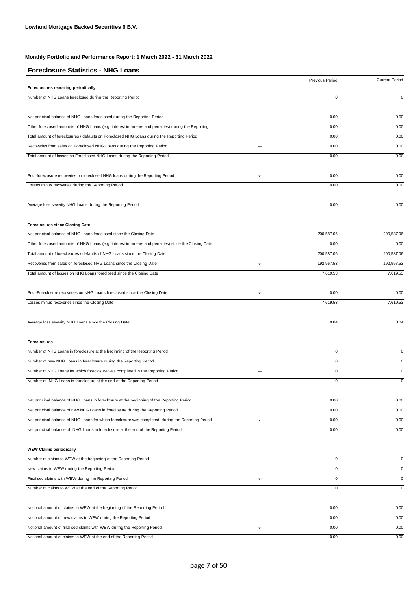| <b>Foreclosure Statistics - NHG Loans</b>                                                             |     |                 |                       |
|-------------------------------------------------------------------------------------------------------|-----|-----------------|-----------------------|
|                                                                                                       |     | Previous Period | <b>Current Period</b> |
| Foreclosures reporting periodically                                                                   |     |                 |                       |
| Number of NHG Loans foreclosed during the Reporting Period                                            |     | $\pmb{0}$       | $\pmb{0}$             |
| Net principal balance of NHG Loans foreclosed during the Reporting Period                             |     | 0.00            | 0.00                  |
| Other foreclosed amounts of NHG Loans (e.g. interest in arrears and penalties) during the Reporting   |     | 0.00            | 0.00                  |
| Total amount of foreclosures / defaults on Foreclosed NHG Loans during the Reporting Period           |     | 0.00            | 0.00                  |
| Recoveries from sales on Foreclosed NHG Loans during the Reporting Period                             | -/- | 0.00            | 0.00                  |
| Total amount of losses on Foreclosed NHG Loans during the Reporting Period                            |     | 0.00            | 0.00                  |
| Post-foreclosure recoveries on foreclosed NHG loans during the Reporting Period                       | -/- | 0.00            | 0.00                  |
| Losses minus recoveries during the Reporting Period                                                   |     | 0.00            | 0.00                  |
| Average loss severity NHG Loans during the Reporting Period                                           |     | 0.00            | 0.00                  |
| <b>Foreclosures since Closing Date</b>                                                                |     |                 |                       |
| Net principal balance of NHG Loans foreclosed since the Closing Date                                  |     | 200,587.06      | 200,587.06            |
| Other foreclosed amounts of NHG Loans (e.g. interest in arrears and penalties) since the Closing Date |     | 0.00            | 0.00                  |
| Total amount of foreclosures / defaults of NHG Loans since the Closing Date                           |     | 200,587.06      | 200,587.06            |
| Recoveries from sales on foreclosed NHG Loans since the Closing Date                                  | -/- | 192,967.53      | 192,967.53            |
| Total amount of losses on NHG Loans foreclosed since the Closing Date                                 |     | 7,619.53        | 7,619.53              |
| Post-Foreclosure recoveries on NHG Loans foreclosed since the Closing Date                            | -/- | 0.00            | 0.00                  |
| Losses minus recoveries since the Closing Date                                                        |     | 7,619.53        | 7,619.53              |
| Average loss severity NHG Loans since the Closing Date                                                |     | 0.04            | 0.04                  |
| <b>Foreclosures</b>                                                                                   |     |                 |                       |
| Number of NHG Loans in foreclosure at the beginning of the Reporting Period                           |     | $\pmb{0}$       | 0                     |
| Number of new NHG Loans in foreclosure during the Reporting Period                                    |     | $\pmb{0}$       | $\Omega$              |
| Number of NHG Loans for which foreclosure was completed in the Reporting Period                       | -/- | 0               | 0                     |
| Number of NHG Loans in foreclosure at the end of the Reporting Period                                 |     | 0               | $\mathbf 0$           |
| Net principal balance of NHG Loans in foreclosure at the beginning of the Reporting Period            |     | 0.00            | 0.00                  |
| Net principal balance of new NHG Loans in foreclosure during the Reporting Period                     |     | 0.00            | 0.00                  |
| Net principal balance of NHG Loans for which foreclosure was completed during the Reporting Period    | -/- | 0.00            | 0.00                  |
| Net principal balance of NHG Loans in foreclosure at the end of the Reporting Period                  |     | 0.00            | 0.00                  |
| <b>WEW Claims periodically</b>                                                                        |     |                 |                       |
| Number of claims to WEW at the beginning of the Reporting Period                                      |     | 0               | $\Omega$              |
| New claims to WEW during the Reporting Period                                                         |     | 0               | $\Omega$              |
| Finalised claims with WEW during the Reporting Period                                                 | -/- | 0               | 0                     |
| Number of claims to WEW at the end of the Reporting Period                                            |     | 0               | 0                     |
| Notional amount of claims to WEW at the beginning of the Reporting Period                             |     | 0.00            | 0.00                  |
| Notional amount of new claims to WEW during the Reporting Period                                      |     | 0.00            | 0.00                  |
| Notional amount of finalised claims with WEW during the Reporting Period                              | -/- | 0.00            | 0.00                  |
| Notional amount of claims to WEW at the end of the Reporting Period                                   |     | 0.00            | 0.00                  |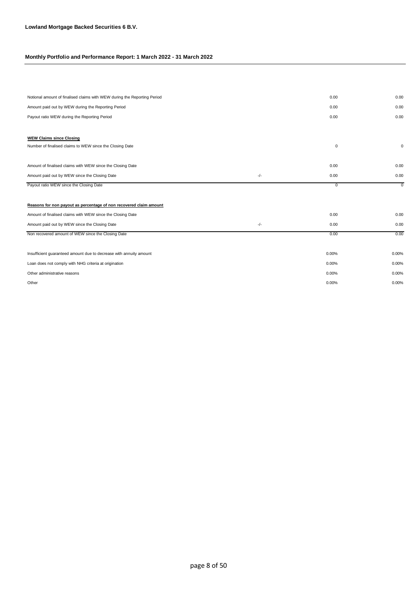| Notional amount of finalised claims with WEW during the Reporting Period |       | 0.00        | 0.00        |
|--------------------------------------------------------------------------|-------|-------------|-------------|
| Amount paid out by WEW during the Reporting Period                       |       | 0.00        | 0.00        |
| Payout ratio WEW during the Reporting Period                             |       | 0.00        | 0.00        |
|                                                                          |       |             |             |
| <b>WEW Claims since Closing</b>                                          |       |             |             |
| Number of finalised claims to WEW since the Closing Date                 |       | $\mathbf 0$ | 0           |
|                                                                          |       |             |             |
| Amount of finalised claims with WEW since the Closing Date               |       | 0.00        | 0.00        |
| Amount paid out by WEW since the Closing Date                            | $-/-$ | 0.00        | 0.00        |
| Payout ratio WEW since the Closing Date                                  |       | $\mathbf 0$ | $\mathbf 0$ |
|                                                                          |       |             |             |
| Reasons for non payout as percentage of non recovered claim amount       |       |             |             |
| Amount of finalised claims with WEW since the Closing Date               |       | 0.00        | 0.00        |
| Amount paid out by WEW since the Closing Date                            | $-/-$ | 0.00        | 0.00        |
| Non recovered amount of WEW since the Closing Date                       |       | 0.00        | 0.00        |
|                                                                          |       |             |             |
| Insufficient guaranteed amount due to decrease with annuity amount       |       | 0.00%       | 0.00%       |
| Loan does not comply with NHG criteria at origination                    |       | 0.00%       | 0.00%       |
| Other administrative reasons                                             |       | 0.00%       | 0.00%       |
| Other                                                                    |       | 0.00%       | 0.00%       |
|                                                                          |       |             |             |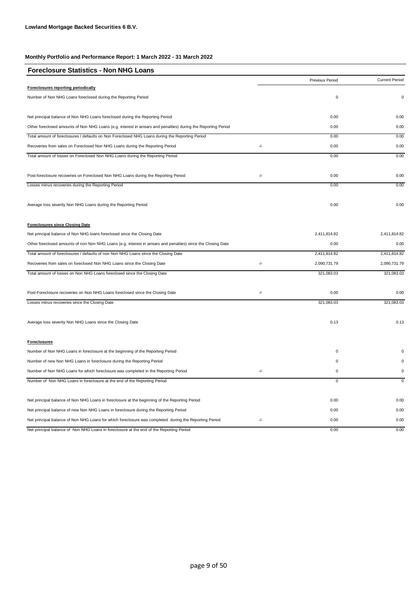| <b>Foreclosure Statistics - Non NHG Loans</b>                                                                  |     |                 |                       |
|----------------------------------------------------------------------------------------------------------------|-----|-----------------|-----------------------|
|                                                                                                                |     | Previous Period | <b>Current Period</b> |
| Foreclosures reporting periodically                                                                            |     |                 |                       |
| Number of Non NHG Loans foreclosed during the Reporting Period                                                 |     | 0               | $\mathsf 0$           |
| Net principal balance of Non NHG Loans foreclosed during the Reporting Period                                  |     | 0.00            | 0.00                  |
| Other foreclosed amounts of Non NHG Loans (e.g. interest in arrears and penalties) during the Reporting Period |     | 0.00            | 0.00                  |
| Total amount of foreclosures / defaults on Non Foreclosed NHG Loans during the Reporting Period                |     | 0.00            | 0.00                  |
| Recoveries from sales on Foreclosed Non NHG Loans during the Reporting Period                                  | -/- | 0.00            | 0.00                  |
| Total amount of losses on Foreclosed Non NHG Loans during the Reporting Period                                 |     | 0.00            | 0.00                  |
| Post-foreclosure recoveries on Foreclosed Non NHG Loans during the Reporting Period                            | -/- | 0.00            | 0.00                  |
| Losses minus recoveries during the Reporting Period                                                            |     | 0.00            | 0.00                  |
| Average loss severity Non NHG Loans during the Reporting Period                                                |     | 0.00            | 0.00                  |
| <b>Foreclosures since Closing Date</b>                                                                         |     |                 |                       |
| Net principal balance of Non NHG loans foreclosed since the Closing Date                                       |     | 2,411,814.82    | 2,411,814.82          |
| Other foreclosed amounts of non Non NHG Loans (e.g. interest in arrears and penalties) since the Closing Date  |     | 0.00            | 0.00                  |
| Total amount of foreclosures / defaults of non Non NHG Loans since the Closing Date                            |     | 2,411,814.82    | 2,411,814.82          |
| Recoveries from sales on foreclosed Non NHG Loans since the Closing Date                                       | -/- | 2,090,731.79    | 2,090,731.79          |
| Total amount of losses on Non NHG Loans foreclosed since the Closing Date                                      |     | 321,083.03      | 321,083.03            |
| Post-Foreclosure recoveries on Non NHG Loans foreclosed since the Closing Date                                 | -/- | 0.00            | 0.00                  |
| Losses minus recoveries since the Closing Date                                                                 |     | 321,083.03      | 321,083.03            |
| Average loss severity Non NHG Loans since the Closing Date                                                     |     | 0.13            | 0.13                  |
| <b>Foreclosures</b>                                                                                            |     |                 |                       |
| Number of Non NHG Loans in foreclosure at the beginning of the Reporting Period                                |     | 0               | 0                     |
| Number of new Non NHG Loans in foreclosure during the Reporting Period                                         |     | 0               | $\Omega$              |
| Number of Non NHG Loans for which foreclosure was completed in the Reporting Period                            | -/- | 0               | 0                     |
| Number of Non NHG Loans in foreclosure at the end of the Reporting Period                                      |     | $\mathbf 0$     | $\mathsf 0$           |
| Net principal balance of Non NHG Loans in foreclosure at the beginning of the Reporting Period                 |     | 0.00            | 0.00                  |
| Net principal balance of new Non NHG Loans in foreclosure during the Reporting Period                          |     | 0.00            | 0.00                  |
| Net principal balance of Non NHG Loans for which foreclosure was completed during the Reporting Period         | -/- | 0.00            | 0.00                  |
| Net principal balance of Non NHG Loans in foreclosure at the end of the Reporting Period                       |     | 0.00            | 0.00                  |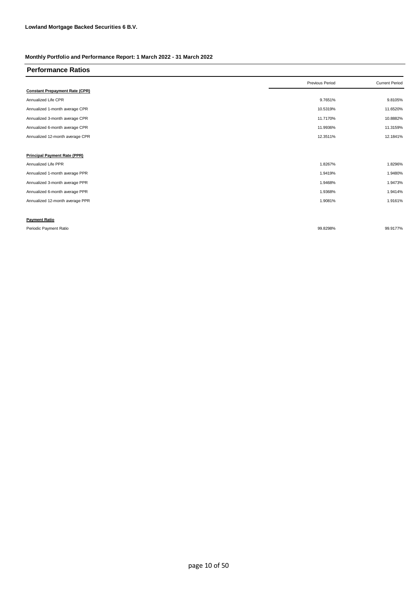| <b>Performance Ratios</b>             |                 |                       |
|---------------------------------------|-----------------|-----------------------|
|                                       | Previous Period | <b>Current Period</b> |
| <b>Constant Prepayment Rate (CPR)</b> |                 |                       |
| Annualized Life CPR                   | 9.7651%         | 9.8105%               |
| Annualized 1-month average CPR        | 10.5319%        | 11.6520%              |
| Annualized 3-month average CPR        | 11.7170%        | 10.8882%              |
| Annualized 6-month average CPR        | 11.9936%        | 11.3159%              |
| Annualized 12-month average CPR       | 12.3511%        | 12.1841%              |
|                                       |                 |                       |
| <b>Principal Payment Rate (PPR)</b>   |                 |                       |
| Annualized Life PPR                   | 1.8267%         | 1.8296%               |
| Annualized 1-month average PPR        | 1.9419%         | 1.9480%               |
| Annualized 3-month average PPR        | 1.9468%         | 1.9473%               |
| Annualized 6-month average PPR        | 1.9368%         | 1.9414%               |
| Annualized 12-month average PPR       | 1.9081%         | 1.9161%               |
|                                       |                 |                       |
| <b>Payment Ratio</b>                  |                 |                       |
| Periodic Payment Ratio                | 99.8298%        | 99.9177%              |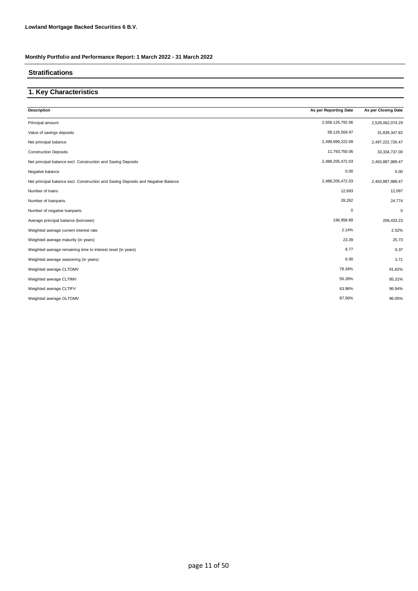### **Stratifications**

### **1. Key Characteristics**

| 2,558,125,792.06<br>Principal amount<br>Value of savings deposits<br>58,126,569.97                    | 2,529,062,074.29<br>31,839,347.82 |
|-------------------------------------------------------------------------------------------------------|-----------------------------------|
|                                                                                                       |                                   |
|                                                                                                       |                                   |
| 2,499,999,222.09<br>Net principal balance                                                             | 2,497,222,726.47                  |
| 11,793,750.06<br><b>Construction Deposits</b>                                                         | 33,334,737.00                     |
| 2,488,205,472.03<br>Net principal balance excl. Construction and Saving Deposits                      | 2,463,887,989.47                  |
| 0.00<br>Negative balance                                                                              | 0.00                              |
| 2,488,205,472.03<br>Net principal balance excl. Construction and Saving Deposits and Negative Balance | 2,463,887,989.47                  |
| 12,693<br>Number of loans                                                                             | 12,097                            |
| 28,262<br>Number of loanparts                                                                         | 24,774                            |
| $\mathbf 0$<br>Number of negative loanparts                                                           | $\mathbf 0$                       |
| 196,958.89<br>Average principal balance (borrower)                                                    | 206,433.23                        |
| 2.14%<br>Weighted average current interest rate                                                       | 2.52%                             |
| 23.39<br>Weighted average maturity (in years)                                                         | 25.73                             |
| 8.77<br>Weighted average remaining time to interest reset (in years)                                  | 9.37                              |
| 6.00<br>Weighted average seasoning (in years)                                                         | 3.71                              |
| 78.34%<br>Weighted average CLTOMV                                                                     | 91.82%                            |
| 56.28%<br>Weighted average CLTIMV                                                                     | 85.31%                            |
| 63.96%<br>Weighted average CLTIFV                                                                     | 96.94%                            |
| 87.56%<br>Weighted average OLTOMV                                                                     | 96.05%                            |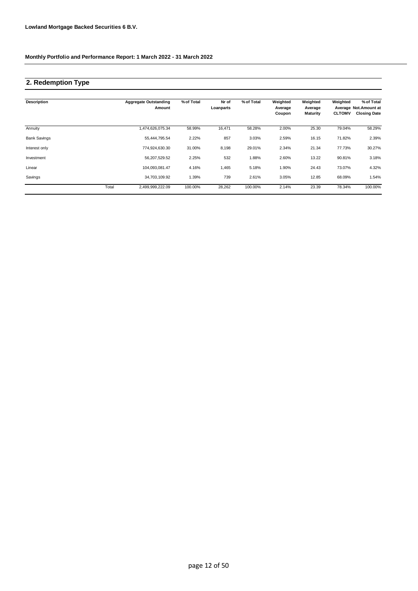### **2. Redemption Type**

| <b>Description</b>  |       | <b>Aggregate Outstanding</b><br>Amount | % of Total | Nr of<br>Loanparts | % of Total | Weighted<br>Average<br>Coupon | Weighted<br>Average<br><b>Maturity</b> | Weighted<br><b>CLTOMV</b> | % of Total<br>Average Not.Amount at<br><b>Closing Date</b> |
|---------------------|-------|----------------------------------------|------------|--------------------|------------|-------------------------------|----------------------------------------|---------------------------|------------------------------------------------------------|
| Annuity             |       | 1,474,626,075.34                       | 58.99%     | 16,471             | 58.28%     | 2.00%                         | 25.30                                  | 79.04%                    | 58.29%                                                     |
| <b>Bank Savings</b> |       | 55,444,795.54                          | 2.22%      | 857                | 3.03%      | 2.59%                         | 16.15                                  | 71.82%                    | 2.39%                                                      |
| Interest only       |       | 774,924,630.30                         | 31.00%     | 8,198              | 29.01%     | 2.34%                         | 21.34                                  | 77.73%                    | 30.27%                                                     |
| Investment          |       | 56,207,529.52                          | 2.25%      | 532                | 1.88%      | 2.60%                         | 13.22                                  | 90.81%                    | 3.18%                                                      |
| Linear              |       | 104,093,081.47                         | 4.16%      | 1,465              | 5.18%      | 1.90%                         | 24.43                                  | 73.07%                    | 4.32%                                                      |
| Savings             |       | 34,703,109.92                          | 1.39%      | 739                | 2.61%      | 3.05%                         | 12.85                                  | 68.09%                    | 1.54%                                                      |
|                     | Total | 2,499,999,222.09                       | 100.00%    | 28,262             | 100.00%    | 2.14%                         | 23.39                                  | 78.34%                    | 100.00%                                                    |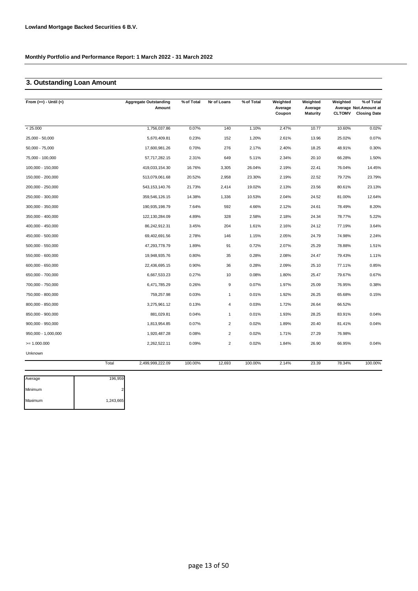## **3. Outstanding Loan Amount**

| From $(>=) -$ Until $(<)$ |       | <b>Aggregate Outstanding</b><br>Amount | % of Total | Nr of Loans    | % of Total | Weighted<br>Average<br>Coupon | Weighted<br>Average<br>Maturity | Weighted<br><b>CLTOMV</b> | % of Total<br>Average Not. Amount at<br><b>Closing Date</b> |
|---------------------------|-------|----------------------------------------|------------|----------------|------------|-------------------------------|---------------------------------|---------------------------|-------------------------------------------------------------|
| < 25.000                  |       | 1,756,037.86                           | 0.07%      | 140            | 1.10%      | 2.47%                         | 10.77                           | 10.60%                    | 0.02%                                                       |
| 25,000 - 50,000           |       | 5,670,409.81                           | 0.23%      | 152            | 1.20%      | 2.61%                         | 13.96                           | 25.02%                    | 0.07%                                                       |
| $50,000 - 75,000$         |       | 17,600,981.26                          | 0.70%      | 276            | 2.17%      | 2.40%                         | 18.25                           | 48.91%                    | 0.30%                                                       |
| 75,000 - 100,000          |       | 57,717,282.15                          | 2.31%      | 649            | 5.11%      | 2.34%                         | 20.10                           | 66.28%                    | 1.50%                                                       |
| 100,000 - 150,000         |       | 419,033,154.30                         | 16.76%     | 3,305          | 26.04%     | 2.19%                         | 22.41                           | 76.04%                    | 14.45%                                                      |
| 150,000 - 200,000         |       | 513,079,061.68                         | 20.52%     | 2,958          | 23.30%     | 2.19%                         | 22.52                           | 79.72%                    | 23.79%                                                      |
| 200,000 - 250,000         |       | 543, 153, 140. 76                      | 21.73%     | 2,414          | 19.02%     | 2.13%                         | 23.56                           | 80.61%                    | 23.13%                                                      |
| 250,000 - 300,000         |       | 359,546,126.15                         | 14.38%     | 1,336          | 10.53%     | 2.04%                         | 24.52                           | 81.00%                    | 12.64%                                                      |
| 300,000 - 350,000         |       | 190,935,198.79                         | 7.64%      | 592            | 4.66%      | 2.12%                         | 24.61                           | 78.49%                    | 8.20%                                                       |
| 350,000 - 400,000         |       | 122,130,284.09                         | 4.89%      | 328            | 2.58%      | 2.18%                         | 24.34                           | 78.77%                    | 5.22%                                                       |
| 400,000 - 450,000         |       | 86,242,912.31                          | 3.45%      | 204            | 1.61%      | 2.16%                         | 24.12                           | 77.19%                    | 3.64%                                                       |
| 450,000 - 500,000         |       | 69,402,691.56                          | 2.78%      | 146            | 1.15%      | 2.05%                         | 24.79                           | 74.98%                    | 2.24%                                                       |
| 500,000 - 550,000         |       | 47,293,778.79                          | 1.89%      | 91             | 0.72%      | 2.07%                         | 25.29                           | 78.88%                    | 1.51%                                                       |
| 550,000 - 600,000         |       | 19,948,935.76                          | 0.80%      | 35             | 0.28%      | 2.08%                         | 24.47                           | 79.43%                    | 1.11%                                                       |
| 600,000 - 650,000         |       | 22,436,695.15                          | 0.90%      | 36             | 0.28%      | 2.09%                         | 25.10                           | 77.11%                    | 0.85%                                                       |
| 650,000 - 700,000         |       | 6,667,533.23                           | 0.27%      | 10             | 0.08%      | 1.80%                         | 25.47                           | 79.67%                    | 0.67%                                                       |
| 700,000 - 750,000         |       | 6,471,785.29                           | 0.26%      | 9              | 0.07%      | 1.97%                         | 25.09                           | 76.95%                    | 0.38%                                                       |
| 750,000 - 800,000         |       | 759,257.98                             | 0.03%      | $\mathbf{1}$   | 0.01%      | 1.92%                         | 26.25                           | 65.68%                    | 0.15%                                                       |
| 800,000 - 850,000         |       | 3,275,961.12                           | 0.13%      | $\overline{4}$ | 0.03%      | 1.72%                         | 26.64                           | 66.52%                    |                                                             |
| 850,000 - 900,000         |       | 881,029.81                             | 0.04%      | $\mathbf{1}$   | 0.01%      | 1.93%                         | 28.25                           | 83.91%                    | 0.04%                                                       |
| 900,000 - 950,000         |       | 1,813,954.85                           | 0.07%      | $\overline{2}$ | 0.02%      | 1.89%                         | 20.40                           | 81.41%                    | 0.04%                                                       |
| 950,000 - 1,000,000       |       | 1,920,487.28                           | 0.08%      | $\overline{2}$ | 0.02%      | 1.71%                         | 27.29                           | 76.98%                    |                                                             |
| $= 1.000.000$             |       | 2,262,522.11                           | 0.09%      | 2              | 0.02%      | 1.84%                         | 26.90                           | 66.95%                    | 0.04%                                                       |
| Unknown                   |       |                                        |            |                |            |                               |                                 |                           |                                                             |
|                           | Total | 2,499,999,222.09                       | 100.00%    | 12,693         | 100.00%    | 2.14%                         | 23.39                           | 78.34%                    | 100.00%                                                     |

| 196,959   |
|-----------|
|           |
| 1,243,665 |
|           |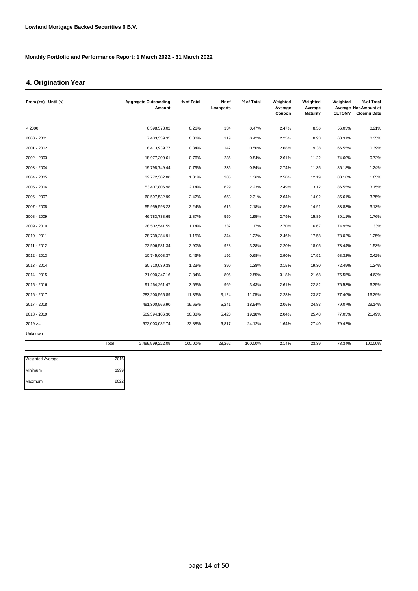## **4. Origination Year**

| From $(>=) -$ Until $(<)$ |       | <b>Aggregate Outstanding</b><br>Amount | % of Total | Nr of<br>Loanparts | % of Total | Weighted<br>Average | Weighted<br>Average | Weighted      | % of Total<br>Average Not. Amount at |
|---------------------------|-------|----------------------------------------|------------|--------------------|------------|---------------------|---------------------|---------------|--------------------------------------|
|                           |       |                                        |            |                    |            | Coupon              | <b>Maturity</b>     | <b>CLTOMV</b> | <b>Closing Date</b>                  |
| < 2000                    |       | 6,398,578.02                           | 0.26%      | 134                | 0.47%      | 2.47%               | 8.56                | 56.03%        | 0.21%                                |
| 2000 - 2001               |       | 7,433,339.35                           | 0.30%      | 119                | 0.42%      | 2.25%               | 8.93                | 63.31%        | 0.35%                                |
| 2001 - 2002               |       | 8,413,939.77                           | 0.34%      | 142                | 0.50%      | 2.68%               | 9.38                | 66.55%        | 0.39%                                |
| 2002 - 2003               |       | 18,977,300.61                          | 0.76%      | 236                | 0.84%      | 2.61%               | 11.22               | 74.60%        | 0.72%                                |
| 2003 - 2004               |       | 19,798,749.44                          | 0.79%      | 236                | 0.84%      | 2.74%               | 11.35               | 86.18%        | 1.24%                                |
| 2004 - 2005               |       | 32,772,302.00                          | 1.31%      | 385                | 1.36%      | 2.50%               | 12.19               | 80.18%        | 1.65%                                |
| 2005 - 2006               |       | 53,407,806.98                          | 2.14%      | 629                | 2.23%      | 2.49%               | 13.12               | 86.55%        | 3.15%                                |
| 2006 - 2007               |       | 60,597,532.99                          | 2.42%      | 653                | 2.31%      | 2.64%               | 14.02               | 85.61%        | 3.75%                                |
| 2007 - 2008               |       | 55.959.598.23                          | 2.24%      | 616                | 2.18%      | 2.86%               | 14.91               | 83.83%        | 3.13%                                |
| 2008 - 2009               |       | 46,783,738.65                          | 1.87%      | 550                | 1.95%      | 2.79%               | 15.89               | 80.11%        | 1.76%                                |
| 2009 - 2010               |       | 28,502,541.59                          | 1.14%      | 332                | 1.17%      | 2.70%               | 16.67               | 74.95%        | 1.33%                                |
| 2010 - 2011               |       | 28,739,284.91                          | 1.15%      | 344                | 1.22%      | 2.46%               | 17.58               | 78.02%        | 1.25%                                |
| 2011 - 2012               |       | 72,506,581.34                          | 2.90%      | 928                | 3.28%      | 2.20%               | 18.05               | 73.44%        | 1.53%                                |
| 2012 - 2013               |       | 10,745,008.37                          | 0.43%      | 192                | 0.68%      | 2.90%               | 17.91               | 68.32%        | 0.42%                                |
| 2013 - 2014               |       | 30,710,039.38                          | 1.23%      | 390                | 1.38%      | 3.15%               | 19.30               | 72.49%        | 1.24%                                |
| 2014 - 2015               |       | 71,090,347.16                          | 2.84%      | 805                | 2.85%      | 3.18%               | 21.68               | 75.55%        | 4.63%                                |
| 2015 - 2016               |       | 91,264,261.47                          | 3.65%      | 969                | 3.43%      | 2.61%               | 22.82               | 76.53%        | 6.35%                                |
| 2016 - 2017               |       | 283,200,565.89                         | 11.33%     | 3,124              | 11.05%     | 2.28%               | 23.87               | 77.40%        | 16.29%                               |
| 2017 - 2018               |       | 491,300,566.90                         | 19.65%     | 5,241              | 18.54%     | 2.06%               | 24.83               | 79.07%        | 29.14%                               |
| 2018 - 2019               |       | 509,394,106.30                         | 20.38%     | 5,420              | 19.18%     | 2.04%               | 25.48               | 77.05%        | 21.49%                               |
| $2019 ==$                 |       | 572,003,032.74                         | 22.88%     | 6,817              | 24.12%     | 1.64%               | 27.40               | 79.42%        |                                      |
| Unknown                   |       |                                        |            |                    |            |                     |                     |               |                                      |
|                           | Total | 2,499,999,222.09                       | 100.00%    | 28,262             | 100.00%    | 2.14%               | 23.39               | 78.34%        | 100.00%                              |

| <b>Weighted Average</b> | 2016 |
|-------------------------|------|
| Minimum                 | 1999 |
| Maximum                 | 2022 |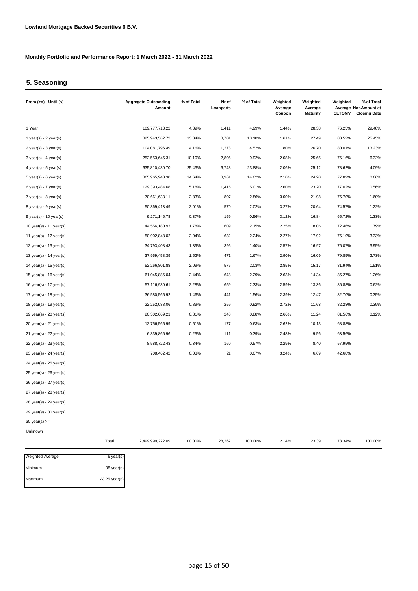### **5. Seasoning**

| From $(>=) -$ Until $(<)$ |       | <b>Aggregate Outstanding</b><br>Amount | % of Total | Nr of<br>Loanparts | % of Total | Weighted<br>Average<br>Coupon | Weighted<br>Average<br><b>Maturity</b> | Weighted<br><b>CLTOMV</b> | % of Total<br>Average Not. Amount at<br><b>Closing Date</b> |
|---------------------------|-------|----------------------------------------|------------|--------------------|------------|-------------------------------|----------------------------------------|---------------------------|-------------------------------------------------------------|
| 1 Year                    |       | 109,777,713.22                         | 4.39%      | 1,411              | 4.99%      | 1.44%                         | 28.38                                  | 76.25%                    | 29.48%                                                      |
| 1 year(s) - $2$ year(s)   |       | 325,943,562.72                         | 13.04%     | 3,701              | 13.10%     | 1.61%                         | 27.49                                  | 80.52%                    | 25.45%                                                      |
| $2$ year(s) - 3 year(s)   |       | 104,081,796.49                         | 4.16%      | 1,278              | 4.52%      | 1.80%                         | 26.70                                  | 80.01%                    | 13.23%                                                      |
| $3$ year(s) - 4 year(s)   |       | 252,553,645.31                         | 10.10%     | 2,805              | 9.92%      | 2.08%                         | 25.65                                  | 76.16%                    | 6.32%                                                       |
| $4$ year(s) - 5 year(s)   |       | 635,810,430.70                         | 25.43%     | 6,748              | 23.88%     | 2.06%                         | 25.12                                  | 78.62%                    | 4.09%                                                       |
| $5$ year(s) - 6 year(s)   |       | 365,965,940.30                         | 14.64%     | 3,961              | 14.02%     | 2.10%                         | 24.20                                  | 77.89%                    | 0.66%                                                       |
| $6$ year(s) - 7 year(s)   |       | 129,393,484.68                         | 5.18%      | 1,416              | 5.01%      | 2.60%                         | 23.20                                  | 77.02%                    | 0.56%                                                       |
| $7$ year(s) - 8 year(s)   |       | 70,661,633.11                          | 2.83%      | 807                | 2.86%      | 3.00%                         | 21.98                                  | 75.70%                    | 1.60%                                                       |
| 8 year(s) - 9 year(s)     |       | 50,369,413.49                          | 2.01%      | 570                | 2.02%      | 3.27%                         | 20.64                                  | 74.57%                    | 1.22%                                                       |
| 9 year(s) - 10 year(s)    |       | 9,271,146.78                           | 0.37%      | 159                | 0.56%      | 3.12%                         | 16.84                                  | 65.72%                    | 1.33%                                                       |
| 10 year(s) - 11 year(s)   |       | 44,556,180.93                          | 1.78%      | 609                | 2.15%      | 2.25%                         | 18.06                                  | 72.46%                    | 1.79%                                                       |
| 11 year(s) - 12 year(s)   |       | 50,902,848.02                          | 2.04%      | 632                | 2.24%      | 2.27%                         | 17.92                                  | 75.19%                    | 3.33%                                                       |
| 12 year(s) - 13 year(s)   |       | 34,793,408.43                          | 1.39%      | 395                | 1.40%      | 2.57%                         | 16.97                                  | 76.07%                    | 3.95%                                                       |
| 13 year(s) - 14 year(s)   |       | 37,959,458.39                          | 1.52%      | 471                | 1.67%      | 2.90%                         | 16.09                                  | 79.85%                    | 2.73%                                                       |
| 14 year(s) - 15 year(s)   |       | 52,266,801.88                          | 2.09%      | 575                | 2.03%      | 2.85%                         | 15.17                                  | 81.94%                    | 1.51%                                                       |
| 15 year(s) - 16 year(s)   |       | 61,045,886.04                          | 2.44%      | 648                | 2.29%      | 2.63%                         | 14.34                                  | 85.27%                    | 1.26%                                                       |
| 16 year(s) - 17 year(s)   |       | 57,116,930.61                          | 2.28%      | 659                | 2.33%      | 2.59%                         | 13.36                                  | 86.88%                    | 0.62%                                                       |
| 17 year(s) - 18 year(s)   |       | 36,580,565.92                          | 1.46%      | 441                | 1.56%      | 2.39%                         | 12.47                                  | 82.70%                    | 0.35%                                                       |
| 18 year(s) - 19 year(s)   |       | 22,252,088.06                          | 0.89%      | 259                | 0.92%      | 2.72%                         | 11.68                                  | 82.28%                    | 0.39%                                                       |
| 19 year(s) - 20 year(s)   |       | 20,302,669.21                          | 0.81%      | 248                | 0.88%      | 2.66%                         | 11.24                                  | 81.56%                    | 0.12%                                                       |
| 20 year(s) - 21 year(s)   |       | 12,756,565.99                          | 0.51%      | 177                | 0.63%      | 2.62%                         | 10.13                                  | 68.88%                    |                                                             |
| 21 year(s) - 22 year(s)   |       | 6,339,866.96                           | 0.25%      | 111                | 0.39%      | 2.48%                         | 9.56                                   | 63.56%                    |                                                             |
| 22 year(s) - 23 year(s)   |       | 8,588,722.43                           | 0.34%      | 160                | 0.57%      | 2.29%                         | 8.40                                   | 57.95%                    |                                                             |
| 23 year(s) - 24 year(s)   |       | 708,462.42                             | 0.03%      | 21                 | 0.07%      | 3.24%                         | 6.69                                   | 42.68%                    |                                                             |
| 24 year(s) - 25 year(s)   |       |                                        |            |                    |            |                               |                                        |                           |                                                             |
| 25 year(s) - 26 year(s)   |       |                                        |            |                    |            |                               |                                        |                           |                                                             |
| 26 year(s) - 27 year(s)   |       |                                        |            |                    |            |                               |                                        |                           |                                                             |
| 27 year(s) - 28 year(s)   |       |                                        |            |                    |            |                               |                                        |                           |                                                             |
| 28 year(s) - 29 year(s)   |       |                                        |            |                    |            |                               |                                        |                           |                                                             |
| 29 year(s) - 30 year(s)   |       |                                        |            |                    |            |                               |                                        |                           |                                                             |
| 30 year(s) $>=$           |       |                                        |            |                    |            |                               |                                        |                           |                                                             |
| Unknown                   |       |                                        |            |                    |            |                               |                                        |                           |                                                             |
|                           | Total | 2,499,999,222.09                       | 100.00%    | 28,262             | 100.00%    | 2.14%                         | 23.39                                  | 78.34%                    | 100.00%                                                     |

| <b>Weighted Average</b> | $6$ year(s)     |
|-------------------------|-----------------|
| Minimum                 | $.08$ year(s)   |
| Maximum                 | $23.25$ year(s) |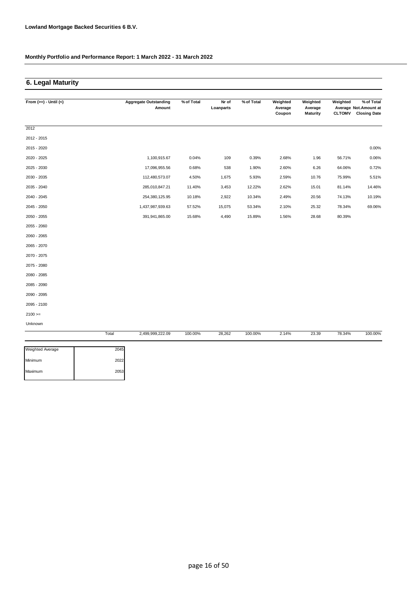### **6. Legal Maturity**

| From $(>=) -$ Until $(<)$ |       | <b>Aggregate Outstanding</b> | % of Total | Nr of     | % of Total | Weighted          | Weighted                   | Weighted | % of Total                                           |
|---------------------------|-------|------------------------------|------------|-----------|------------|-------------------|----------------------------|----------|------------------------------------------------------|
|                           |       | Amount                       |            | Loanparts |            | Average<br>Coupon | Average<br><b>Maturity</b> |          | Average Not. Amount at<br><b>CLTOMV</b> Closing Date |
|                           |       |                              |            |           |            |                   |                            |          |                                                      |
| 2012                      |       |                              |            |           |            |                   |                            |          |                                                      |
| 2012 - 2015               |       |                              |            |           |            |                   |                            |          |                                                      |
| 2015 - 2020               |       |                              |            |           |            |                   |                            |          | 0.00%                                                |
| 2020 - 2025               |       | 1,100,915.67                 | 0.04%      | 109       | 0.39%      | 2.68%             | 1.96                       | 56.71%   | 0.06%                                                |
| 2025 - 2030               |       | 17,096,955.56                | 0.68%      | 538       | 1.90%      | 2.60%             | 6.26                       | 64.06%   | 0.72%                                                |
| 2030 - 2035               |       | 112,480,573.07               | 4.50%      | 1,675     | 5.93%      | 2.59%             | 10.76                      | 75.99%   | 5.51%                                                |
| 2035 - 2040               |       | 285,010,847.21               | 11.40%     | 3,453     | 12.22%     | 2.62%             | 15.01                      | 81.14%   | 14.46%                                               |
| 2040 - 2045               |       | 254,380,125.95               | 10.18%     | 2,922     | 10.34%     | 2.49%             | 20.56                      | 74.13%   | 10.19%                                               |
| 2045 - 2050               |       | 1,437,987,939.63             | 57.52%     | 15,075    | 53.34%     | 2.10%             | 25.32                      | 78.34%   | 69.06%                                               |
| 2050 - 2055               |       | 391,941,865.00               | 15.68%     | 4,490     | 15.89%     | 1.56%             | 28.68                      | 80.39%   |                                                      |
| 2055 - 2060               |       |                              |            |           |            |                   |                            |          |                                                      |
| 2060 - 2065               |       |                              |            |           |            |                   |                            |          |                                                      |
| 2065 - 2070               |       |                              |            |           |            |                   |                            |          |                                                      |
| 2070 - 2075               |       |                              |            |           |            |                   |                            |          |                                                      |
| 2075 - 2080               |       |                              |            |           |            |                   |                            |          |                                                      |
| 2080 - 2085               |       |                              |            |           |            |                   |                            |          |                                                      |
| 2085 - 2090               |       |                              |            |           |            |                   |                            |          |                                                      |
| 2090 - 2095               |       |                              |            |           |            |                   |                            |          |                                                      |
| 2095 - 2100               |       |                              |            |           |            |                   |                            |          |                                                      |
| $2100 >=$                 |       |                              |            |           |            |                   |                            |          |                                                      |
| Unknown                   |       |                              |            |           |            |                   |                            |          |                                                      |
|                           | Total | 2,499,999,222.09             | 100.00%    | 28,262    | 100.00%    | 2.14%             | 23.39                      | 78.34%   | 100.00%                                              |

| <b>Weighted Average</b> | 2045 |
|-------------------------|------|
| Minimum                 | 2022 |
| Maximum                 | 2053 |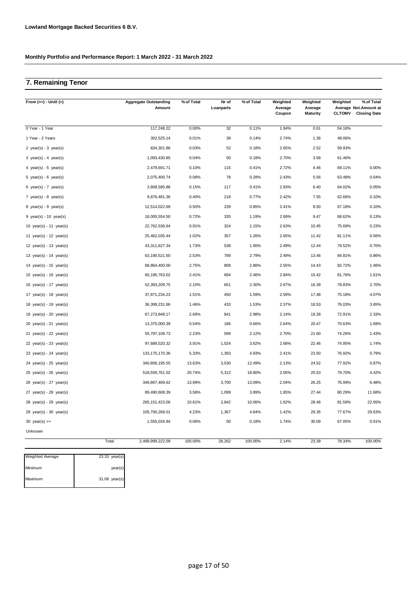## **7. Remaining Tenor**

| From $(>=) -$ Until $(<)$                 | <b>Aggregate Outstanding</b><br>Amount | % of Total | Nr of<br>Loanparts | % of Total | Weighted<br>Average<br>Coupon | Weighted<br>Average<br><b>Maturity</b> | Weighted<br><b>CLTOMV</b> | % of Total<br>Average Not.Amount at<br><b>Closing Date</b> |
|-------------------------------------------|----------------------------------------|------------|--------------------|------------|-------------------------------|----------------------------------------|---------------------------|------------------------------------------------------------|
| 0 Year - 1 Year                           | 117,248.22                             | 0.00%      | 32                 | 0.11%      | 1.94%                         | 0.61                                   | 54.16%                    |                                                            |
| 1 Year - 2 Years                          | 302,525.14                             | 0.01%      | 39                 | 0.14%      | 2.74%                         | 1.36                                   | 48.06%                    |                                                            |
| 2 year(s) - $3$ year(s)                   | 834,301.86                             | 0.03%      | 52                 | 0.18%      | 2.65%                         | 2.52                                   | 59.93%                    |                                                            |
| $3 \text{ year(s)} - 4 \text{ year(s)}$   | 1,093,430.85                           | 0.04%      | 50                 | 0.18%      | 2.70%                         | 3.58                                   | 61.46%                    |                                                            |
| 4 year(s) - 5 year(s)                     | 2,479,691.71                           | 0.10%      | 115                | 0.41%      | 2.72%                         | 4.46                                   | 69.11%                    | 0.00%                                                      |
| 5 year(s) - 6 year(s)                     | 2,075,400.74                           | 0.08%      | 78                 | 0.28%      | 2.43%                         | 5.56                                   | 63.48%                    | 0.04%                                                      |
| 6 year(s) - 7 year(s)                     | 3,808,595.88                           | 0.15%      | 117                | 0.41%      | 2.93%                         | 6.40                                   | 64.02%                    | 0.05%                                                      |
| 7 year(s) - 8 year(s)                     | 9,876,481.36                           | 0.40%      | 218                | 0.77%      | 2.42%                         | 7.55                                   | 62.66%                    | 0.10%                                                      |
| $8 \text{ year(s)} - 9 \text{ year(s)}$   | 12,514,022.69                          | 0.50%      | 239                | 0.85%      | 2.41%                         | 8.50                                   | 67.18%                    | 0.10%                                                      |
| 9 year(s) - 10 year(s)                    | 18,005,554.50                          | 0.72%      | 335                | 1.19%      | 2.69%                         | 9.47                                   | 68.62%                    | 0.13%                                                      |
| 10 year(s) - 11 year(s)                   | 22,762,536.64                          | 0.91%      | 324                | 1.15%      | 2.63%                         | 10.45                                  | 75.69%                    | 0.23%                                                      |
| 11 year(s) - 12 year(s)                   | 25,462,035.44                          | 1.02%      | 357                | 1.26%      | 2.65%                         | 11.42                                  | 81.11%                    | 0.56%                                                      |
| 12 year(s) - 13 year(s)                   | 43,311,627.34                          | 1.73%      | 538                | 1.90%      | 2.49%                         | 12.44                                  | 79.52%                    | 0.70%                                                      |
| 13 year(s) - 14 year(s)                   | 63,190,521.50                          | 2.53%      | 789                | 2.79%      | 2.49%                         | 13.46                                  | 84.81%                    | 0.86%                                                      |
| 14 year(s) - 15 year(s)                   | 68,864,400.00                          | 2.75%      | 808                | 2.86%      | 2.55%                         | 14.43                                  | 82.72%                    | 1.46%                                                      |
| 15 year(s) - 16 year(s)                   | 60, 195, 763.02                        | 2.41%      | 694                | 2.46%      | 2.84%                         | 15.42                                  | 81.76%                    | 1.61%                                                      |
| 16 year(s) - 17 year(s)                   | 52,393,209.75                          | 2.10%      | 651                | 2.30%      | 2.67%                         | 16.39                                  | 78.83%                    | 2.70%                                                      |
| 17 year(s) - 18 year(s)                   | 37,871,234.23                          | 1.51%      | 450                | 1.59%      | 2.59%                         | 17.48                                  | 75.18%                    | 4.07%                                                      |
| 18 year(s) - 19 year(s)                   | 36,399,231.66                          | 1.46%      | 433                | 1.53%      | 2.37%                         | 18.53                                  | 76.03%                    | 3.65%                                                      |
| 19 year(s) - 20 year(s)                   | 67,273,848.17                          | 2.69%      | 841                | 2.98%      | 2.14%                         | 19.28                                  | 72.91%                    | 2.33%                                                      |
| $20 \text{ year(s)} - 21 \text{ year(s)}$ | 13,375,000.39                          | 0.54%      | 186                | 0.66%      | 2.64%                         | 20.47                                  | 70.63%                    | 1.69%                                                      |
| 21 year(s) - 22 year(s)                   | 55,797,109.73                          | 2.23%      | 599                | 2.12%      | 2.70%                         | 21.60                                  | 74.26%                    | 1.43%                                                      |
| 22 $year(s) - 23$ $year(s)$               | 97,689,520.32                          | 3.91%      | 1,024              | 3.62%      | 2.68%                         | 22.46                                  | 74.95%                    | 1.74%                                                      |
| 23 year(s) - 24 year(s)                   | 133, 175, 170.36                       | 5.33%      | 1,393              | 4.93%      | 2.41%                         | 23.50                                  | 76.92%                    | 0.79%                                                      |
| $24 \text{ year(s)} - 25 \text{ year(s)}$ | 340,806,195.55                         | 13.63%     | 3,530              | 12.49%     | 2.13%                         | 24.52                                  | 77.92%                    | 0.87%                                                      |
| $25$ year(s) - $26$ year(s)               | 518,559,761.02                         | 20.74%     | 5,312              | 18.80%     | 2.05%                         | 25.53                                  | 79.70%                    | 4.42%                                                      |
| $26$ year(s) - 27 year(s)                 | 349,867,469.62                         | 13.99%     | 3,700              | 13.09%     | 2.04%                         | 26.25                                  | 76.99%                    | 6.48%                                                      |
| 27 year(s) - 28 year(s)                   | 89,490,608.39                          | 3.58%      | 1,099              | 3.89%      | 1.85%                         | 27.44                                  | 80.29%                    | 11.68%                                                     |
| $28$ year(s) - 29 year(s)                 | 265, 151, 423.06                       | 10.61%     | 2,842              | 10.06%     | 1.62%                         | 28.46                                  | 81.59%                    | 22.65%                                                     |
| $29$ year(s) - 30 year(s)                 | 105,700,268.01                         | 4.23%      | 1,367              | 4.84%      | 1.42%                         | 29.35                                  | 77.67%                    | 29.63%                                                     |
| 30 year(s) $>=$                           | 1,555,034.94                           | 0.06%      | 50                 | 0.18%      | 1.74%                         | 30.09                                  | 67.05%                    | 0.01%                                                      |
| Unknown                                   |                                        |            |                    |            |                               |                                        |                           |                                                            |
|                                           | Total<br>2,499,999,222.09              | 100.00%    | 28,262             | 100.00%    | 2.14%                         | 23.39                                  | 78.34%                    | 100.00%                                                    |

| <b>Weighted Average</b> | $23.33 \text{ year(s)}$ |
|-------------------------|-------------------------|
| Minimum                 | year(s)                 |
| Maximum                 | 31.08 year(s)           |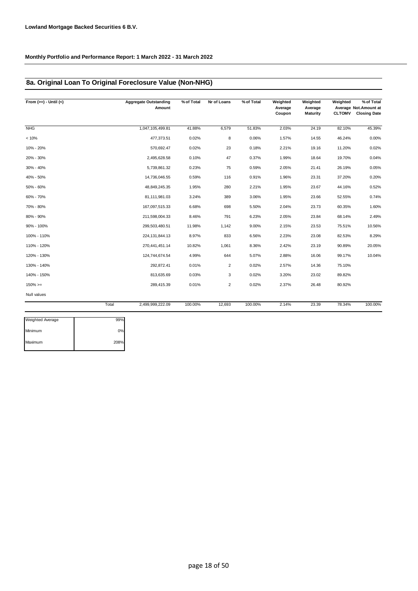### **8a. Original Loan To Original Foreclosure Value (Non-NHG)**

| From $(>=) -$ Until $(<)$ | <b>Aggregate Outstanding</b><br>Amount | % of Total | Nr of Loans    | % of Total | Weighted<br>Average<br>Coupon | Weighted<br>Average<br>Maturity | Weighted<br><b>CLTOMV</b> | % of Total<br>Average Not. Amount at<br><b>Closing Date</b> |
|---------------------------|----------------------------------------|------------|----------------|------------|-------------------------------|---------------------------------|---------------------------|-------------------------------------------------------------|
| <b>NHG</b>                | 1,047,105,499.81                       | 41.88%     | 6,579          | 51.83%     | 2.03%                         | 24.19                           | 82.10%                    | 45.39%                                                      |
| < 10%                     | 477,373.51                             | 0.02%      | 8              | 0.06%      | 1.57%                         | 14.55                           | 46.24%                    | 0.00%                                                       |
| 10% - 20%                 | 570,692.47                             | 0.02%      | 23             | 0.18%      | 2.21%                         | 19.16                           | 11.20%                    | 0.02%                                                       |
| 20% - 30%                 | 2,495,628.58                           | 0.10%      | 47             | 0.37%      | 1.99%                         | 18.64                           | 19.70%                    | 0.04%                                                       |
| 30% - 40%                 | 5,739,861.32                           | 0.23%      | 75             | 0.59%      | 2.05%                         | 21.41                           | 26.19%                    | 0.05%                                                       |
| 40% - 50%                 | 14,736,046.55                          | 0.59%      | 116            | 0.91%      | 1.96%                         | 23.31                           | 37.20%                    | 0.20%                                                       |
| 50% - 60%                 | 48,849,245.35                          | 1.95%      | 280            | 2.21%      | 1.95%                         | 23.67                           | 44.16%                    | 0.52%                                                       |
| 60% - 70%                 | 81,111,981.03                          | 3.24%      | 389            | 3.06%      | 1.95%                         | 23.66                           | 52.55%                    | 0.74%                                                       |
| 70% - 80%                 | 167,097,515.33                         | 6.68%      | 698            | 5.50%      | 2.04%                         | 23.73                           | 60.35%                    | 1.60%                                                       |
| 80% - 90%                 | 211,598,004.33                         | 8.46%      | 791            | 6.23%      | 2.05%                         | 23.84                           | 68.14%                    | 2.49%                                                       |
| 90% - 100%                | 299,503,480.51                         | 11.98%     | 1,142          | 9.00%      | 2.15%                         | 23.53                           | 75.51%                    | 10.56%                                                      |
| 100% - 110%               | 224, 131, 844. 13                      | 8.97%      | 833            | 6.56%      | 2.23%                         | 23.08                           | 82.53%                    | 8.29%                                                       |
| 110% - 120%               | 270,441,451.14                         | 10.82%     | 1,061          | 8.36%      | 2.42%                         | 23.19                           | 90.89%                    | 20.05%                                                      |
| 120% - 130%               | 124,744,674.54                         | 4.99%      | 644            | 5.07%      | 2.88%                         | 16.06                           | 99.17%                    | 10.04%                                                      |
| 130% - 140%               | 292,872.41                             | 0.01%      | $\overline{2}$ | 0.02%      | 2.57%                         | 14.36                           | 75.10%                    |                                                             |
| 140% - 150%               | 813,635.69                             | 0.03%      | 3              | 0.02%      | 3.20%                         | 23.02                           | 89.82%                    |                                                             |
| $150\%>=$                 | 289,415.39                             | 0.01%      | $\overline{2}$ | 0.02%      | 2.37%                         | 26.48                           | 80.92%                    |                                                             |
| Null values               |                                        |            |                |            |                               |                                 |                           |                                                             |
|                           | Total<br>2,499,999,222.09              | 100.00%    | 12,693         | 100.00%    | 2.14%                         | 23.39                           | 78.34%                    | 100.00%                                                     |

| <b>Weighted Average</b> | 99%  |
|-------------------------|------|
| Minimum                 | 0%   |
| Maximum                 | 208% |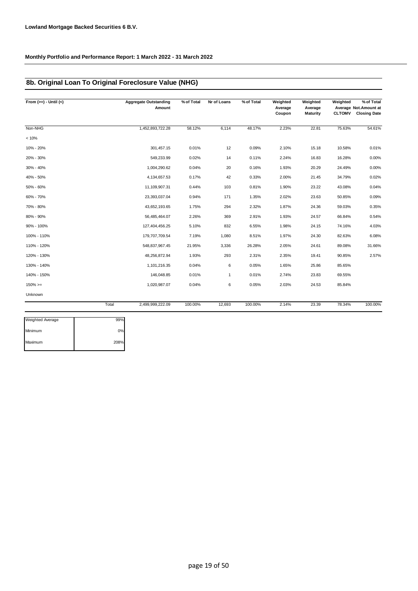### **8b. Original Loan To Original Foreclosure Value (NHG)**

| From $(>=) -$ Until $(<)$ | <b>Aggregate Outstanding</b><br>Amount | % of Total | Nr of Loans  | % of Total | Weighted<br>Average<br>Coupon | Weighted<br>Average<br><b>Maturity</b> | Weighted<br><b>CLTOMV</b> | % of Total<br>Average Not.Amount at<br><b>Closing Date</b> |
|---------------------------|----------------------------------------|------------|--------------|------------|-------------------------------|----------------------------------------|---------------------------|------------------------------------------------------------|
| Non-NHG                   | 1,452,893,722.28                       | 58.12%     | 6,114        | 48.17%     | 2.23%                         | 22.81                                  | 75.63%                    | 54.61%                                                     |
| < 10%                     |                                        |            |              |            |                               |                                        |                           |                                                            |
| 10% - 20%                 | 301,457.15                             | 0.01%      | 12           | 0.09%      | 2.10%                         | 15.18                                  | 10.58%                    | 0.01%                                                      |
| 20% - 30%                 | 549,233.99                             | 0.02%      | 14           | 0.11%      | 2.24%                         | 16.83                                  | 16.28%                    | 0.00%                                                      |
| 30% - 40%                 | 1,004,290.62                           | 0.04%      | 20           | 0.16%      | 1.93%                         | 20.29                                  | 24.49%                    | 0.00%                                                      |
| 40% - 50%                 | 4,134,657.53                           | 0.17%      | 42           | 0.33%      | 2.00%                         | 21.45                                  | 34.79%                    | 0.02%                                                      |
| 50% - 60%                 | 11,109,907.31                          | 0.44%      | 103          | 0.81%      | 1.90%                         | 23.22                                  | 43.08%                    | 0.04%                                                      |
| 60% - 70%                 | 23,393,037.04                          | 0.94%      | 171          | 1.35%      | 2.02%                         | 23.63                                  | 50.85%                    | 0.09%                                                      |
| 70% - 80%                 | 43,652,193.65                          | 1.75%      | 294          | 2.32%      | 1.87%                         | 24.36                                  | 59.03%                    | 0.35%                                                      |
| 80% - 90%                 | 56,485,464.07                          | 2.26%      | 369          | 2.91%      | 1.93%                         | 24.57                                  | 66.84%                    | 0.54%                                                      |
| 90% - 100%                | 127,404,456.25                         | 5.10%      | 832          | 6.55%      | 1.98%                         | 24.15                                  | 74.16%                    | 4.03%                                                      |
| 100% - 110%               | 179,707,709.54                         | 7.19%      | 1,080        | 8.51%      | 1.97%                         | 24.30                                  | 82.63%                    | 6.08%                                                      |
| 110% - 120%               | 548,837,967.45                         | 21.95%     | 3,336        | 26.28%     | 2.05%                         | 24.61                                  | 89.08%                    | 31.66%                                                     |
| 120% - 130%               | 48,256,872.94                          | 1.93%      | 293          | 2.31%      | 2.35%                         | 19.41                                  | 90.85%                    | 2.57%                                                      |
| 130% - 140%               | 1,101,216.35                           | 0.04%      | 6            | 0.05%      | 1.65%                         | 25.86                                  | 85.65%                    |                                                            |
| 140% - 150%               | 146,048.85                             | 0.01%      | $\mathbf{1}$ | 0.01%      | 2.74%                         | 23.83                                  | 69.55%                    |                                                            |
| $150\%>=$                 | 1,020,987.07                           | 0.04%      | 6            | 0.05%      | 2.03%                         | 24.53                                  | 85.84%                    |                                                            |
| Unknown                   |                                        |            |              |            |                               |                                        |                           |                                                            |
|                           | Total<br>2,499,999,222.09              | 100.00%    | 12,693       | 100.00%    | 2.14%                         | 23.39                                  | 78.34%                    | 100.00%                                                    |

| <b>Weighted Average</b> | 99%  |
|-------------------------|------|
| Minimum                 | 0%   |
| Maximum                 | 208% |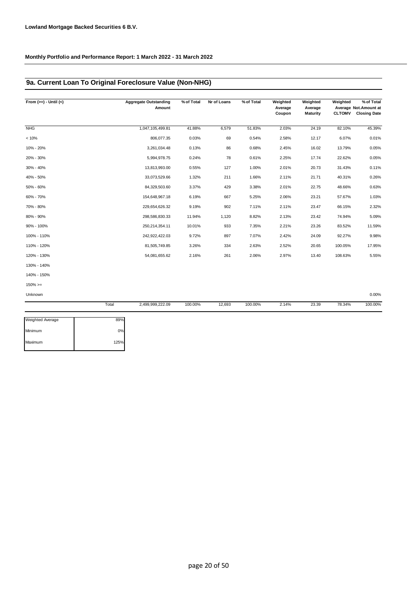### **9a. Current Loan To Original Foreclosure Value (Non-NHG)**

| From $(>=) -$ Until $(<)$ |       | <b>Aggregate Outstanding</b><br>Amount | % of Total | Nr of Loans | % of Total | Weighted<br>Average<br>Coupon | Weighted<br>Average<br>Maturity | Weighted<br><b>CLTOMV</b> | % of Total<br>Average Not. Amount at<br><b>Closing Date</b> |
|---------------------------|-------|----------------------------------------|------------|-------------|------------|-------------------------------|---------------------------------|---------------------------|-------------------------------------------------------------|
| <b>NHG</b>                |       | 1,047,105,499.81                       | 41.88%     | 6,579       | 51.83%     | 2.03%                         | 24.19                           | 82.10%                    | 45.39%                                                      |
| < 10%                     |       | 806,077.35                             | 0.03%      | 69          | 0.54%      | 2.58%                         | 12.17                           | 6.07%                     | 0.01%                                                       |
| 10% - 20%                 |       | 3,261,034.48                           | 0.13%      | 86          | 0.68%      | 2.45%                         | 16.02                           | 13.79%                    | 0.05%                                                       |
| 20% - 30%                 |       | 5,994,978.75                           | 0.24%      | 78          | 0.61%      | 2.25%                         | 17.74                           | 22.62%                    | 0.05%                                                       |
| 30% - 40%                 |       | 13,813,993.00                          | 0.55%      | 127         | 1.00%      | 2.01%                         | 20.73                           | 31.43%                    | 0.11%                                                       |
| 40% - 50%                 |       | 33,073,529.66                          | 1.32%      | 211         | 1.66%      | 2.11%                         | 21.71                           | 40.31%                    | 0.26%                                                       |
| 50% - 60%                 |       | 84,329,503.60                          | 3.37%      | 429         | 3.38%      | 2.01%                         | 22.75                           | 48.66%                    | 0.63%                                                       |
| 60% - 70%                 |       | 154,648,967.18                         | 6.19%      | 667         | 5.25%      | 2.06%                         | 23.21                           | 57.67%                    | 1.03%                                                       |
| 70% - 80%                 |       | 229,654,626.32                         | 9.19%      | 902         | 7.11%      | 2.11%                         | 23.47                           | 66.15%                    | 2.32%                                                       |
| 80% - 90%                 |       | 298,586,830.33                         | 11.94%     | 1,120       | 8.82%      | 2.13%                         | 23.42                           | 74.94%                    | 5.09%                                                       |
| 90% - 100%                |       | 250, 214, 354.11                       | 10.01%     | 933         | 7.35%      | 2.21%                         | 23.26                           | 83.52%                    | 11.59%                                                      |
| 100% - 110%               |       | 242,922,422.03                         | 9.72%      | 897         | 7.07%      | 2.42%                         | 24.09                           | 92.27%                    | 9.98%                                                       |
| 110% - 120%               |       | 81,505,749.85                          | 3.26%      | 334         | 2.63%      | 2.52%                         | 20.65                           | 100.05%                   | 17.95%                                                      |
| 120% - 130%               |       | 54,081,655.62                          | 2.16%      | 261         | 2.06%      | 2.97%                         | 13.40                           | 108.63%                   | 5.55%                                                       |
| 130% - 140%               |       |                                        |            |             |            |                               |                                 |                           |                                                             |
| 140% - 150%               |       |                                        |            |             |            |                               |                                 |                           |                                                             |
| $150\%>=$                 |       |                                        |            |             |            |                               |                                 |                           |                                                             |
| Unknown                   |       |                                        |            |             |            |                               |                                 |                           | 0.00%                                                       |
|                           | Total | 2,499,999,222.09                       | 100.00%    | 12,693      | 100.00%    | 2.14%                         | 23.39                           | 78.34%                    | 100.00%                                                     |

| <b>Weighted Average</b> | 89%  |
|-------------------------|------|
| Minimum                 | 0%   |
| Maximum                 | 125% |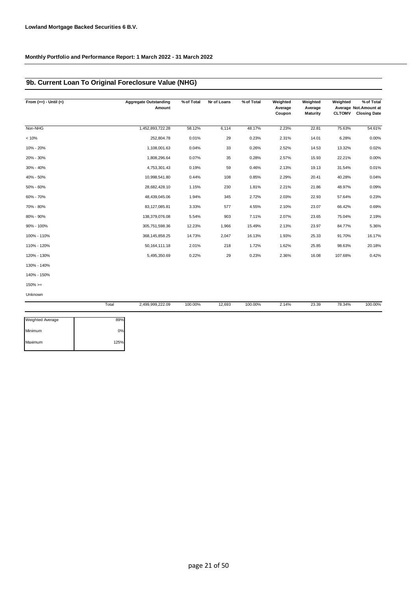### **9b. Current Loan To Original Foreclosure Value (NHG)**

| From $(>=) -$ Until $(<)$ | <b>Aggregate Outstanding</b><br>Amount | % of Total | Nr of Loans | % of Total | Weighted<br>Average<br>Coupon | Weighted<br>Average<br><b>Maturity</b> | Weighted<br><b>CLTOMV</b> | % of Total<br>Average Not.Amount at<br><b>Closing Date</b> |
|---------------------------|----------------------------------------|------------|-------------|------------|-------------------------------|----------------------------------------|---------------------------|------------------------------------------------------------|
| Non-NHG                   | 1,452,893,722.28                       | 58.12%     | 6,114       | 48.17%     | 2.23%                         | 22.81                                  | 75.63%                    | 54.61%                                                     |
| < 10%                     | 252,804.78                             | 0.01%      | 29          | 0.23%      | 2.31%                         | 14.01                                  | 6.28%                     | 0.00%                                                      |
| 10% - 20%                 | 1,108,001.63                           | 0.04%      | 33          | 0.26%      | 2.52%                         | 14.53                                  | 13.32%                    | 0.02%                                                      |
| 20% - 30%                 | 1,808,296.64                           | 0.07%      | 35          | 0.28%      | 2.57%                         | 15.93                                  | 22.21%                    | 0.00%                                                      |
| 30% - 40%                 | 4,753,301.43                           | 0.19%      | 59          | 0.46%      | 2.13%                         | 19.13                                  | 31.54%                    | 0.01%                                                      |
| 40% - 50%                 | 10,998,541.80                          | 0.44%      | 108         | 0.85%      | 2.29%                         | 20.41                                  | 40.28%                    | 0.04%                                                      |
| 50% - 60%                 | 28,682,428.10                          | 1.15%      | 230         | 1.81%      | 2.21%                         | 21.86                                  | 48.97%                    | 0.09%                                                      |
| 60% - 70%                 | 48,439,045.06                          | 1.94%      | 345         | 2.72%      | 2.03%                         | 22.93                                  | 57.64%                    | 0.23%                                                      |
| 70% - 80%                 | 83,127,085.81                          | 3.33%      | 577         | 4.55%      | 2.10%                         | 23.07                                  | 66.42%                    | 0.69%                                                      |
| 80% - 90%                 | 138,379,076.08                         | 5.54%      | 903         | 7.11%      | 2.07%                         | 23.65                                  | 75.04%                    | 2.19%                                                      |
| 90% - 100%                | 305,751,598.36                         | 12.23%     | 1,966       | 15.49%     | 2.13%                         | 23.97                                  | 84.77%                    | 5.36%                                                      |
| 100% - 110%               | 368, 145, 858.25                       | 14.73%     | 2,047       | 16.13%     | 1.93%                         | 25.33                                  | 91.70%                    | 16.17%                                                     |
| 110% - 120%               | 50, 164, 111. 18                       | 2.01%      | 218         | 1.72%      | 1.62%                         | 25.85                                  | 98.63%                    | 20.18%                                                     |
| 120% - 130%               | 5,495,350.69                           | 0.22%      | 29          | 0.23%      | 2.36%                         | 16.08                                  | 107.68%                   | 0.42%                                                      |
| 130% - 140%               |                                        |            |             |            |                               |                                        |                           |                                                            |
| 140% - 150%               |                                        |            |             |            |                               |                                        |                           |                                                            |
| $150\%>=$                 |                                        |            |             |            |                               |                                        |                           |                                                            |
| <b>Unknown</b>            |                                        |            |             |            |                               |                                        |                           |                                                            |

|                         | Total | 2,499,999,222.09 | 100.00% | 12,693 | 100.00% | 2.14% | 23.39 | 78.34% | 100.00% |
|-------------------------|-------|------------------|---------|--------|---------|-------|-------|--------|---------|
| <b>Weighted Average</b> | 89%   |                  |         |        |         |       |       |        |         |
| Minimum                 | 0%    |                  |         |        |         |       |       |        |         |
| Maximum                 | 125%  |                  |         |        |         |       |       |        |         |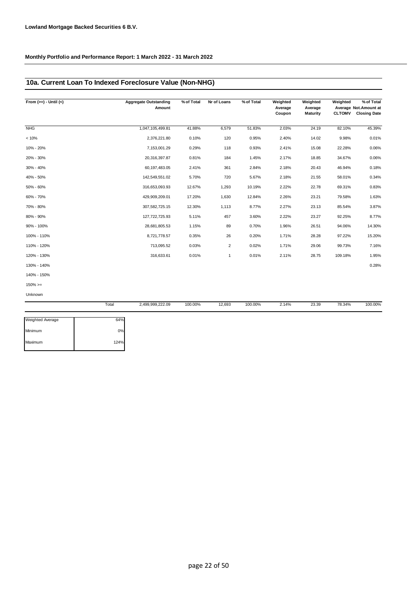### **10a. Current Loan To Indexed Foreclosure Value (Non-NHG)**

| From $(>=) -$ Until $(<)$ | <b>Aggregate Outstanding</b><br>Amount | % of Total | Nr of Loans    | % of Total | Weighted<br>Average<br>Coupon | Weighted<br>Average<br><b>Maturity</b> | Weighted<br><b>CLTOMV</b> | % of Total<br>Average Not.Amount at<br><b>Closing Date</b> |
|---------------------------|----------------------------------------|------------|----------------|------------|-------------------------------|----------------------------------------|---------------------------|------------------------------------------------------------|
| <b>NHG</b>                | 1,047,105,499.81                       | 41.88%     | 6,579          | 51.83%     | 2.03%                         | 24.19                                  | 82.10%                    | 45.39%                                                     |
| < 10%                     | 2,376,221.80                           | 0.10%      | 120            | 0.95%      | 2.40%                         | 14.02                                  | 9.98%                     | 0.01%                                                      |
| 10% - 20%                 | 7,153,001.29                           | 0.29%      | 118            | 0.93%      | 2.41%                         | 15.08                                  | 22.28%                    | 0.06%                                                      |
| 20% - 30%                 | 20,316,397.87                          | 0.81%      | 184            | 1.45%      | 2.17%                         | 18.85                                  | 34.67%                    | 0.06%                                                      |
| 30% - 40%                 | 60,197,483.05                          | 2.41%      | 361            | 2.84%      | 2.18%                         | 20.43                                  | 46.94%                    | 0.18%                                                      |
| 40% - 50%                 | 142,549,551.02                         | 5.70%      | 720            | 5.67%      | 2.18%                         | 21.55                                  | 58.01%                    | 0.34%                                                      |
| 50% - 60%                 | 316,653,093.93                         | 12.67%     | 1,293          | 10.19%     | 2.22%                         | 22.78                                  | 69.31%                    | 0.83%                                                      |
| 60% - 70%                 | 429,909,209.01                         | 17.20%     | 1,630          | 12.84%     | 2.26%                         | 23.21                                  | 79.58%                    | 1.63%                                                      |
| 70% - 80%                 | 307,582,725.15                         | 12.30%     | 1,113          | 8.77%      | 2.27%                         | 23.13                                  | 85.54%                    | 3.87%                                                      |
| 80% - 90%                 | 127,722,725.93                         | 5.11%      | 457            | 3.60%      | 2.22%                         | 23.27                                  | 92.25%                    | 8.77%                                                      |
| 90% - 100%                | 28,681,805.53                          | 1.15%      | 89             | 0.70%      | 1.96%                         | 26.51                                  | 94.06%                    | 14.30%                                                     |
| 100% - 110%               | 8,721,778.57                           | 0.35%      | 26             | 0.20%      | 1.71%                         | 28.28                                  | 97.22%                    | 15.20%                                                     |
| 110% - 120%               | 713,095.52                             | 0.03%      | $\overline{2}$ | 0.02%      | 1.71%                         | 29.06                                  | 99.73%                    | 7.16%                                                      |
| 120% - 130%               | 316,633.61                             | 0.01%      | $\mathbf{1}$   | 0.01%      | 2.11%                         | 28.75                                  | 109.18%                   | 1.95%                                                      |
| 130% - 140%               |                                        |            |                |            |                               |                                        |                           | 0.28%                                                      |
| 140% - 150%               |                                        |            |                |            |                               |                                        |                           |                                                            |
| $150\% > =$               |                                        |            |                |            |                               |                                        |                           |                                                            |

Unknown

|                         | Total | 2,499,999,222.09 | 100.00% | 12,693 | 100.00% | 2.14% | 23.39 | 78.34% | 100.00% |
|-------------------------|-------|------------------|---------|--------|---------|-------|-------|--------|---------|
| <b>Weighted Average</b> | 64%   |                  |         |        |         |       |       |        |         |
| Minimum                 | 0%    |                  |         |        |         |       |       |        |         |
| Maximum                 | 124%  |                  |         |        |         |       |       |        |         |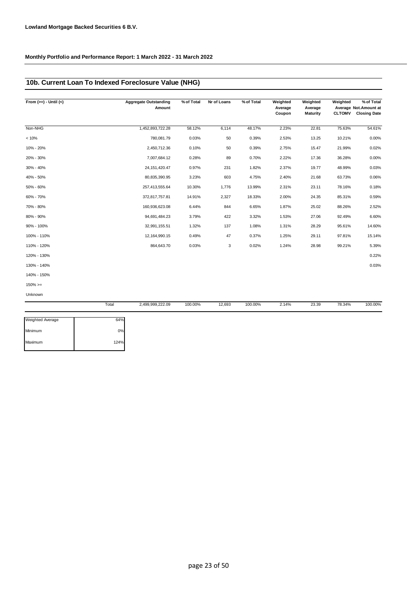### **10b. Current Loan To Indexed Foreclosure Value (NHG)**

| From $(>=) -$ Until $(<)$ |       | <b>Aggregate Outstanding</b><br>Amount | % of Total | Nr of Loans | % of Total | Weighted<br>Average<br>Coupon | Weighted<br>Average<br><b>Maturity</b> | Weighted<br><b>CLTOMV</b> | % of Total<br>Average Not.Amount at<br><b>Closing Date</b> |
|---------------------------|-------|----------------------------------------|------------|-------------|------------|-------------------------------|----------------------------------------|---------------------------|------------------------------------------------------------|
| Non-NHG                   |       | 1,452,893,722.28                       | 58.12%     | 6,114       | 48.17%     | 2.23%                         | 22.81                                  | 75.63%                    | 54.61%                                                     |
| < 10%                     |       | 780,081.79                             | 0.03%      | 50          | 0.39%      | 2.53%                         | 13.25                                  | 10.21%                    | 0.00%                                                      |
| 10% - 20%                 |       | 2,450,712.36                           | 0.10%      | 50          | 0.39%      | 2.75%                         | 15.47                                  | 21.99%                    | 0.02%                                                      |
| 20% - 30%                 |       | 7,007,684.12                           | 0.28%      | 89          | 0.70%      | 2.22%                         | 17.36                                  | 36.28%                    | 0.00%                                                      |
| 30% - 40%                 |       | 24, 151, 420. 47                       | 0.97%      | 231         | 1.82%      | 2.37%                         | 19.77                                  | 48.99%                    | 0.03%                                                      |
| 40% - 50%                 |       | 80,835,390.95                          | 3.23%      | 603         | 4.75%      | 2.40%                         | 21.68                                  | 63.73%                    | 0.06%                                                      |
| 50% - 60%                 |       | 257,413,555.64                         | 10.30%     | 1,776       | 13.99%     | 2.31%                         | 23.11                                  | 78.16%                    | 0.18%                                                      |
| 60% - 70%                 |       | 372,817,757.81                         | 14.91%     | 2,327       | 18.33%     | 2.00%                         | 24.35                                  | 85.31%                    | 0.59%                                                      |
| 70% - 80%                 |       | 160,936,623.08                         | 6.44%      | 844         | 6.65%      | 1.87%                         | 25.02                                  | 88.26%                    | 2.52%                                                      |
| 80% - 90%                 |       | 94,691,484.23                          | 3.79%      | 422         | 3.32%      | 1.53%                         | 27.06                                  | 92.49%                    | 6.60%                                                      |
| 90% - 100%                |       | 32,991,155.51                          | 1.32%      | 137         | 1.08%      | 1.31%                         | 28.29                                  | 95.61%                    | 14.60%                                                     |
| 100% - 110%               |       | 12,164,990.15                          | 0.49%      | 47          | 0.37%      | 1.25%                         | 29.11                                  | 97.81%                    | 15.14%                                                     |
| 110% - 120%               |       | 864,643.70                             | 0.03%      | 3           | 0.02%      | 1.24%                         | 28.98                                  | 99.21%                    | 5.39%                                                      |
| 120% - 130%               |       |                                        |            |             |            |                               |                                        |                           | 0.22%                                                      |
| 130% - 140%               |       |                                        |            |             |            |                               |                                        |                           | 0.03%                                                      |
| 140% - 150%               |       |                                        |            |             |            |                               |                                        |                           |                                                            |
| $150\%>=$                 |       |                                        |            |             |            |                               |                                        |                           |                                                            |
| Unknown                   |       |                                        |            |             |            |                               |                                        |                           |                                                            |
|                           | Total | 2,499,999,222.09                       | 100.00%    | 12,693      | 100.00%    | 2.14%                         | 23.39                                  | 78.34%                    | 100.00%                                                    |

| <b>Weighted Average</b> | 64%  |
|-------------------------|------|
| Minimum                 | 0%   |
| Maximum                 | 124% |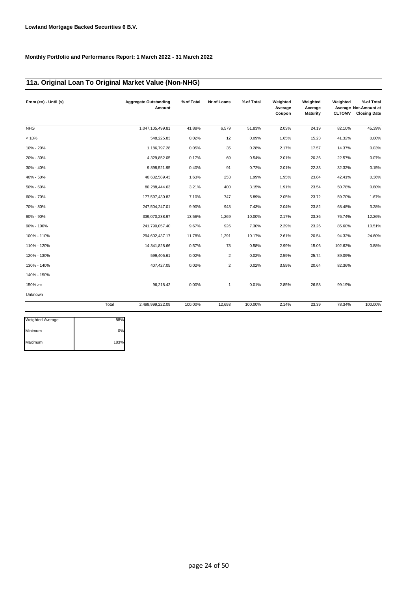### **11a. Original Loan To Original Market Value (Non-NHG)**

| From $(>=) -$ Until $(<)$ |       | <b>Aggregate Outstanding</b><br>Amount | % of Total | Nr of Loans    | % of Total | Weighted<br>Average<br>Coupon | Weighted<br>Average<br>Maturity | Weighted<br><b>CLTOMV</b> | % of Total<br>Average Not. Amount at<br><b>Closing Date</b> |
|---------------------------|-------|----------------------------------------|------------|----------------|------------|-------------------------------|---------------------------------|---------------------------|-------------------------------------------------------------|
| <b>NHG</b>                |       | 1,047,105,499.81                       | 41.88%     | 6,579          | 51.83%     | 2.03%                         | 24.19                           | 82.10%                    | 45.39%                                                      |
| < 10%                     |       | 548,225.83                             | 0.02%      | 12             | 0.09%      | 1.65%                         | 15.23                           | 41.32%                    | 0.00%                                                       |
| 10% - 20%                 |       | 1,186,797.28                           | 0.05%      | 35             | 0.28%      | 2.17%                         | 17.57                           | 14.37%                    | 0.03%                                                       |
| 20% - 30%                 |       | 4,329,852.05                           | 0.17%      | 69             | 0.54%      | 2.01%                         | 20.36                           | 22.57%                    | 0.07%                                                       |
| 30% - 40%                 |       | 9,898,521.95                           | 0.40%      | 91             | 0.72%      | 2.01%                         | 22.33                           | 32.32%                    | 0.15%                                                       |
| 40% - 50%                 |       | 40,632,589.43                          | 1.63%      | 253            | 1.99%      | 1.95%                         | 23.84                           | 42.41%                    | 0.36%                                                       |
| 50% - 60%                 |       | 80,288,444.63                          | 3.21%      | 400            | 3.15%      | 1.91%                         | 23.54                           | 50.78%                    | 0.80%                                                       |
| 60% - 70%                 |       | 177,597,430.82                         | 7.10%      | 747            | 5.89%      | 2.05%                         | 23.72                           | 59.70%                    | 1.67%                                                       |
| 70% - 80%                 |       | 247,504,247.01                         | 9.90%      | 943            | 7.43%      | 2.04%                         | 23.82                           | 68.48%                    | 3.28%                                                       |
| 80% - 90%                 |       | 339,070,238.97                         | 13.56%     | 1,269          | 10.00%     | 2.17%                         | 23.36                           | 76.74%                    | 12.26%                                                      |
| 90% - 100%                |       | 241,790,057.40                         | 9.67%      | 926            | 7.30%      | 2.29%                         | 23.26                           | 85.60%                    | 10.51%                                                      |
| 100% - 110%               |       | 294,602,437.17                         | 11.78%     | 1,291          | 10.17%     | 2.61%                         | 20.54                           | 94.32%                    | 24.60%                                                      |
| 110% - 120%               |       | 14,341,828.66                          | 0.57%      | 73             | 0.58%      | 2.99%                         | 15.06                           | 102.62%                   | 0.88%                                                       |
| 120% - 130%               |       | 599,405.61                             | 0.02%      | $\overline{2}$ | 0.02%      | 2.59%                         | 25.74                           | 89.09%                    |                                                             |
| 130% - 140%               |       | 407,427.05                             | 0.02%      | $\overline{2}$ | 0.02%      | 3.59%                         | 20.64                           | 82.36%                    |                                                             |
| 140% - 150%               |       |                                        |            |                |            |                               |                                 |                           |                                                             |
| $150\%>=$                 |       | 96,218.42                              | 0.00%      | $\mathbf{1}$   | 0.01%      | 2.85%                         | 26.58                           | 99.19%                    |                                                             |
| Unknown                   |       |                                        |            |                |            |                               |                                 |                           |                                                             |
|                           | Total | 2,499,999,222.09                       | 100.00%    | 12,693         | 100.00%    | 2.14%                         | 23.39                           | 78.34%                    | 100.00%                                                     |

| <b>Weighted Average</b> | 88%  |
|-------------------------|------|
| Minimum                 | 0%   |
| Maximum                 | 183% |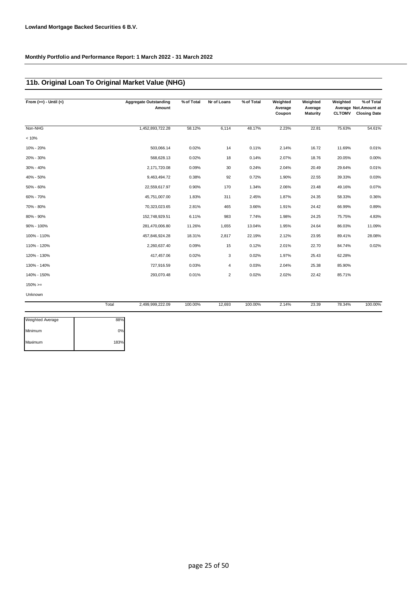### **11b. Original Loan To Original Market Value (NHG)**

| From $(>=) -$ Until $(<)$ |       | <b>Aggregate Outstanding</b><br>Amount | % of Total | Nr of Loans    | % of Total | Weighted<br>Average<br>Coupon | Weighted<br>Average<br><b>Maturity</b> | Weighted<br><b>CLTOMV</b> | % of Total<br>Average Not.Amount at<br><b>Closing Date</b> |
|---------------------------|-------|----------------------------------------|------------|----------------|------------|-------------------------------|----------------------------------------|---------------------------|------------------------------------------------------------|
| Non-NHG                   |       | 1,452,893,722.28                       | 58.12%     | 6,114          | 48.17%     | 2.23%                         | 22.81                                  | 75.63%                    | 54.61%                                                     |
| < 10%                     |       |                                        |            |                |            |                               |                                        |                           |                                                            |
| 10% - 20%                 |       | 503,066.14                             | 0.02%      | 14             | 0.11%      | 2.14%                         | 16.72                                  | 11.69%                    | 0.01%                                                      |
| 20% - 30%                 |       | 568,628.13                             | 0.02%      | 18             | 0.14%      | 2.07%                         | 18.76                                  | 20.05%                    | 0.00%                                                      |
| 30% - 40%                 |       | 2,171,720.08                           | 0.09%      | 30             | 0.24%      | 2.04%                         | 20.49                                  | 29.64%                    | 0.01%                                                      |
| 40% - 50%                 |       | 9,463,494.72                           | 0.38%      | 92             | 0.72%      | 1.90%                         | 22.55                                  | 39.33%                    | 0.03%                                                      |
| 50% - 60%                 |       | 22,559,617.97                          | 0.90%      | 170            | 1.34%      | 2.06%                         | 23.48                                  | 49.16%                    | 0.07%                                                      |
| 60% - 70%                 |       | 45,751,007.00                          | 1.83%      | 311            | 2.45%      | 1.87%                         | 24.35                                  | 58.33%                    | 0.36%                                                      |
| 70% - 80%                 |       | 70,323,023.65                          | 2.81%      | 465            | 3.66%      | 1.91%                         | 24.42                                  | 66.99%                    | 0.89%                                                      |
| 80% - 90%                 |       | 152,748,929.51                         | 6.11%      | 983            | 7.74%      | 1.98%                         | 24.25                                  | 75.75%                    | 4.83%                                                      |
| 90% - 100%                |       | 281,470,006.80                         | 11.26%     | 1,655          | 13.04%     | 1.95%                         | 24.64                                  | 86.03%                    | 11.09%                                                     |
| 100% - 110%               |       | 457,846,924.28                         | 18.31%     | 2,817          | 22.19%     | 2.12%                         | 23.95                                  | 89.41%                    | 28.08%                                                     |
| 110% - 120%               |       | 2,260,637.40                           | 0.09%      | 15             | 0.12%      | 2.01%                         | 22.70                                  | 84.74%                    | 0.02%                                                      |
| 120% - 130%               |       | 417,457.06                             | 0.02%      | 3              | 0.02%      | 1.97%                         | 25.43                                  | 62.28%                    |                                                            |
| 130% - 140%               |       | 727,916.59                             | 0.03%      | 4              | 0.03%      | 2.04%                         | 25.38                                  | 85.90%                    |                                                            |
| 140% - 150%               |       | 293,070.48                             | 0.01%      | $\overline{2}$ | 0.02%      | 2.02%                         | 22.42                                  | 85.71%                    |                                                            |
| $150\%>=$                 |       |                                        |            |                |            |                               |                                        |                           |                                                            |
| Unknown                   |       |                                        |            |                |            |                               |                                        |                           |                                                            |
|                           | Total | 2,499,999,222.09                       | 100.00%    | 12,693         | 100.00%    | 2.14%                         | 23.39                                  | 78.34%                    | 100.00%                                                    |

| <b>Weighted Average</b> | 88%  |
|-------------------------|------|
| Minimum                 | 0%   |
| Maximum                 | 183% |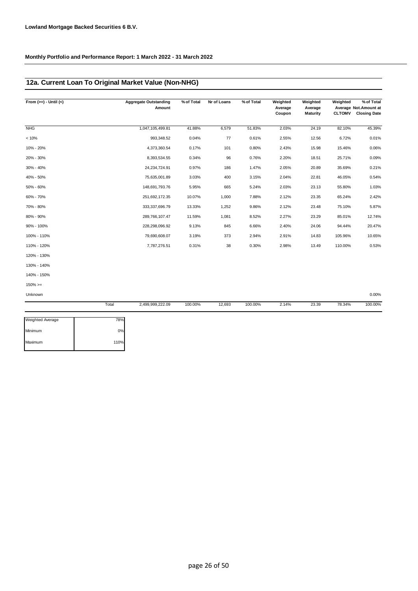### **12a. Current Loan To Original Market Value (Non-NHG)**

| From $(>=) -$ Until $(<)$ |       | <b>Aggregate Outstanding</b><br>Amount | % of Total | Nr of Loans | % of Total | Weighted<br>Average<br>Coupon | Weighted<br>Average<br>Maturity | Weighted<br><b>CLTOMV</b> | % of Total<br>Average Not. Amount at<br><b>Closing Date</b> |
|---------------------------|-------|----------------------------------------|------------|-------------|------------|-------------------------------|---------------------------------|---------------------------|-------------------------------------------------------------|
| <b>NHG</b>                |       | 1,047,105,499.81                       | 41.88%     | 6,579       | 51.83%     | 2.03%                         | 24.19                           | 82.10%                    | 45.39%                                                      |
| < 10%                     |       | 993,348.52                             | 0.04%      | 77          | 0.61%      | 2.55%                         | 12.56                           | 6.72%                     | 0.01%                                                       |
| 10% - 20%                 |       | 4,373,360.54                           | 0.17%      | 101         | 0.80%      | 2.43%                         | 15.98                           | 15.46%                    | 0.06%                                                       |
| 20% - 30%                 |       | 8,393,534.55                           | 0.34%      | 96          | 0.76%      | 2.20%                         | 18.51                           | 25.71%                    | 0.09%                                                       |
| 30% - 40%                 |       | 24,234,724.91                          | 0.97%      | 186         | 1.47%      | 2.05%                         | 20.89                           | 35.69%                    | 0.21%                                                       |
| 40% - 50%                 |       | 75,635,001.89                          | 3.03%      | 400         | 3.15%      | 2.04%                         | 22.81                           | 46.05%                    | 0.54%                                                       |
| 50% - 60%                 |       | 148,691,793.76                         | 5.95%      | 665         | 5.24%      | 2.03%                         | 23.13                           | 55.80%                    | 1.03%                                                       |
| 60% - 70%                 |       | 251,692,172.35                         | 10.07%     | 1,000       | 7.88%      | 2.12%                         | 23.35                           | 65.24%                    | 2.42%                                                       |
| 70% - 80%                 |       | 333, 337, 696. 79                      | 13.33%     | 1,252       | 9.86%      | 2.12%                         | 23.48                           | 75.10%                    | 5.87%                                                       |
| 80% - 90%                 |       | 289,766,107.47                         | 11.59%     | 1,081       | 8.52%      | 2.27%                         | 23.29                           | 85.01%                    | 12.74%                                                      |
| 90% - 100%                |       | 228,298,096.92                         | 9.13%      | 845         | 6.66%      | 2.40%                         | 24.06                           | 94.44%                    | 20.47%                                                      |
| 100% - 110%               |       | 79,690,608.07                          | 3.19%      | 373         | 2.94%      | 2.91%                         | 14.83                           | 105.96%                   | 10.65%                                                      |
| 110% - 120%               |       | 7,787,276.51                           | 0.31%      | 38          | 0.30%      | 2.98%                         | 13.49                           | 110.00%                   | 0.53%                                                       |
| 120% - 130%               |       |                                        |            |             |            |                               |                                 |                           |                                                             |
| 130% - 140%               |       |                                        |            |             |            |                               |                                 |                           |                                                             |
| 140% - 150%               |       |                                        |            |             |            |                               |                                 |                           |                                                             |
| $150\%>=$                 |       |                                        |            |             |            |                               |                                 |                           |                                                             |
| Unknown                   |       |                                        |            |             |            |                               |                                 |                           | 0.00%                                                       |
|                           | Total | 2,499,999,222.09                       | 100.00%    | 12,693      | 100.00%    | 2.14%                         | 23.39                           | 78.34%                    | 100.00%                                                     |

| <b>Weighted Average</b> | 78%  |
|-------------------------|------|
| Minimum                 | 0%   |
| Maximum                 | 110% |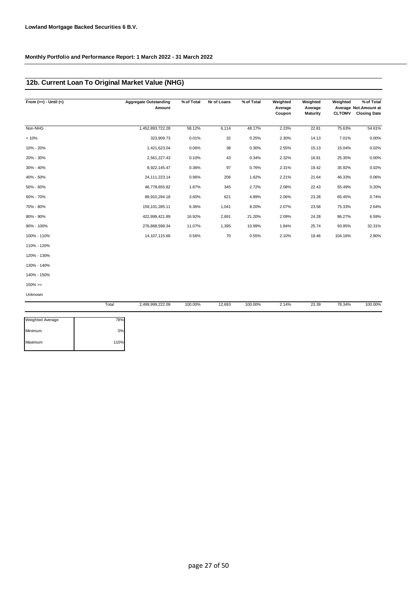### **12b. Current Loan To Original Market Value (NHG)**

| From $(>=) -$ Until $(<)$ | <b>Aggregate Outstanding</b><br>Amount | % of Total | Nr of Loans | % of Total | Weighted<br>Average<br>Coupon | Weighted<br>Average<br>Maturity | Weighted<br><b>CLTOMV</b> | % of Total<br>Average Not. Amount at<br><b>Closing Date</b> |
|---------------------------|----------------------------------------|------------|-------------|------------|-------------------------------|---------------------------------|---------------------------|-------------------------------------------------------------|
| Non-NHG                   | 1,452,893,722.28                       | 58.12%     | 6,114       | 48.17%     | 2.23%                         | 22.81                           | 75.63%                    | 54.61%                                                      |
| < 10%                     | 323,909.73                             | 0.01%      | 32          | 0.25%      | 2.30%                         | 14.13                           | 7.01%                     | 0.00%                                                       |
| 10% - 20%                 | 1,421,623.04                           | 0.06%      | 38          | 0.30%      | 2.55%                         | 15.13                           | 15.04%                    | 0.02%                                                       |
| 20% - 30%                 | 2,561,227.43                           | 0.10%      | 43          | 0.34%      | 2.32%                         | 16.81                           | 25.35%                    | 0.00%                                                       |
| 30% - 40%                 | 8,922,145.47                           | 0.36%      | 97          | 0.76%      | 2.31%                         | 19.42                           | 35.92%                    | 0.02%                                                       |
| 40% - 50%                 | 24, 111, 223. 14                       | 0.96%      | 206         | 1.62%      | 2.21%                         | 21.64                           | 46.33%                    | 0.06%                                                       |
| 50% - 60%                 | 46,778,655.82                          | 1.87%      | 345         | 2.72%      | 2.08%                         | 22.43                           | 55.49%                    | 0.20%                                                       |
| 60% - 70%                 | 89,910,294.18                          | 3.60%      | 621         | 4.89%      | 2.06%                         | 23.28                           | 65.45%                    | 0.74%                                                       |
| 70% - 80%                 | 159, 101, 285. 11                      | 6.36%      | 1,041       | 8.20%      | 2.07%                         | 23.58                           | 75.33%                    | 2.64%                                                       |
| 80% - 90%                 | 422,999,421.89                         | 16.92%     | 2,691       | 21.20%     | 2.09%                         | 24.28                           | 86.27%                    | 6.59%                                                       |
| 90% - 100%                | 276,868,598.34                         | 11.07%     | 1,395       | 10.99%     | 1.84%                         | 25.74                           | 93.95%                    | 32.31%                                                      |
| 100% - 110%               | 14, 107, 115.66                        | 0.56%      | 70          | 0.55%      | 2.10%                         | 19.46                           | 104.16%                   | 2.80%                                                       |
| 110% - 120%               |                                        |            |             |            |                               |                                 |                           |                                                             |
| 120% - 130%               |                                        |            |             |            |                               |                                 |                           |                                                             |
| 130% - 140%               |                                        |            |             |            |                               |                                 |                           |                                                             |
| 140% - 150%               |                                        |            |             |            |                               |                                 |                           |                                                             |
| $150\%>=$                 |                                        |            |             |            |                               |                                 |                           |                                                             |
| Unknown                   |                                        |            |             |            |                               |                                 |                           |                                                             |

|                         | Total | 2,499,999,222.09 | 100.00% | 12,693 | 100.00% | 2.14% | 23.39 | 78.34% | 100.00% |
|-------------------------|-------|------------------|---------|--------|---------|-------|-------|--------|---------|
|                         |       |                  |         |        |         |       |       |        |         |
| <b>Weighted Average</b> | 78%   |                  |         |        |         |       |       |        |         |
| Minimum                 | 0%    |                  |         |        |         |       |       |        |         |
| Maximum                 | 110%  |                  |         |        |         |       |       |        |         |
|                         |       |                  |         |        |         |       |       |        |         |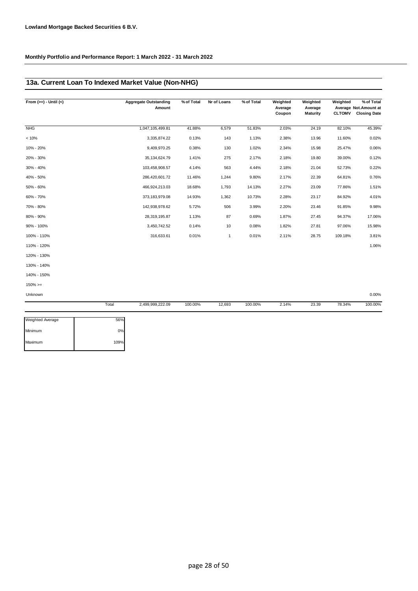### **13a. Current Loan To Indexed Market Value (Non-NHG)**

| From $(>=) -$ Until $(<)$ |       | <b>Aggregate Outstanding</b><br>Amount | % of Total | Nr of Loans  | % of Total | Weighted<br>Average<br>Coupon | Weighted<br>Average<br>Maturity | Weighted<br><b>CLTOMV</b> | % of Total<br>Average Not.Amount at<br><b>Closing Date</b> |
|---------------------------|-------|----------------------------------------|------------|--------------|------------|-------------------------------|---------------------------------|---------------------------|------------------------------------------------------------|
| <b>NHG</b>                |       | 1,047,105,499.81                       | 41.88%     | 6,579        | 51.83%     | 2.03%                         | 24.19                           | 82.10%                    | 45.39%                                                     |
| < 10%                     |       | 3,335,874.22                           | 0.13%      | 143          | 1.13%      | 2.38%                         | 13.96                           | 11.60%                    | 0.02%                                                      |
| 10% - 20%                 |       | 9,409,970.25                           | 0.38%      | 130          | 1.02%      | 2.34%                         | 15.98                           | 25.47%                    | 0.06%                                                      |
| 20% - 30%                 |       | 35, 134, 624. 79                       | 1.41%      | 275          | 2.17%      | 2.18%                         | 19.80                           | 39.00%                    | 0.12%                                                      |
| 30% - 40%                 |       | 103,458,908.57                         | 4.14%      | 563          | 4.44%      | 2.18%                         | 21.04                           | 52.73%                    | 0.22%                                                      |
| 40% - 50%                 |       | 286,420,601.72                         | 11.46%     | 1,244        | 9.80%      | 2.17%                         | 22.39                           | 64.81%                    | 0.76%                                                      |
| 50% - 60%                 |       | 466,924,213.03                         | 18.68%     | 1,793        | 14.13%     | 2.27%                         | 23.09                           | 77.86%                    | 1.51%                                                      |
| 60% - 70%                 |       | 373, 183, 979.08                       | 14.93%     | 1,362        | 10.73%     | 2.28%                         | 23.17                           | 84.92%                    | 4.01%                                                      |
| 70% - 80%                 |       | 142,938,978.62                         | 5.72%      | 506          | 3.99%      | 2.20%                         | 23.46                           | 91.85%                    | 9.98%                                                      |
| 80% - 90%                 |       | 28,319,195.87                          | 1.13%      | 87           | 0.69%      | 1.87%                         | 27.45                           | 94.37%                    | 17.06%                                                     |
| 90% - 100%                |       | 3,450,742.52                           | 0.14%      | 10           | 0.08%      | 1.82%                         | 27.81                           | 97.06%                    | 15.98%                                                     |
| 100% - 110%               |       | 316,633.61                             | 0.01%      | $\mathbf{1}$ | 0.01%      | 2.11%                         | 28.75                           | 109.18%                   | 3.81%                                                      |
| 110% - 120%               |       |                                        |            |              |            |                               |                                 |                           | 1.06%                                                      |
| 120% - 130%               |       |                                        |            |              |            |                               |                                 |                           |                                                            |
| 130% - 140%               |       |                                        |            |              |            |                               |                                 |                           |                                                            |
| 140% - 150%               |       |                                        |            |              |            |                               |                                 |                           |                                                            |
| $150\% > =$               |       |                                        |            |              |            |                               |                                 |                           |                                                            |
| Unknown                   |       |                                        |            |              |            |                               |                                 |                           | 0.00%                                                      |
|                           | Total | 2,499,999,222.09                       | 100.00%    | 12,693       | 100.00%    | 2.14%                         | 23.39                           | 78.34%                    | 100.00%                                                    |

| 56%  |
|------|
| 0%   |
| 109% |
|      |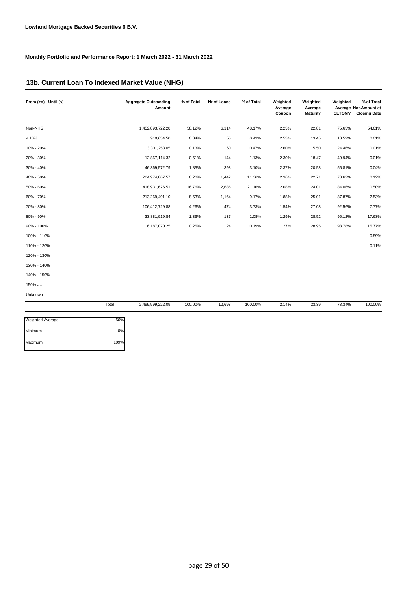### **13b. Current Loan To Indexed Market Value (NHG)**

| From $(>=) -$ Until $($ |       | <b>Aggregate Outstanding</b><br>Amount | % of Total | Nr of Loans | % of Total | Weighted<br>Average<br>Coupon | Weighted<br>Average<br><b>Maturity</b> | Weighted<br><b>CLTOMV</b> | % of Total<br>Average Not. Amount at<br><b>Closing Date</b> |
|-------------------------|-------|----------------------------------------|------------|-------------|------------|-------------------------------|----------------------------------------|---------------------------|-------------------------------------------------------------|
| Non-NHG                 |       | 1,452,893,722.28                       | 58.12%     | 6,114       | 48.17%     | 2.23%                         | 22.81                                  | 75.63%                    | 54.61%                                                      |
|                         |       |                                        |            |             |            |                               |                                        |                           |                                                             |
| < 10%                   |       | 910,654.50                             | 0.04%      | 55          | 0.43%      | 2.53%                         | 13.45                                  | 10.59%                    | 0.01%                                                       |
| 10% - 20%               |       | 3,301,253.05                           | 0.13%      | 60          | 0.47%      | 2.60%                         | 15.50                                  | 24.46%                    | 0.01%                                                       |
| 20% - 30%               |       | 12,867,114.32                          | 0.51%      | 144         | 1.13%      | 2.30%                         | 18.47                                  | 40.94%                    | 0.01%                                                       |
| 30% - 40%               |       | 46,369,572.79                          | 1.85%      | 393         | 3.10%      | 2.37%                         | 20.58                                  | 55.81%                    | 0.04%                                                       |
| 40% - 50%               |       | 204,974,067.57                         | 8.20%      | 1,442       | 11.36%     | 2.36%                         | 22.71                                  | 73.62%                    | 0.12%                                                       |
| 50% - 60%               |       | 418,931,626.51                         | 16.76%     | 2,686       | 21.16%     | 2.08%                         | 24.01                                  | 84.06%                    | 0.50%                                                       |
| 60% - 70%               |       | 213,269,491.10                         | 8.53%      | 1,164       | 9.17%      | 1.88%                         | 25.01                                  | 87.87%                    | 2.53%                                                       |
| 70% - 80%               |       | 106,412,729.88                         | 4.26%      | 474         | 3.73%      | 1.54%                         | 27.08                                  | 92.56%                    | 7.77%                                                       |
| 80% - 90%               |       | 33,881,919.84                          | 1.36%      | 137         | 1.08%      | 1.29%                         | 28.52                                  | 96.12%                    | 17.63%                                                      |
| 90% - 100%              |       | 6,187,070.25                           | 0.25%      | 24          | 0.19%      | 1.27%                         | 28.95                                  | 98.78%                    | 15.77%                                                      |
| 100% - 110%             |       |                                        |            |             |            |                               |                                        |                           | 0.89%                                                       |
| 110% - 120%             |       |                                        |            |             |            |                               |                                        |                           | 0.11%                                                       |
| 120% - 130%             |       |                                        |            |             |            |                               |                                        |                           |                                                             |
| 130% - 140%             |       |                                        |            |             |            |                               |                                        |                           |                                                             |
| 140% - 150%             |       |                                        |            |             |            |                               |                                        |                           |                                                             |
| $150\%>=$               |       |                                        |            |             |            |                               |                                        |                           |                                                             |
| Unknown                 |       |                                        |            |             |            |                               |                                        |                           |                                                             |
|                         | Total | 2,499,999,222.09                       | 100.00%    | 12,693      | 100.00%    | 2.14%                         | 23.39                                  | 78.34%                    | 100.00%                                                     |

| 56%  |
|------|
| 0%   |
| 109% |
|      |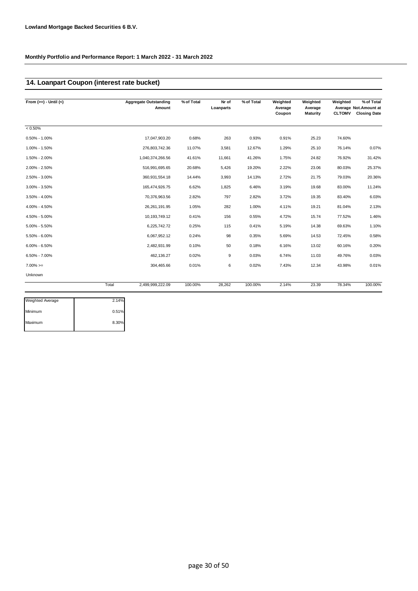## **14. Loanpart Coupon (interest rate bucket)**

| From $(>=) -$ Until $(<)$ | <b>Aggregate Outstanding</b><br>Amount | % of Total | Nr of<br>Loanparts | % of Total | Weighted<br>Average<br>Coupon | Weighted<br>Average<br>Maturity | Weighted<br><b>CLTOMV</b> | % of Total<br>Average Not. Amount at<br><b>Closing Date</b> |
|---------------------------|----------------------------------------|------------|--------------------|------------|-------------------------------|---------------------------------|---------------------------|-------------------------------------------------------------|
| $< 0.50\%$                |                                        |            |                    |            |                               |                                 |                           |                                                             |
| $0.50\% - 1.00\%$         | 17,047,903.20                          | 0.68%      | 263                | 0.93%      | 0.91%                         | 25.23                           | 74.60%                    |                                                             |
| 1.00% - 1.50%             | 276,803,742.36                         | 11.07%     | 3,581              | 12.67%     | 1.29%                         | 25.10                           | 76.14%                    | 0.07%                                                       |
| 1.50% - 2.00%             | 1,040,374,266.56                       | 41.61%     | 11,661             | 41.26%     | 1.75%                         | 24.82                           | 76.92%                    | 31.42%                                                      |
| 2.00% - 2.50%             | 516,991,695.65                         | 20.68%     | 5,426              | 19.20%     | 2.22%                         | 23.06                           | 80.03%                    | 25.37%                                                      |
| 2.50% - 3.00%             | 360,931,554.18                         | 14.44%     | 3,993              | 14.13%     | 2.72%                         | 21.75                           | 79.03%                    | 20.36%                                                      |
| $3.00\% - 3.50\%$         | 165,474,926.75                         | 6.62%      | 1,825              | 6.46%      | 3.19%                         | 19.68                           | 83.00%                    | 11.24%                                                      |
| $3.50\% - 4.00\%$         | 70,376,963.56                          | 2.82%      | 797                | 2.82%      | 3.72%                         | 19.35                           | 83.40%                    | 6.03%                                                       |
| 4.00% - 4.50%             | 26, 261, 191. 95                       | 1.05%      | 282                | 1.00%      | 4.11%                         | 19.21                           | 81.04%                    | 2.13%                                                       |
| 4.50% - 5.00%             | 10,193,749.12                          | 0.41%      | 156                | 0.55%      | 4.72%                         | 15.74                           | 77.52%                    | 1.46%                                                       |
| $5.00\% - 5.50\%$         | 6,225,742.72                           | 0.25%      | 115                | 0.41%      | 5.19%                         | 14.38                           | 69.63%                    | 1.10%                                                       |
| 5.50% - 6.00%             | 6,067,952.12                           | 0.24%      | 98                 | 0.35%      | 5.69%                         | 14.53                           | 72.45%                    | 0.58%                                                       |
| $6.00\% - 6.50\%$         | 2,482,931.99                           | 0.10%      | 50                 | 0.18%      | 6.16%                         | 13.02                           | 60.16%                    | 0.20%                                                       |
| $6.50\% - 7.00\%$         | 462,136.27                             | 0.02%      | 9                  | 0.03%      | 6.74%                         | 11.03                           | 49.76%                    | 0.03%                                                       |
| $7.00\%>=$                | 304,465.66                             | 0.01%      | 6                  | 0.02%      | 7.43%                         | 12.34                           | 43.98%                    | 0.01%                                                       |
| Unknown                   |                                        |            |                    |            |                               |                                 |                           |                                                             |
|                           | 2,499,999,222.09<br>Total              | 100.00%    | 28,262             | 100.00%    | 2.14%                         | 23.39                           | 78.34%                    | 100.00%                                                     |

| 2.14% |
|-------|
| 0.51% |
| 8.30% |
|       |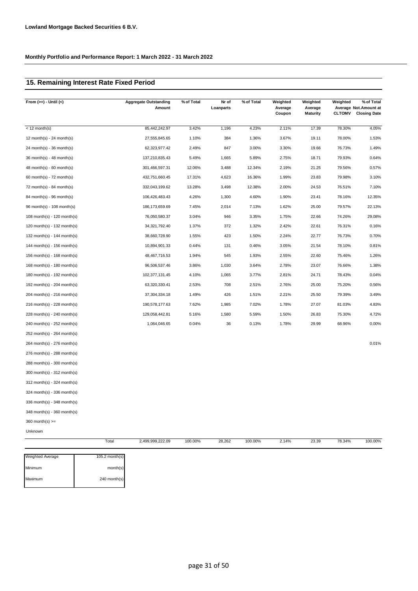### **15. Remaining Interest Rate Fixed Period**

| From $(>=) -$ Until $($         | <b>Aggregate Outstanding</b><br>Amount | % of Total | Nr of<br>Loanparts | % of Total | Weighted<br>Average<br>Coupon | Weighted<br>Average<br><b>Maturity</b> | Weighted<br><b>CLTOMV</b> | % of Total<br>Average Not.Amount at<br><b>Closing Date</b> |
|---------------------------------|----------------------------------------|------------|--------------------|------------|-------------------------------|----------------------------------------|---------------------------|------------------------------------------------------------|
| $<$ 12 month(s)                 | 85,442,242.97                          | 3.42%      | 1,196              | 4.23%      | 2.11%                         | 17.39                                  | 78.30%                    | 4.05%                                                      |
| 12 month(s) - 24 month(s)       | 27,555,845.65                          | 1.10%      | 384                | 1.36%      | 3.67%                         | 19.11                                  | 78.00%                    | 1.53%                                                      |
| $24$ month(s) - 36 month(s)     | 62,323,977.42                          | 2.49%      | 847                | 3.00%      | 3.30%                         | 19.66                                  | 76.73%                    | 1.49%                                                      |
| 36 month(s) - 48 month(s)       | 137,210,835.43                         | 5.49%      | 1,665              | 5.89%      | 2.75%                         | 18.71                                  | 79.93%                    | 0.64%                                                      |
| $48$ month(s) - 60 month(s)     | 301,466,597.31                         | 12.06%     | 3,488              | 12.34%     | 2.19%                         | 21.25                                  | 79.56%                    | 0.57%                                                      |
| $60$ month(s) - 72 month(s)     | 432,751,660.45                         | 17.31%     | 4,623              | 16.36%     | 1.99%                         | 23.83                                  | 79.98%                    | 3.10%                                                      |
| 72 month(s) - 84 month(s)       | 332,043,199.62                         | 13.28%     | 3,498              | 12.38%     | 2.00%                         | 24.53                                  | 76.51%                    | 7.10%                                                      |
| 84 month(s) - 96 month(s)       | 106,426,483.43                         | 4.26%      | 1,300              | 4.60%      | 1.90%                         | 23.41                                  | 78.16%                    | 12.35%                                                     |
| 96 month(s) - 108 month(s)      | 186, 173, 659. 69                      | 7.45%      | 2,014              | 7.13%      | 1.62%                         | 25.00                                  | 79.57%                    | 22.13%                                                     |
| 108 month(s) - 120 month(s)     | 76,050,580.37                          | 3.04%      | 946                | 3.35%      | 1.75%                         | 22.66                                  | 74.26%                    | 29.08%                                                     |
| $120$ month(s) - $132$ month(s) | 34, 321, 792. 40                       | 1.37%      | 372                | 1.32%      | 2.42%                         | 22.61                                  | 76.31%                    | 0.16%                                                      |
| 132 month(s) - $144$ month(s)   | 38,660,728.90                          | 1.55%      | 423                | 1.50%      | 2.24%                         | 22.77                                  | 76.73%                    | 0.70%                                                      |
| 144 month(s) - 156 month(s)     | 10,894,901.33                          | 0.44%      | 131                | 0.46%      | 3.05%                         | 21.54                                  | 78.10%                    | 0.81%                                                      |
| 156 month(s) - 168 month(s)     | 48,467,716.53                          | 1.94%      | 545                | 1.93%      | 2.55%                         | 22.60                                  | 75.46%                    | 1.26%                                                      |
| 168 month(s) - 180 month(s)     | 96,506,537.46                          | 3.86%      | 1,030              | 3.64%      | 2.78%                         | 23.07                                  | 76.66%                    | 1.38%                                                      |
| 180 month(s) - 192 month(s)     | 102,377,131.45                         | 4.10%      | 1,065              | 3.77%      | 2.81%                         | 24.71                                  | 78.43%                    | 0.04%                                                      |
| 192 month(s) - $204$ month(s)   | 63,320,330.41                          | 2.53%      | 708                | 2.51%      | 2.76%                         | 25.00                                  | 75.20%                    | 0.56%                                                      |
| 204 month(s) - 216 month(s)     | 37,304,334.18                          | 1.49%      | 426                | 1.51%      | 2.21%                         | 25.50                                  | 79.39%                    | 3.49%                                                      |
| $216$ month(s) - 228 month(s)   | 190,578,177.63                         | 7.62%      | 1,985              | 7.02%      | 1.78%                         | 27.07                                  | 81.03%                    | 4.83%                                                      |
| 228 month(s) - 240 month(s)     | 129,058,442.81                         | 5.16%      | 1,580              | 5.59%      | 1.50%                         | 26.83                                  | 75.30%                    | 4.72%                                                      |
| 240 month(s) - 252 month(s)     | 1,064,046.65                           | 0.04%      | 36                 | 0.13%      | 1.78%                         | 29.99                                  | 68.96%                    | 0.00%                                                      |
| $252$ month(s) - 264 month(s)   |                                        |            |                    |            |                               |                                        |                           |                                                            |
| $264$ month(s) - 276 month(s)   |                                        |            |                    |            |                               |                                        |                           | 0.01%                                                      |
| 276 month(s) - 288 month(s)     |                                        |            |                    |            |                               |                                        |                           |                                                            |
| $288$ month(s) - 300 month(s)   |                                        |            |                    |            |                               |                                        |                           |                                                            |
| 300 month(s) - 312 month(s)     |                                        |            |                    |            |                               |                                        |                           |                                                            |
| $312$ month(s) - 324 month(s)   |                                        |            |                    |            |                               |                                        |                           |                                                            |
| 324 month(s) - 336 month(s)     |                                        |            |                    |            |                               |                                        |                           |                                                            |
| 336 month(s) - 348 month(s)     |                                        |            |                    |            |                               |                                        |                           |                                                            |
| 348 month(s) - 360 month(s)     |                                        |            |                    |            |                               |                                        |                           |                                                            |
| $360$ month(s) $>=$             |                                        |            |                    |            |                               |                                        |                           |                                                            |
| Unknown                         |                                        |            |                    |            |                               |                                        |                           |                                                            |
|                                 | 2,499,999,222.09<br>Total              | 100.00%    | 28,262             | 100.00%    | 2.14%                         | 23.39                                  | 78.34%                    | 100.00%                                                    |

| <b>Weighted Average</b> | $105.2$ month $(s)$ |
|-------------------------|---------------------|
| Minimum                 | month(s)            |
| Maximum                 | 240 month(s)        |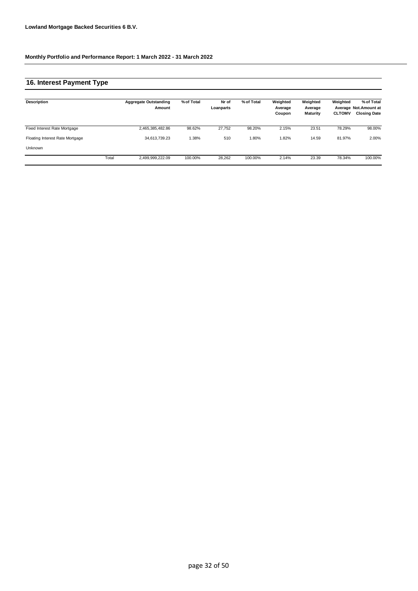### **16. Interest Payment Type**

| Description                     |       | <b>Aggregate Outstanding</b><br>Amount | % of Total | Nr of<br>Loanparts | % of Total | Weighted<br>Average<br>Coupon | Weighted<br>Average<br>Maturity | Weighted<br><b>CLTOMV</b> | % of Total<br>Average Not. Amount at<br><b>Closing Date</b> |
|---------------------------------|-------|----------------------------------------|------------|--------------------|------------|-------------------------------|---------------------------------|---------------------------|-------------------------------------------------------------|
| Fixed Interest Rate Mortgage    |       | 2,465,385,482.86                       | 98.62%     | 27.752             | 98.20%     | 2.15%                         | 23.51                           | 78.29%                    | 98.00%                                                      |
| Floating Interest Rate Mortgage |       | 34,613,739.23                          | .38%       | 510                | 1.80%      | 1.82%                         | 14.59                           | 81.97%                    | 2.00%                                                       |
| Unknown                         |       |                                        |            |                    |            |                               |                                 |                           |                                                             |
|                                 | Total | 2,499,999,222.09                       | 100.00%    | 28,262             | 100.00%    | 2.14%                         | 23.39                           | 78.34%                    | 100.00%                                                     |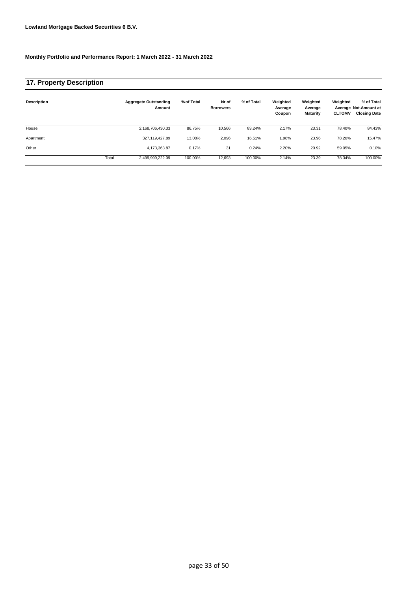### **17. Property Description**

| Description |       | <b>Aggregate Outstanding</b><br>Amount | % of Total | Nr of<br><b>Borrowers</b> | % of Total | Weighted<br>Average<br>Coupon | Weighted<br>Average<br><b>Maturity</b> | Weighted<br><b>CLTOMV</b> | % of Total<br>Average Not. Amount at<br><b>Closing Date</b> |
|-------------|-------|----------------------------------------|------------|---------------------------|------------|-------------------------------|----------------------------------------|---------------------------|-------------------------------------------------------------|
| House       |       | 2,168,706,430.33                       | 86.75%     | 10,566                    | 83.24%     | 2.17%                         | 23.31                                  | 78.40%                    | 84.43%                                                      |
| Apartment   |       | 327,119,427.89                         | 13.08%     | 2,096                     | 16.51%     | 1.98%                         | 23.96                                  | 78.20%                    | 15.47%                                                      |
| Other       |       | 4,173,363.87                           | 0.17%      | 31                        | 0.24%      | 2.20%                         | 20.92                                  | 59.05%                    | 0.10%                                                       |
|             | Total | 2,499,999,222.09                       | 100.00%    | 12,693                    | 100.00%    | 2.14%                         | 23.39                                  | 78.34%                    | 100.00%                                                     |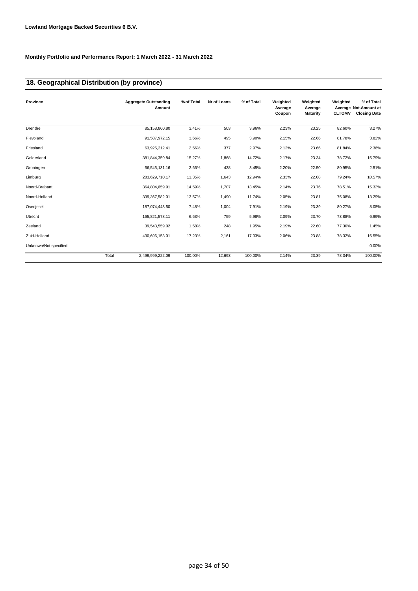## **18. Geographical Distribution (by province)**

| Province              |       | <b>Aggregate Outstanding</b><br>Amount | % of Total | Nr of Loans | % of Total | Weighted<br>Average<br>Coupon | Weighted<br>Average<br><b>Maturity</b> | Weighted<br><b>CLTOMV</b> | % of Total<br>Average Not.Amount at<br><b>Closing Date</b> |
|-----------------------|-------|----------------------------------------|------------|-------------|------------|-------------------------------|----------------------------------------|---------------------------|------------------------------------------------------------|
| Drenthe               |       | 85,158,860.80                          | 3.41%      | 503         | 3.96%      | 2.23%                         | 23.25                                  | 82.60%                    | 3.27%                                                      |
| Flevoland             |       | 91,587,972.15                          | 3.66%      | 495         | 3.90%      | 2.15%                         | 22.66                                  | 81.78%                    | 3.82%                                                      |
| Friesland             |       | 63,925,212.41                          | 2.56%      | 377         | 2.97%      | 2.12%                         | 23.66                                  | 81.84%                    | 2.36%                                                      |
| Gelderland            |       | 381,844,359.84                         | 15.27%     | 1,868       | 14.72%     | 2.17%                         | 23.34                                  | 78.72%                    | 15.79%                                                     |
| Groningen             |       | 66,545,131.16                          | 2.66%      | 438         | 3.45%      | 2.20%                         | 22.50                                  | 80.95%                    | 2.51%                                                      |
| Limburg               |       | 283,629,710.17                         | 11.35%     | 1,643       | 12.94%     | 2.33%                         | 22.08                                  | 79.24%                    | 10.57%                                                     |
| Noord-Brabant         |       | 364,804,659.91                         | 14.59%     | 1,707       | 13.45%     | 2.14%                         | 23.76                                  | 78.51%                    | 15.32%                                                     |
| Noord-Holland         |       | 339, 367, 582.01                       | 13.57%     | 1,490       | 11.74%     | 2.05%                         | 23.81                                  | 75.08%                    | 13.29%                                                     |
| Overijssel            |       | 187,074,443.50                         | 7.48%      | 1,004       | 7.91%      | 2.19%                         | 23.39                                  | 80.27%                    | 8.08%                                                      |
| Utrecht               |       | 165,821,578.11                         | 6.63%      | 759         | 5.98%      | 2.09%                         | 23.70                                  | 73.88%                    | 6.99%                                                      |
| Zeeland               |       | 39,543,559.02                          | 1.58%      | 248         | 1.95%      | 2.19%                         | 22.60                                  | 77.30%                    | 1.45%                                                      |
| Zuid-Holland          |       | 430,696,153.01                         | 17.23%     | 2,161       | 17.03%     | 2.06%                         | 23.88                                  | 78.32%                    | 16.55%                                                     |
| Unknown/Not specified |       |                                        |            |             |            |                               |                                        |                           | 0.00%                                                      |
|                       | Total | 2.499.999.222.09                       | 100.00%    | 12,693      | 100.00%    | 2.14%                         | 23.39                                  | 78.34%                    | 100.00%                                                    |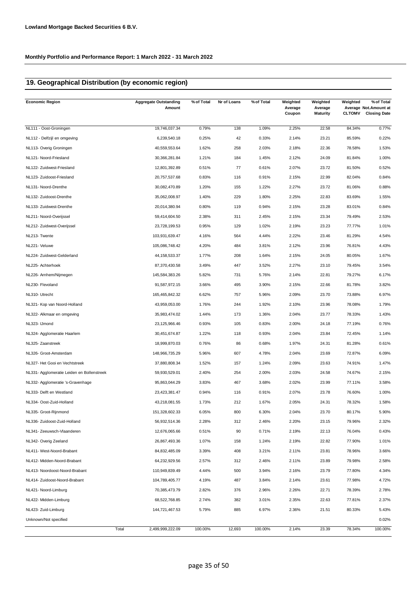## **19. Geographical Distribution (by economic region)**

| <b>Economic Region</b>                     | <b>Aggregate Outstanding</b><br>Amount | % of Total | Nr of Loans | % of Total | Weighted<br>Average<br>Coupon | Weighted<br>Average<br><b>Maturity</b> | Weighted<br><b>CLTOMV</b> | % of Total<br>Average Not. Amount at<br><b>Closing Date</b> |
|--------------------------------------------|----------------------------------------|------------|-------------|------------|-------------------------------|----------------------------------------|---------------------------|-------------------------------------------------------------|
| NL111 - Oost-Groningen                     | 19,746,037.34                          | 0.79%      | 138         | 1.09%      | 2.25%                         | 22.58                                  | 84.34%                    | 0.77%                                                       |
| NL112 - Delfzijl en omgeving               | 6,239,540.18                           | 0.25%      | 42          | 0.33%      | 2.14%                         | 23.21                                  | 85.59%                    | 0.22%                                                       |
| NL113- Overig Groningen                    | 40,559,553.64                          | 1.62%      | 258         | 2.03%      | 2.18%                         | 22.36                                  | 78.58%                    | 1.53%                                                       |
| NL121- Noord-Friesland                     | 30,366,281.84                          | 1.21%      | 184         | 1.45%      | 2.12%                         | 24.09                                  | 81.84%                    | 1.00%                                                       |
| NL122- Zuidwest-Friesland                  | 12,801,392.89                          | 0.51%      | 77          | 0.61%      | 2.07%                         | 23.72                                  | 81.50%                    | 0.52%                                                       |
| NL123- Zuidoost-Friesland                  | 20,757,537.68                          | 0.83%      | 116         | 0.91%      | 2.15%                         | 22.99                                  | 82.04%                    | 0.84%                                                       |
| NL131- Noord-Drenthe                       | 30,082,470.89                          | 1.20%      | 155         | 1.22%      | 2.27%                         | 23.72                                  | 81.06%                    | 0.88%                                                       |
| NL132- Zuidoost-Drenthe                    | 35,062,008.97                          | 1.40%      | 229         | 1.80%      | 2.25%                         | 22.83                                  | 83.69%                    | 1.55%                                                       |
| NL133- Zuidwest-Drenthe                    | 20,014,380.94                          | 0.80%      | 119         | 0.94%      | 2.15%                         | 23.28                                  | 83.01%                    | 0.84%                                                       |
| NL211- Noord-Overijssel                    | 59,414,604.50                          | 2.38%      | 311         | 2.45%      | 2.15%                         | 23.34                                  | 79.49%                    | 2.53%                                                       |
| NL212- Zuidwest-Overijssel                 | 23,728,199.53                          | 0.95%      | 129         | 1.02%      | 2.19%                         | 23.23                                  | 77.77%                    | 1.01%                                                       |
| NL213- Twente                              | 103,931,639.47                         | 4.16%      | 564         | 4.44%      | 2.22%                         | 23.46                                  | 81.29%                    | 4.54%                                                       |
| NL221- Veluwe                              | 105,086,748.42                         | 4.20%      | 484         | 3.81%      | 2.12%                         | 23.96                                  | 76.81%                    | 4.43%                                                       |
| NL224- Zuidwest-Gelderland                 | 44, 158, 533. 37                       | 1.77%      | 208         | 1.64%      | 2.15%                         | 24.05                                  | 80.05%                    | 1.67%                                                       |
| NL225- Achterhoek                          | 87,370,430.58                          | 3.49%      | 447         | 3.52%      | 2.27%                         | 23.10                                  | 79.45%                    | 3.54%                                                       |
| NL226- Arnhem/Nijmegen                     | 145,584,383.26                         | 5.82%      | 731         | 5.76%      | 2.14%                         | 22.81                                  | 79.27%                    | 6.17%                                                       |
| NL230- Flevoland                           | 91,587,972.15                          | 3.66%      | 495         | 3.90%      | 2.15%                         | 22.66                                  | 81.78%                    | 3.82%                                                       |
| NL310- Utrecht                             | 165,465,842.32                         | 6.62%      | 757         | 5.96%      | 2.09%                         | 23.70                                  | 73.88%                    | 6.97%                                                       |
| NL321- Kop van Noord-Holland               | 43,959,053.00                          | 1.76%      | 244         | 1.92%      | 2.10%                         | 23.96                                  | 78.08%                    | 1.79%                                                       |
| NL322- Alkmaar en omgeving                 | 35,983,474.02                          | 1.44%      | 173         | 1.36%      | 2.04%                         | 23.77                                  | 78.33%                    | 1.43%                                                       |
| NL323- IJmond                              | 23,125,966.46                          | 0.93%      | 105         | 0.83%      | 2.00%                         | 24.18                                  | 77.19%                    | 0.76%                                                       |
| NL324- Agglomeratie Haarlem                | 30,451,674.87                          | 1.22%      | 118         | 0.93%      | 2.04%                         | 23.84                                  | 72.45%                    | 1.14%                                                       |
| NL325- Zaanstreek                          | 18,999,870.03                          | 0.76%      | 86          | 0.68%      | 1.97%                         | 24.31                                  | 81.28%                    | 0.61%                                                       |
| NL326- Groot-Amsterdam                     | 148,966,735.29                         | 5.96%      | 607         | 4.78%      | 2.04%                         | 23.69                                  | 72.87%                    | 6.09%                                                       |
| NL327- Het Gooi en Vechtstreek             | 37,880,808.34                          | 1.52%      | 157         | 1.24%      | 2.09%                         | 23.63                                  | 74.91%                    | 1.47%                                                       |
| NL331- Agglomeratie Leiden en Bollenstreek | 59,930,529.01                          | 2.40%      | 254         | 2.00%      | 2.03%                         | 24.58                                  | 74.67%                    | 2.15%                                                       |
| NL332- Agglomeratie 's-Gravenhage          | 95,863,044.29                          | 3.83%      | 467         | 3.68%      | 2.02%                         | 23.99                                  | 77.11%                    | 3.58%                                                       |
| NL333- Delft en Westland                   | 23,423,381.47                          | 0.94%      | 116         | 0.91%      | 2.07%                         | 23.78                                  | 76.60%                    | 1.00%                                                       |
| NL334- Oost-Zuid-Holland                   | 43,218,081.55                          | 1.73%      | 212         | 1.67%      | 2.05%                         | 24.31                                  | 78.32%                    | 1.58%                                                       |
| NL335- Groot-Rijnmond                      | 151,328,602.33                         | 6.05%      | 800         | 6.30%      | 2.04%                         | 23.70                                  | 80.17%                    | 5.90%                                                       |
| NL336- Zuidoost-Zuid-Holland               | 56,932,514.36                          | 2.28%      | 312         | 2.46%      | 2.20%                         | 23.15                                  | 79.96%                    | 2.32%                                                       |
| NL341- Zeeuwsch-Vlaanderen                 | 12,676,065.66                          | 0.51%      | 90          | 0.71%      | 2.19%                         | 22.13                                  | 76.04%                    | 0.43%                                                       |
| NL342- Overig Zeeland                      | 26,867,493.36                          | 1.07%      | 158         | 1.24%      | 2.19%                         | 22.82                                  | 77.90%                    | 1.01%                                                       |
| NL411- West-Noord-Brabant                  | 84,832,485.09                          | 3.39%      | 408         | 3.21%      | 2.11%                         | 23.81                                  | 78.96%                    | 3.66%                                                       |
| NL412- Midden-Noord-Brabant                | 64,232,929.56                          | 2.57%      | 312         | 2.46%      | 2.11%                         | 23.89                                  | 79.98%                    | 2.58%                                                       |
| NL413- Noordoost-Noord-Brabant             | 110,949,839.49                         | 4.44%      | 500         | 3.94%      | 2.16%                         | 23.79                                  | 77.80%                    | 4.34%                                                       |
| NL414- Zuidoost-Noord-Brabant              | 104,789,405.77                         | 4.19%      | 487         | 3.84%      | 2.14%                         | 23.61                                  | 77.98%                    | 4.72%                                                       |
| NL421- Noord-Limburg                       | 70,385,473.79                          | 2.82%      | 376         | 2.96%      | 2.26%                         | 22.71                                  | 78.39%                    | 2.78%                                                       |
| NL422- Midden-Limburg                      | 68,522,768.85                          | 2.74%      | 382         | 3.01%      | 2.35%                         | 22.63                                  | 77.81%                    | 2.37%                                                       |
| NL423- Zuid-Limburg                        | 144,721,467.53                         | 5.79%      | 885         | 6.97%      | 2.36%                         | 21.51                                  | 80.33%                    | 5.43%                                                       |
| Unknown/Not specified                      |                                        |            |             |            |                               |                                        |                           | 0.02%                                                       |
|                                            | Total<br>2,499,999,222.09              | 100.00%    | 12,693      | 100.00%    | 2.14%                         | 23.39                                  | 78.34%                    | 100.00%                                                     |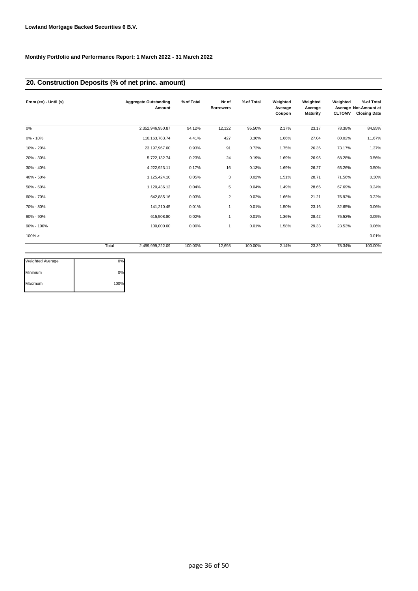## **20. Construction Deposits (% of net princ. amount)**

| From $(>=) -$ Until $(<)$ |       | <b>Aggregate Outstanding</b><br>Amount | % of Total | Nr of<br><b>Borrowers</b> | % of Total | Weighted<br>Average<br>Coupon | Weighted<br>Average<br><b>Maturity</b> | Weighted<br><b>CLTOMV</b> | % of Total<br>Average Not.Amount at<br><b>Closing Date</b> |
|---------------------------|-------|----------------------------------------|------------|---------------------------|------------|-------------------------------|----------------------------------------|---------------------------|------------------------------------------------------------|
| 0%                        |       | 2,352,946,950.87                       | 94.12%     | 12,122                    | 95.50%     | 2.17%                         | 23.17                                  | 78.38%                    | 84.95%                                                     |
| 0% - 10%                  |       | 110, 163, 783. 74                      | 4.41%      | 427                       | 3.36%      | 1.66%                         | 27.04                                  | 80.02%                    | 11.67%                                                     |
| 10% - 20%                 |       | 23, 197, 967.00                        | 0.93%      | 91                        | 0.72%      | 1.75%                         | 26.36                                  | 73.17%                    | 1.37%                                                      |
| 20% - 30%                 |       | 5,722,132.74                           | 0.23%      | 24                        | 0.19%      | 1.69%                         | 26.95                                  | 68.28%                    | 0.56%                                                      |
| 30% - 40%                 |       | 4,222,923.11                           | 0.17%      | 16                        | 0.13%      | 1.69%                         | 26.27                                  | 65.26%                    | 0.50%                                                      |
| 40% - 50%                 |       | 1,125,424.10                           | 0.05%      | 3                         | 0.02%      | 1.51%                         | 28.71                                  | 71.56%                    | 0.30%                                                      |
| 50% - 60%                 |       | 1,120,436.12                           | 0.04%      | 5                         | 0.04%      | 1.49%                         | 28.66                                  | 67.69%                    | 0.24%                                                      |
| 60% - 70%                 |       | 642,885.16                             | 0.03%      | $\overline{2}$            | 0.02%      | 1.66%                         | 21.21                                  | 76.92%                    | 0.22%                                                      |
| 70% - 80%                 |       | 141,210.45                             | 0.01%      | $\mathbf{1}$              | 0.01%      | 1.50%                         | 23.16                                  | 32.65%                    | 0.06%                                                      |
| 80% - 90%                 |       | 615,508.80                             | 0.02%      | 1                         | 0.01%      | 1.36%                         | 28.42                                  | 75.52%                    | 0.05%                                                      |
| 90% - 100%                |       | 100,000.00                             | 0.00%      | 1                         | 0.01%      | 1.58%                         | 29.33                                  | 23.53%                    | 0.06%                                                      |
| $100\% >$                 |       |                                        |            |                           |            |                               |                                        |                           | 0.01%                                                      |
|                           | Total | 2,499,999,222.09                       | 100.00%    | 12,693                    | 100.00%    | 2.14%                         | 23.39                                  | 78.34%                    | 100.00%                                                    |

| <b>Weighted Average</b> | 0%   |
|-------------------------|------|
| Minimum                 | 0%   |
| Maximum                 | 100% |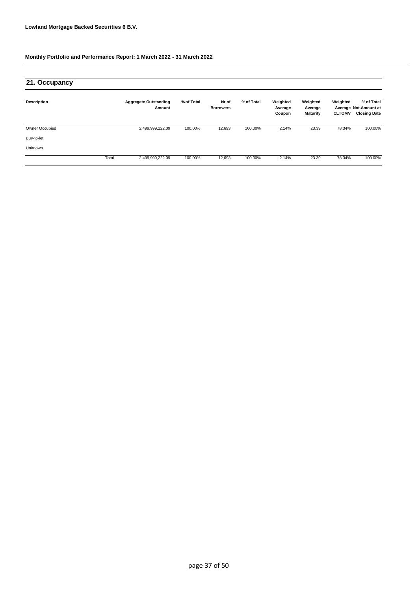| 21. Occupancy         |       |                                        |            |                           |            |                               |                                        |                           |                                                            |
|-----------------------|-------|----------------------------------------|------------|---------------------------|------------|-------------------------------|----------------------------------------|---------------------------|------------------------------------------------------------|
| <b>Description</b>    |       | <b>Aggregate Outstanding</b><br>Amount | % of Total | Nr of<br><b>Borrowers</b> | % of Total | Weighted<br>Average<br>Coupon | Weighted<br>Average<br><b>Maturity</b> | Weighted<br><b>CLTOMV</b> | % of Total<br>Average Not.Amount at<br><b>Closing Date</b> |
| <b>Owner Occupied</b> |       | 2,499,999,222.09                       | 100.00%    | 12,693                    | 100.00%    | 2.14%                         | 23.39                                  | 78.34%                    | 100.00%                                                    |
| Buy-to-let            |       |                                        |            |                           |            |                               |                                        |                           |                                                            |
| Unknown               |       |                                        |            |                           |            |                               |                                        |                           |                                                            |
|                       | Total | 2,499,999,222.09                       | 100.00%    | 12,693                    | 100.00%    | 2.14%                         | 23.39                                  | 78.34%                    | 100.00%                                                    |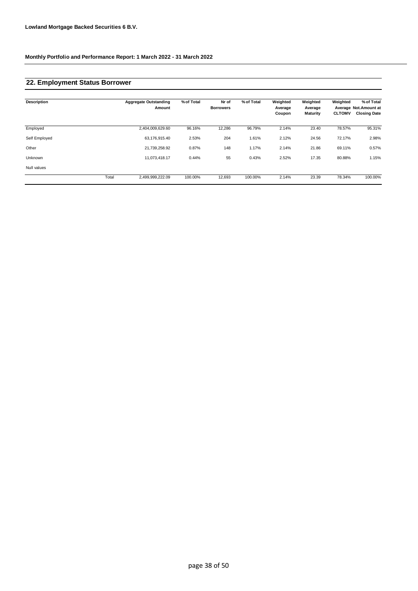### **22. Employment Status Borrower**

| <b>Description</b> |       | <b>Aggregate Outstanding</b><br>Amount | % of Total | Nr of<br><b>Borrowers</b> | % of Total | Weighted<br>Average<br>Coupon | Weighted<br>Average<br>Maturity | Weighted<br><b>CLTOMV</b> | % of Total<br>Average Not.Amount at<br><b>Closing Date</b> |
|--------------------|-------|----------------------------------------|------------|---------------------------|------------|-------------------------------|---------------------------------|---------------------------|------------------------------------------------------------|
| Employed           |       | 2,404,009,629.60                       | 96.16%     | 12,286                    | 96.79%     | 2.14%                         | 23.40                           | 78.57%                    | 95.31%                                                     |
| Self Employed      |       | 63,176,915.40                          | 2.53%      | 204                       | 1.61%      | 2.12%                         | 24.56                           | 72.17%                    | 2.98%                                                      |
| Other              |       | 21,739,258.92                          | 0.87%      | 148                       | 1.17%      | 2.14%                         | 21.86                           | 69.11%                    | 0.57%                                                      |
| Unknown            |       | 11,073,418.17                          | 0.44%      | 55                        | 0.43%      | 2.52%                         | 17.35                           | 80.88%                    | 1.15%                                                      |
| Null values        |       |                                        |            |                           |            |                               |                                 |                           |                                                            |
|                    | Total | 2,499,999,222.09                       | 100.00%    | 12,693                    | 100.00%    | 2.14%                         | 23.39                           | 78.34%                    | 100.00%                                                    |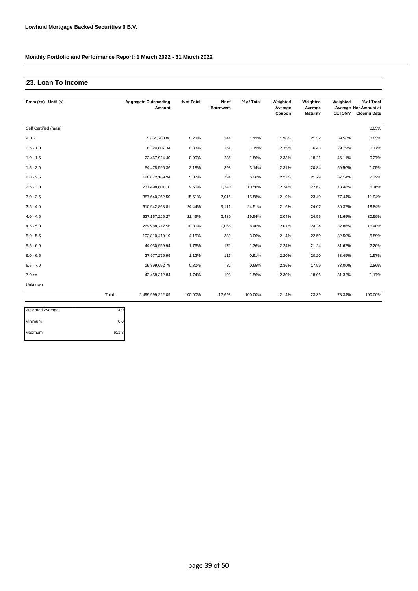## **23. Loan To Income**

| From $(>=) -$ Until $(<)$ |       | <b>Aggregate Outstanding</b><br>Amount | % of Total | Nr of<br><b>Borrowers</b> | % of Total | Weighted<br>Average<br>Coupon | Weighted<br>Average<br>Maturity | Weighted<br><b>CLTOMV</b> | % of Total<br>Average Not.Amount at<br><b>Closing Date</b> |
|---------------------------|-------|----------------------------------------|------------|---------------------------|------------|-------------------------------|---------------------------------|---------------------------|------------------------------------------------------------|
| Self Certified (main)     |       |                                        |            |                           |            |                               |                                 |                           | 0.03%                                                      |
| < 0.5                     |       | 5,651,700.06                           | 0.23%      | 144                       | 1.13%      | 1.96%                         | 21.32                           | 59.56%                    | 0.03%                                                      |
| $0.5 - 1.0$               |       | 8,324,807.34                           | 0.33%      | 151                       | 1.19%      | 2.35%                         | 16.43                           | 29.79%                    | 0.17%                                                      |
| $1.0 - 1.5$               |       | 22,467,924.40                          | 0.90%      | 236                       | 1.86%      | 2.33%                         | 18.21                           | 46.11%                    | 0.27%                                                      |
| $1.5 - 2.0$               |       | 54,478,596.36                          | 2.18%      | 398                       | 3.14%      | 2.31%                         | 20.34                           | 59.50%                    | 1.05%                                                      |
| $2.0 - 2.5$               |       | 126,672,169.94                         | 5.07%      | 794                       | 6.26%      | 2.27%                         | 21.79                           | 67.14%                    | 2.72%                                                      |
| $2.5 - 3.0$               |       | 237,498,801.10                         | 9.50%      | 1,340                     | 10.56%     | 2.24%                         | 22.67                           | 73.48%                    | 6.16%                                                      |
| $3.0 - 3.5$               |       | 387,640,262.50                         | 15.51%     | 2,016                     | 15.88%     | 2.19%                         | 23.49                           | 77.44%                    | 11.94%                                                     |
| $3.5 - 4.0$               |       | 610,942,868.81                         | 24.44%     | 3,111                     | 24.51%     | 2.16%                         | 24.07                           | 80.37%                    | 18.84%                                                     |
| $4.0 - 4.5$               |       | 537, 157, 226.27                       | 21.49%     | 2,480                     | 19.54%     | 2.04%                         | 24.55                           | 81.65%                    | 30.59%                                                     |
| $4.5 - 5.0$               |       | 269,988,212.56                         | 10.80%     | 1,066                     | 8.40%      | 2.01%                         | 24.34                           | 82.86%                    | 16.48%                                                     |
| $5.0 - 5.5$               |       | 103,810,410.19                         | 4.15%      | 389                       | 3.06%      | 2.14%                         | 22.59                           | 82.50%                    | 5.89%                                                      |
| $5.5 - 6.0$               |       | 44,030,959.94                          | 1.76%      | 172                       | 1.36%      | 2.24%                         | 21.24                           | 81.67%                    | 2.20%                                                      |
| $6.0 - 6.5$               |       | 27,977,276.99                          | 1.12%      | 116                       | 0.91%      | 2.20%                         | 20.20                           | 83.45%                    | 1.57%                                                      |
| $6.5 - 7.0$               |       | 19,899,692.79                          | 0.80%      | 82                        | 0.65%      | 2.36%                         | 17.99                           | 83.00%                    | 0.86%                                                      |
| $7.0 =$                   |       | 43,458,312.84                          | 1.74%      | 198                       | 1.56%      | 2.30%                         | 18.06                           | 81.32%                    | 1.17%                                                      |
| Unknown                   |       |                                        |            |                           |            |                               |                                 |                           |                                                            |
|                           | Total | 2,499,999,222.09                       | 100.00%    | 12,693                    | 100.00%    | 2.14%                         | 23.39                           | 78.34%                    | 100.00%                                                    |

| Weighted Average |       |
|------------------|-------|
| Minimum          | 0.0   |
| Maximum          | 611.3 |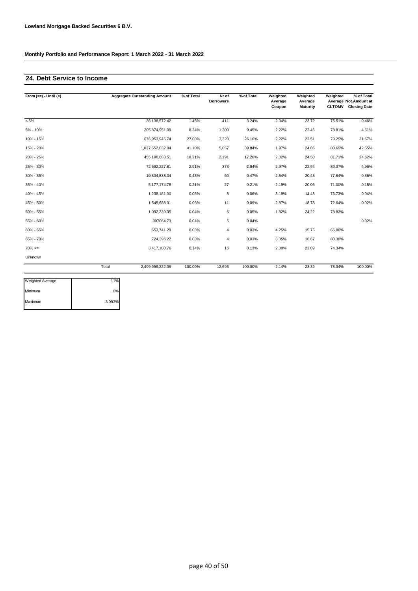### **24. Debt Service to Income**

| From $(>=) -$ Until $(<)$ | <b>Aggregate Outstanding Amount</b> | % of Total | Nr of<br><b>Borrowers</b> | % of Total | Weighted<br>Average<br>Coupon | Weighted<br>Average<br><b>Maturity</b> | Weighted | % of Total<br>Average Not.Amount at<br><b>CLTOMV</b> Closing Date |
|---------------------------|-------------------------------------|------------|---------------------------|------------|-------------------------------|----------------------------------------|----------|-------------------------------------------------------------------|
| $< 5\%$                   | 36,138,572.42                       | 1.45%      | 411                       | 3.24%      | 2.04%                         | 23.72                                  | 75.51%   | 0.46%                                                             |
| 5% - 10%                  | 205,874,951.09                      | 8.24%      | 1,200                     | 9.45%      | 2.22%                         | 22.46                                  | 78.81%   | 4.61%                                                             |
| 10% - 15%                 | 676,953,945.74                      | 27.08%     | 3,320                     | 26.16%     | 2.22%                         | 22.51                                  | 78.25%   | 21.67%                                                            |
| 15% - 20%                 | 1,027,552,032.04                    | 41.10%     | 5,057                     | 39.84%     | 1.97%                         | 24.86                                  | 80.65%   | 42.55%                                                            |
| 20% - 25%                 | 455,196,888.51                      | 18.21%     | 2,191                     | 17.26%     | 2.32%                         | 24.50                                  | 81.71%   | 24.62%                                                            |
| 25% - 30%                 | 72,692,227.81                       | 2.91%      | 373                       | 2.94%      | 2.97%                         | 22.94                                  | 80.37%   | 4.96%                                                             |
| 30% - 35%                 | 10,834,838.34                       | 0.43%      | 60                        | 0.47%      | 2.54%                         | 20.43                                  | 77.64%   | 0.86%                                                             |
| 35% - 40%                 | 5,177,174.78                        | 0.21%      | 27                        | 0.21%      | 2.19%                         | 20.06                                  | 71.00%   | 0.18%                                                             |
| 40% - 45%                 | 1,238,181.00                        | 0.05%      | 8                         | 0.06%      | 3.19%                         | 14.48                                  | 73.73%   | 0.04%                                                             |
| 45% - 50%                 | 1,545,688.01                        | 0.06%      | 11                        | 0.09%      | 2.87%                         | 18.78                                  | 72.64%   | 0.02%                                                             |
| 50% - 55%                 | 1,092,339.35                        | 0.04%      | 6                         | 0.05%      | 1.82%                         | 24.22                                  | 78.83%   |                                                                   |
| 55% - 60%                 | 907064.73                           | 0.04%      | 5                         | 0.04%      |                               |                                        |          | 0.02%                                                             |
| 60% - 65%                 | 653,741.29                          | 0.03%      | 4                         | 0.03%      | 4.25%                         | 15.75                                  | 66.00%   |                                                                   |
| 65% - 70%                 | 724,396.22                          | 0.03%      | 4                         | 0.03%      | 3.35%                         | 16.67                                  | 80.38%   |                                                                   |
| $70\% =$                  | 3,417,180.76                        | 0.14%      | 16                        | 0.13%      | 2.30%                         | 22.09                                  | 74.34%   |                                                                   |
| Unknown                   |                                     |            |                           |            |                               |                                        |          |                                                                   |
|                           | Total<br>2,499,999,222.09           | 100.00%    | 12,693                    | 100.00%    | 2.14%                         | 23.39                                  | 78.34%   | 100.00%                                                           |

| Weighted Average | 11%    |
|------------------|--------|
| Minimum          | 0%     |
| Maximum          | 3,093% |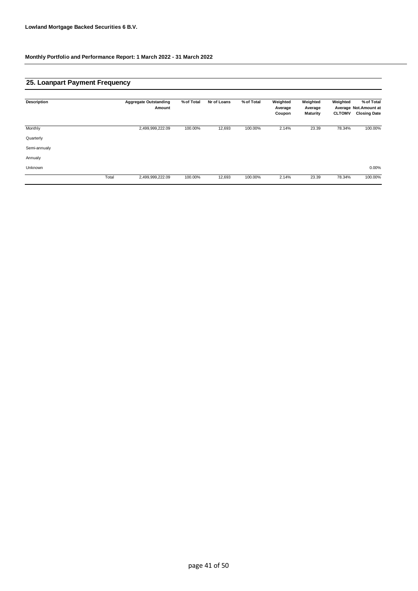### **25. Loanpart Payment Frequency**

| <b>Description</b> |       | <b>Aggregate Outstanding</b><br>Amount | % of Total | Nr of Loans | % of Total | Weighted<br>Average<br>Coupon | Weighted<br>Average<br>Maturity | Weighted<br><b>CLTOMV</b> | % of Total<br>Average Not.Amount at<br><b>Closing Date</b> |
|--------------------|-------|----------------------------------------|------------|-------------|------------|-------------------------------|---------------------------------|---------------------------|------------------------------------------------------------|
| Monthly            |       | 2,499,999,222.09                       | 100.00%    | 12,693      | 100.00%    | 2.14%                         | 23.39                           | 78.34%                    | 100.00%                                                    |
| Quarterly          |       |                                        |            |             |            |                               |                                 |                           |                                                            |
| Semi-annualy       |       |                                        |            |             |            |                               |                                 |                           |                                                            |
| Annualy            |       |                                        |            |             |            |                               |                                 |                           |                                                            |
| Unknown            |       |                                        |            |             |            |                               |                                 |                           | 0.00%                                                      |
|                    | Total | 2,499,999,222.09                       | 100.00%    | 12,693      | 100.00%    | 2.14%                         | 23.39                           | 78.34%                    | 100.00%                                                    |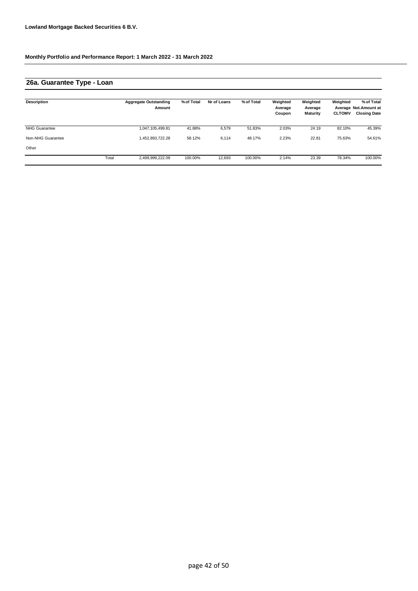## **26a. Guarantee Type - Loan**

| Description          |       | <b>Aggregate Outstanding</b><br>Amount | % of Total | Nr of Loans | % of Total | Weighted<br>Average<br>Coupon | Weighted<br>Average<br><b>Maturity</b> | Weighted<br><b>CLTOMV</b> | % of Total<br>Average Not. Amount at<br><b>Closing Date</b> |
|----------------------|-------|----------------------------------------|------------|-------------|------------|-------------------------------|----------------------------------------|---------------------------|-------------------------------------------------------------|
| <b>NHG Guarantee</b> |       | 1,047,105,499.81                       | 41.88%     | 6,579       | 51.83%     | 2.03%                         | 24.19                                  | 82.10%                    | 45.39%                                                      |
| Non-NHG Guarantee    |       | 1.452.893.722.28                       | 58.12%     | 6,114       | 48.17%     | 2.23%                         | 22.81                                  | 75.63%                    | 54.61%                                                      |
| Other                |       |                                        |            |             |            |                               |                                        |                           |                                                             |
|                      | Total | 2,499,999,222.09                       | 100.00%    | 12,693      | 100.00%    | 2.14%                         | 23.39                                  | 78.34%                    | 100.00%                                                     |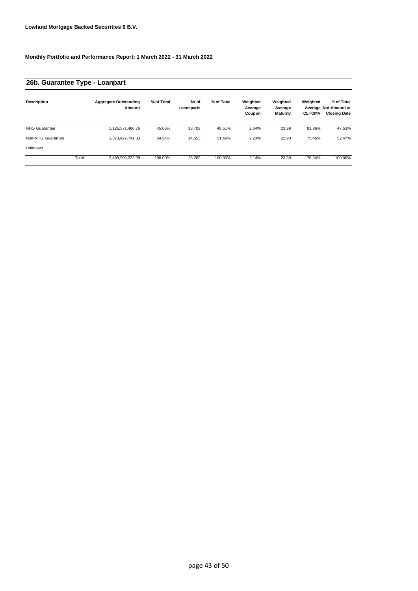## **26b. Guarantee Type - Loanpart**

| <b>Description</b>   |       | <b>Aggregate Outstanding</b><br>Amount | % of Total | Nr of<br>Loansparts | % of Total | Weighted<br>Average<br>Coupon | Weighted<br>Average<br><b>Maturity</b> | Weighted<br><b>CLTOMV</b> | % of Total<br>Average Not. Amount at<br><b>Closing Date</b> |
|----------------------|-------|----------------------------------------|------------|---------------------|------------|-------------------------------|----------------------------------------|---------------------------|-------------------------------------------------------------|
| <b>NHG Guarantee</b> |       | 1,126,571,480.76                       | 45.06%     | 13.709              | 48.51%     | 2.04%                         | 23.99                                  | 81.86%                    | 47.53%                                                      |
| Non-NHG Guarantee    |       | 1,373,427,741.33                       | 54.94%     | 14,553              | 51.49%     | 2.23%                         | 22.90                                  | 75.46%                    | 52.47%                                                      |
| Unknown              |       |                                        |            |                     |            |                               |                                        |                           |                                                             |
|                      | Total | 2,499,999,222.09                       | 100.00%    | 28,262              | 100.00%    | 2.14%                         | 23.39                                  | 78.34%                    | 100.00%                                                     |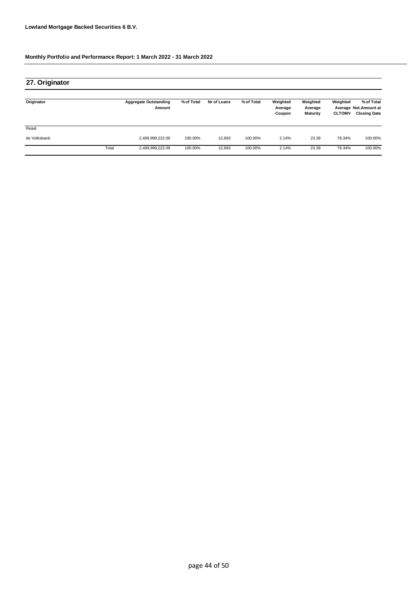| 27. Originator |       |                                        |            |             |            |                               |                                        |                           |                                                             |
|----------------|-------|----------------------------------------|------------|-------------|------------|-------------------------------|----------------------------------------|---------------------------|-------------------------------------------------------------|
| Originator     |       | <b>Aggregate Outstanding</b><br>Amount | % of Total | Nr of Loans | % of Total | Weighted<br>Average<br>Coupon | Weighted<br>Average<br><b>Maturity</b> | Weighted<br><b>CLTOMV</b> | % of Total<br>Average Not. Amount at<br><b>Closing Date</b> |
| Reaal          |       |                                        |            |             |            |                               |                                        |                           |                                                             |
| de Volksbank   |       | 2,499,999,222.09                       | 100.00%    | 12,693      | 100.00%    | 2.14%                         | 23.39                                  | 78.34%                    | 100.00%                                                     |
|                | Total | 2,499,999,222.09                       | 100.00%    | 12,693      | 100.00%    | 2.14%                         | 23.39                                  | 78.34%                    | 100.00%                                                     |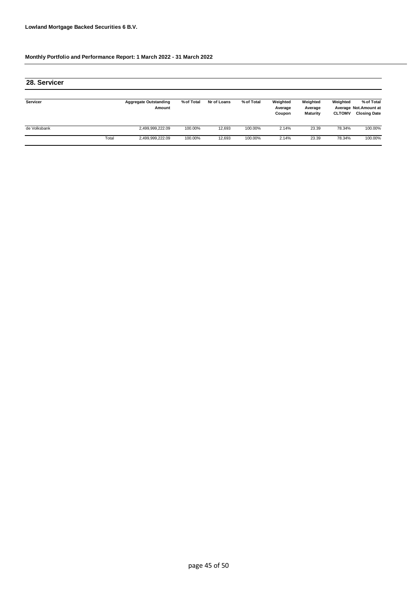| 28. Servicer |       |                                        |            |             |            |                               |                                 |                           |                                                             |
|--------------|-------|----------------------------------------|------------|-------------|------------|-------------------------------|---------------------------------|---------------------------|-------------------------------------------------------------|
| Servicer     |       | <b>Aggregate Outstanding</b><br>Amount | % of Total | Nr of Loans | % of Total | Weighted<br>Average<br>Coupon | Weighted<br>Average<br>Maturity | Weighted<br><b>CLTOMV</b> | % of Total<br>Average Not. Amount at<br><b>Closing Date</b> |
| de Volksbank |       | 2,499,999,222.09                       | 100.00%    | 12.693      | 100.00%    | 2.14%                         | 23.39                           | 78.34%                    | 100.00%                                                     |
|              | Total | 2,499,999,222.09                       | 100.00%    | 12.693      | 100.00%    | 2.14%                         | 23.39                           | 78.34%                    | 100.00%                                                     |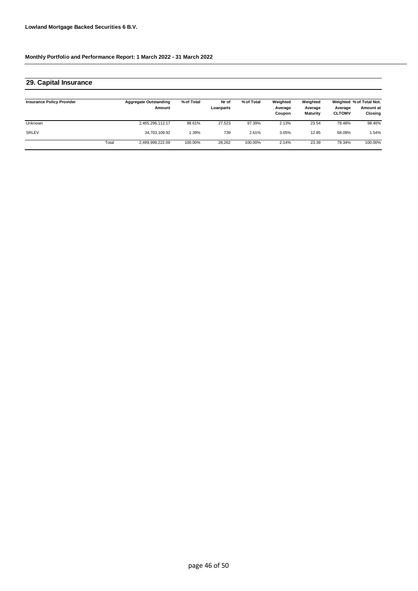| 29. Capital Insurance            |       |                                        |            |                    |            |                               |                                 |                          |                                                  |
|----------------------------------|-------|----------------------------------------|------------|--------------------|------------|-------------------------------|---------------------------------|--------------------------|--------------------------------------------------|
| <b>Insurance Policy Provider</b> |       | <b>Aggregate Outstanding</b><br>Amount | % of Total | Nr of<br>Loanparts | % of Total | Weighted<br>Average<br>Coupon | Weighted<br>Average<br>Maturity | Average<br><b>CLTOMV</b> | Weighted % of Total Not.<br>Amount at<br>Closing |
| Unknown                          |       | 2,465,296,112.17                       | 98.61%     | 27.523             | 97.39%     | 2.13%                         | 23.54                           | 78.48%                   | 98.46%                                           |
| SRLEV                            |       | 34,703,109.92                          | 1.39%      | 739                | 2.61%      | 3.05%                         | 12.85                           | 68.09%                   | 1.54%                                            |
|                                  | Total | 2,499,999,222.09                       | 100.00%    | 28,262             | 100.00%    | 2.14%                         | 23.39                           | 78.34%                   | 100.00%                                          |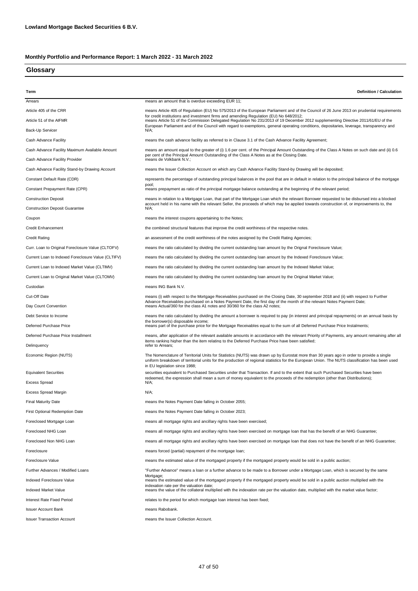### **Glossary**

| Term                                               | Definition / Calculation                                                                                                                                                                                                                                                                                                    |  |  |  |
|----------------------------------------------------|-----------------------------------------------------------------------------------------------------------------------------------------------------------------------------------------------------------------------------------------------------------------------------------------------------------------------------|--|--|--|
| Arrears                                            | means an amount that is overdue exceeding EUR 11;                                                                                                                                                                                                                                                                           |  |  |  |
| Article 405 of the CRR                             | means Article 405 of Regulation (EU) No 575/2013 of the European Parliament and of the Council of 26 June 2013 on prudential requirements                                                                                                                                                                                   |  |  |  |
| Article 51 of the AIFMR                            | for credit institutions and investment firms and amending Regulation (EU) No 648/2012;<br>means Article 51 of the Commission Delegated Regulation No 231/2013 of 19 December 2012 supplementing Directive 2011/61/EU of the                                                                                                 |  |  |  |
| Back-Up Servicer                                   | European Parliament and of the Council with regard to exemptions, general operating conditions, depositaries, leverage, transparency and<br>N/A;                                                                                                                                                                            |  |  |  |
| Cash Advance Facility                              | means the cash advance facility as referred to in Clause 3.1 of the Cash Advance Facility Agreement;                                                                                                                                                                                                                        |  |  |  |
| Cash Advance Facility Maximum Available Amount     | means an amount equal to the greater of (i) 1.6 per cent. of the Principal Amount Outstanding of the Class A Notes on such date and (ii) 0.6                                                                                                                                                                                |  |  |  |
| Cash Advance Facility Provider                     | per cent of the Principal Amount Outstanding of the Class A Notes as at the Closing Date.<br>means de Volkbank N.V.;                                                                                                                                                                                                        |  |  |  |
| Cash Advance Facility Stand-by Drawing Account     | means the Issuer Collection Account on which any Cash Advance Facility Stand-by Drawing will be deposited;                                                                                                                                                                                                                  |  |  |  |
| Constant Default Rate (CDR)                        | represents the percentage of outstanding principal balances in the pool that are in default in relation to the principal balance of the mortgage                                                                                                                                                                            |  |  |  |
| Constant Prepayment Rate (CPR)                     | pool;<br>means prepayment as ratio of the principal mortgage balance outstanding at the beginning of the relevant period;                                                                                                                                                                                                   |  |  |  |
| <b>Construction Deposit</b>                        | means in relation to a Mortgage Loan, that part of the Mortgage Loan which the relevant Borrower requested to be disbursed into a blocked                                                                                                                                                                                   |  |  |  |
| <b>Construction Deposit Guarantee</b>              | account held in his name with the relevant Seller, the proceeds of which may be applied towards construction of, or improvements to, the<br>N/A;                                                                                                                                                                            |  |  |  |
| Coupon                                             | means the interest coupons appertaining to the Notes;                                                                                                                                                                                                                                                                       |  |  |  |
| <b>Credit Enhancement</b>                          | the combined structural features that improve the credit worthiness of the respective notes.                                                                                                                                                                                                                                |  |  |  |
| <b>Credit Rating</b>                               | an assessment of the credit worthiness of the notes assigned by the Credit Rating Agencies;                                                                                                                                                                                                                                 |  |  |  |
| Curr. Loan to Original Foreclosure Value (CLTOFV)  | means the ratio calculated by dividing the current outstanding loan amount by the Orignal Foreclosure Value;                                                                                                                                                                                                                |  |  |  |
| Current Loan to Indexed Foreclosure Value (CLTIFV) | means the ratio calculated by dividing the current outstanding loan amount by the Indexed Foreclosure Value;                                                                                                                                                                                                                |  |  |  |
| Current Loan to Indexed Market Value (CLTIMV)      | means the ratio calculated by dividing the current outstanding loan amount by the Indexed Market Value;                                                                                                                                                                                                                     |  |  |  |
| Current Loan to Original Market Value (CLTOMV)     | means the ratio calculated by dividing the current outstanding loan amount by the Original Market Value;                                                                                                                                                                                                                    |  |  |  |
| Custodian                                          | means ING Bank N.V.                                                                                                                                                                                                                                                                                                         |  |  |  |
| Cut-Off Date                                       | means (i) with respect to the Mortgage Receivables purchased on the Closing Date, 30 september 2018 and (ii) with respect to Further                                                                                                                                                                                        |  |  |  |
| Day Count Convention                               | Advance Receivables purchased on a Notes Payment Date, the first day of the month of the relevant Notes Payment Date;<br>means Actual/360 for the class A1 notes and 30/360 for the class A2 notes;                                                                                                                         |  |  |  |
| Debt Service to Income                             | means the ratio calculated by dividing the amount a borrower is required to pay (in interest and principal repayments) on an annual basis by                                                                                                                                                                                |  |  |  |
| Deferred Purchase Price                            | the borrower(s) disposable income;<br>means part of the purchase price for the Mortgage Receivables equal to the sum of all Deferred Purchase Price Instalments;                                                                                                                                                            |  |  |  |
| Deferred Purchase Price Installment                | means, after application of the relevant available amounts in accordance with the relevant Priority of Payments, any amount remaining after all                                                                                                                                                                             |  |  |  |
| Delinguency                                        | items ranking higher than the item relating to the Deferred Purchase Price have been satisfied;<br>refer to Arrears;                                                                                                                                                                                                        |  |  |  |
| Economic Region (NUTS)                             | The Nomenclature of Territorial Units for Statistics (NUTS) was drawn up by Eurostat more than 30 years ago in order to provide a single<br>uniform breakdown of territorial units for the production of regional statistics for the European Union. The NUTS classification has been used<br>in EU legislation since 1988; |  |  |  |
| <b>Equivalent Securities</b>                       | securities equivalent to Purchased Securities under that Transaction. If and to the extent that such Purchased Securities have been                                                                                                                                                                                         |  |  |  |
| <b>Excess Spread</b>                               | redeemed, the expression shall mean a sum of money equivalent to the proceeds of the redemption (other than Distributions);<br>N/A;                                                                                                                                                                                         |  |  |  |
| <b>Excess Spread Margin</b>                        | N/A;                                                                                                                                                                                                                                                                                                                        |  |  |  |
| <b>Final Maturity Date</b>                         | means the Notes Payment Date falling in October 2055;                                                                                                                                                                                                                                                                       |  |  |  |
| <b>First Optional Redemption Date</b>              | means the Notes Payment Date falling in October 2023;                                                                                                                                                                                                                                                                       |  |  |  |
| Foreclosed Mortgage Loan                           | means all mortgage rights and ancillary rights have been exercised;                                                                                                                                                                                                                                                         |  |  |  |
| Foreclosed NHG Loan                                | means all mortgage rights and ancillary rights have been exercised on mortgage loan that has the benefit of an NHG Guarantee;                                                                                                                                                                                               |  |  |  |
| Foreclosed Non NHG Loan                            | means all mortgage rights and ancillary rights have been exercised on mortgage loan that does not have the benefit of an NHG Guarantee;                                                                                                                                                                                     |  |  |  |
| Foreclosure                                        | means forced (partial) repayment of the mortgage loan;                                                                                                                                                                                                                                                                      |  |  |  |
| Foreclosure Value                                  | means the estimated value of the mortgaged property if the mortgaged property would be sold in a public auction;                                                                                                                                                                                                            |  |  |  |
| Further Advances / Modified Loans                  | "Further Advance" means a loan or a further advance to be made to a Borrower under a Mortgage Loan, which is secured by the same                                                                                                                                                                                            |  |  |  |
| Indexed Foreclosure Value                          | Mortgage;<br>means the estimated value of the mortgaged property if the mortgaged property would be sold in a public auction multiplied with the<br>indexation rate per the valuation date;                                                                                                                                 |  |  |  |
| Indexed Market Value                               | means the value of the collateral multiplied with the indexation rate per the valuation date, multiplied with the market value factor;                                                                                                                                                                                      |  |  |  |
| Interest Rate Fixed Period                         | relates to the period for which mortgage loan interest has been fixed;                                                                                                                                                                                                                                                      |  |  |  |
| <b>Issuer Account Bank</b>                         | means Rabobank.                                                                                                                                                                                                                                                                                                             |  |  |  |
| <b>Issuer Transaction Account</b>                  | means the Issuer Collection Account.                                                                                                                                                                                                                                                                                        |  |  |  |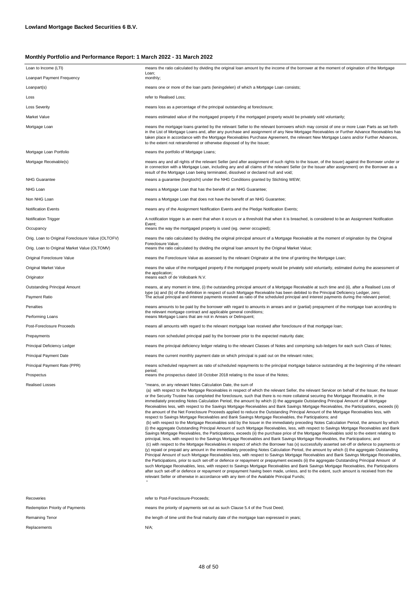| Loan to Income (LTI)                              | means the ratio calculated by dividing the original loan amount by the income of the borrower at the moment of origination of the Mortgage                                                                                                                                                                                                                                                                                                                                                                                                                                                                                                                                                                                                                                                                                                                                                                                                                                                                                                                                                                                                                                                                                                                                                                                                                                                                                                                                                                                                                                                                                                                                                                                                                                                                                                                                                                                                                                                                                                                                                                                                                                                                                                                                                                                                                                                                                                           |
|---------------------------------------------------|------------------------------------------------------------------------------------------------------------------------------------------------------------------------------------------------------------------------------------------------------------------------------------------------------------------------------------------------------------------------------------------------------------------------------------------------------------------------------------------------------------------------------------------------------------------------------------------------------------------------------------------------------------------------------------------------------------------------------------------------------------------------------------------------------------------------------------------------------------------------------------------------------------------------------------------------------------------------------------------------------------------------------------------------------------------------------------------------------------------------------------------------------------------------------------------------------------------------------------------------------------------------------------------------------------------------------------------------------------------------------------------------------------------------------------------------------------------------------------------------------------------------------------------------------------------------------------------------------------------------------------------------------------------------------------------------------------------------------------------------------------------------------------------------------------------------------------------------------------------------------------------------------------------------------------------------------------------------------------------------------------------------------------------------------------------------------------------------------------------------------------------------------------------------------------------------------------------------------------------------------------------------------------------------------------------------------------------------------------------------------------------------------------------------------------------------------|
| Loanpart Payment Frequency                        | Loan;<br>monthly;                                                                                                                                                                                                                                                                                                                                                                                                                                                                                                                                                                                                                                                                                                                                                                                                                                                                                                                                                                                                                                                                                                                                                                                                                                                                                                                                                                                                                                                                                                                                                                                                                                                                                                                                                                                                                                                                                                                                                                                                                                                                                                                                                                                                                                                                                                                                                                                                                                    |
| Loanpart(s)                                       | means one or more of the loan parts (leningdelen) of which a Mortgage Loan consists;                                                                                                                                                                                                                                                                                                                                                                                                                                                                                                                                                                                                                                                                                                                                                                                                                                                                                                                                                                                                                                                                                                                                                                                                                                                                                                                                                                                                                                                                                                                                                                                                                                                                                                                                                                                                                                                                                                                                                                                                                                                                                                                                                                                                                                                                                                                                                                 |
| Loss                                              | refer to Realised Loss:                                                                                                                                                                                                                                                                                                                                                                                                                                                                                                                                                                                                                                                                                                                                                                                                                                                                                                                                                                                                                                                                                                                                                                                                                                                                                                                                                                                                                                                                                                                                                                                                                                                                                                                                                                                                                                                                                                                                                                                                                                                                                                                                                                                                                                                                                                                                                                                                                              |
| <b>Loss Severity</b>                              | means loss as a percentage of the principal outstanding at foreclosure;                                                                                                                                                                                                                                                                                                                                                                                                                                                                                                                                                                                                                                                                                                                                                                                                                                                                                                                                                                                                                                                                                                                                                                                                                                                                                                                                                                                                                                                                                                                                                                                                                                                                                                                                                                                                                                                                                                                                                                                                                                                                                                                                                                                                                                                                                                                                                                              |
| Market Value                                      | means estimated value of the mortgaged property if the mortgaged property would be privately sold voluntarily;                                                                                                                                                                                                                                                                                                                                                                                                                                                                                                                                                                                                                                                                                                                                                                                                                                                                                                                                                                                                                                                                                                                                                                                                                                                                                                                                                                                                                                                                                                                                                                                                                                                                                                                                                                                                                                                                                                                                                                                                                                                                                                                                                                                                                                                                                                                                       |
| Mortgage Loan                                     | means the mortgage loans granted by the relevant Seller to the relevant borrowers which may consist of one or more Loan Parts as set forth<br>in the List of Mortgage Loans and, after any purchase and assignment of any New Mortgage Receivables or Further Advance Receivables has<br>taken place in accordance with the Mortgage Receivables Purchase Agreement, the relevant New Mortgage Loans and/or Further Advances,<br>to the extent not retransferred or otherwise disposed of by the Issuer;                                                                                                                                                                                                                                                                                                                                                                                                                                                                                                                                                                                                                                                                                                                                                                                                                                                                                                                                                                                                                                                                                                                                                                                                                                                                                                                                                                                                                                                                                                                                                                                                                                                                                                                                                                                                                                                                                                                                             |
| Mortgage Loan Portfolio                           | means the portfolio of Mortgage Loans;                                                                                                                                                                                                                                                                                                                                                                                                                                                                                                                                                                                                                                                                                                                                                                                                                                                                                                                                                                                                                                                                                                                                                                                                                                                                                                                                                                                                                                                                                                                                                                                                                                                                                                                                                                                                                                                                                                                                                                                                                                                                                                                                                                                                                                                                                                                                                                                                               |
| Mortgage Receivable(s)                            | means any and all rights of the relevant Seller (and after assignment of such rights to the Issuer, of the Issuer) against the Borrower under or<br>in connection with a Mortgage Loan, including any and all claims of the relevant Seller (or the Issuer after assignment) on the Borrower as a<br>result of the Mortgage Loan being terminated, dissolved or declared null and void;                                                                                                                                                                                                                                                                                                                                                                                                                                                                                                                                                                                                                                                                                                                                                                                                                                                                                                                                                                                                                                                                                                                                                                                                                                                                                                                                                                                                                                                                                                                                                                                                                                                                                                                                                                                                                                                                                                                                                                                                                                                              |
| <b>NHG Guarantee</b>                              | means a guarantee (borgtocht) under the NHG Conditions granted by Stichting WEW;                                                                                                                                                                                                                                                                                                                                                                                                                                                                                                                                                                                                                                                                                                                                                                                                                                                                                                                                                                                                                                                                                                                                                                                                                                                                                                                                                                                                                                                                                                                                                                                                                                                                                                                                                                                                                                                                                                                                                                                                                                                                                                                                                                                                                                                                                                                                                                     |
| NHG Loan                                          | means a Mortgage Loan that has the benefit of an NHG Guarantee;                                                                                                                                                                                                                                                                                                                                                                                                                                                                                                                                                                                                                                                                                                                                                                                                                                                                                                                                                                                                                                                                                                                                                                                                                                                                                                                                                                                                                                                                                                                                                                                                                                                                                                                                                                                                                                                                                                                                                                                                                                                                                                                                                                                                                                                                                                                                                                                      |
| Non NHG Loan                                      | means a Mortgage Loan that does not have the benefit of an NHG Guarantee;                                                                                                                                                                                                                                                                                                                                                                                                                                                                                                                                                                                                                                                                                                                                                                                                                                                                                                                                                                                                                                                                                                                                                                                                                                                                                                                                                                                                                                                                                                                                                                                                                                                                                                                                                                                                                                                                                                                                                                                                                                                                                                                                                                                                                                                                                                                                                                            |
| <b>Notification Events</b>                        | means any of the Assignment Notification Events and the Pledge Notification Events;                                                                                                                                                                                                                                                                                                                                                                                                                                                                                                                                                                                                                                                                                                                                                                                                                                                                                                                                                                                                                                                                                                                                                                                                                                                                                                                                                                                                                                                                                                                                                                                                                                                                                                                                                                                                                                                                                                                                                                                                                                                                                                                                                                                                                                                                                                                                                                  |
| <b>Notification Trigger</b>                       | A notification trigger is an event that when it occurs or a threshold that when it is breached, is considered to be an Assignment Notification                                                                                                                                                                                                                                                                                                                                                                                                                                                                                                                                                                                                                                                                                                                                                                                                                                                                                                                                                                                                                                                                                                                                                                                                                                                                                                                                                                                                                                                                                                                                                                                                                                                                                                                                                                                                                                                                                                                                                                                                                                                                                                                                                                                                                                                                                                       |
| Occupancy                                         | Event;<br>means the way the mortgaged property is used (eg. owner occupied);                                                                                                                                                                                                                                                                                                                                                                                                                                                                                                                                                                                                                                                                                                                                                                                                                                                                                                                                                                                                                                                                                                                                                                                                                                                                                                                                                                                                                                                                                                                                                                                                                                                                                                                                                                                                                                                                                                                                                                                                                                                                                                                                                                                                                                                                                                                                                                         |
| Orig. Loan to Original Foreclosure Value (OLTOFV) | means the ratio calculated by dividing the original principal amount of a Mortgage Receivable at the moment of origination by the Original                                                                                                                                                                                                                                                                                                                                                                                                                                                                                                                                                                                                                                                                                                                                                                                                                                                                                                                                                                                                                                                                                                                                                                                                                                                                                                                                                                                                                                                                                                                                                                                                                                                                                                                                                                                                                                                                                                                                                                                                                                                                                                                                                                                                                                                                                                           |
| Orig. Loan to Original Market Value (OLTOMV)      | Foreclosure Value;<br>means the ratio calculated by dividing the original loan amount by the Original Market Value;                                                                                                                                                                                                                                                                                                                                                                                                                                                                                                                                                                                                                                                                                                                                                                                                                                                                                                                                                                                                                                                                                                                                                                                                                                                                                                                                                                                                                                                                                                                                                                                                                                                                                                                                                                                                                                                                                                                                                                                                                                                                                                                                                                                                                                                                                                                                  |
| Original Foreclosure Value                        | means the Foreclosure Value as assessed by the relevant Originator at the time of granting the Mortgage Loan;                                                                                                                                                                                                                                                                                                                                                                                                                                                                                                                                                                                                                                                                                                                                                                                                                                                                                                                                                                                                                                                                                                                                                                                                                                                                                                                                                                                                                                                                                                                                                                                                                                                                                                                                                                                                                                                                                                                                                                                                                                                                                                                                                                                                                                                                                                                                        |
| Original Market Value                             | means the value of the mortgaged property if the mortgaged property would be privately sold voluntarily, estimated during the assessment of<br>the application;                                                                                                                                                                                                                                                                                                                                                                                                                                                                                                                                                                                                                                                                                                                                                                                                                                                                                                                                                                                                                                                                                                                                                                                                                                                                                                                                                                                                                                                                                                                                                                                                                                                                                                                                                                                                                                                                                                                                                                                                                                                                                                                                                                                                                                                                                      |
| Originator                                        | means each of de Volksbank N.V.                                                                                                                                                                                                                                                                                                                                                                                                                                                                                                                                                                                                                                                                                                                                                                                                                                                                                                                                                                                                                                                                                                                                                                                                                                                                                                                                                                                                                                                                                                                                                                                                                                                                                                                                                                                                                                                                                                                                                                                                                                                                                                                                                                                                                                                                                                                                                                                                                      |
| <b>Outstanding Principal Amount</b>               | means, at any moment in time, (i) the outstanding principal amount of a Mortgage Receivable at such time and (ii), after a Realised Loss of                                                                                                                                                                                                                                                                                                                                                                                                                                                                                                                                                                                                                                                                                                                                                                                                                                                                                                                                                                                                                                                                                                                                                                                                                                                                                                                                                                                                                                                                                                                                                                                                                                                                                                                                                                                                                                                                                                                                                                                                                                                                                                                                                                                                                                                                                                          |
|                                                   |                                                                                                                                                                                                                                                                                                                                                                                                                                                                                                                                                                                                                                                                                                                                                                                                                                                                                                                                                                                                                                                                                                                                                                                                                                                                                                                                                                                                                                                                                                                                                                                                                                                                                                                                                                                                                                                                                                                                                                                                                                                                                                                                                                                                                                                                                                                                                                                                                                                      |
| Payment Ratio                                     | type (a) and (b) of the definition in respect of such Mortgage Receivable has been debited to the Principal Deficiency Ledger, zero;<br>The actual principal and interest payments received as ratio of the scheduled principal and interest payments during the relevant period;                                                                                                                                                                                                                                                                                                                                                                                                                                                                                                                                                                                                                                                                                                                                                                                                                                                                                                                                                                                                                                                                                                                                                                                                                                                                                                                                                                                                                                                                                                                                                                                                                                                                                                                                                                                                                                                                                                                                                                                                                                                                                                                                                                    |
| Penalties                                         | means amounts to be paid by the borrower with regard to amounts in arrears and or (partial) prepayment of the mortgage loan according to                                                                                                                                                                                                                                                                                                                                                                                                                                                                                                                                                                                                                                                                                                                                                                                                                                                                                                                                                                                                                                                                                                                                                                                                                                                                                                                                                                                                                                                                                                                                                                                                                                                                                                                                                                                                                                                                                                                                                                                                                                                                                                                                                                                                                                                                                                             |
| Performing Loans                                  | the relevant mortgage contract and applicable general conditions;<br>means Mortgage Loans that are not in Arrears or Delinquent;                                                                                                                                                                                                                                                                                                                                                                                                                                                                                                                                                                                                                                                                                                                                                                                                                                                                                                                                                                                                                                                                                                                                                                                                                                                                                                                                                                                                                                                                                                                                                                                                                                                                                                                                                                                                                                                                                                                                                                                                                                                                                                                                                                                                                                                                                                                     |
| Post-Foreclosure Proceeds                         | means all amounts with regard to the relevant mortgage loan received after foreclosure of that mortgage loan;                                                                                                                                                                                                                                                                                                                                                                                                                                                                                                                                                                                                                                                                                                                                                                                                                                                                                                                                                                                                                                                                                                                                                                                                                                                                                                                                                                                                                                                                                                                                                                                                                                                                                                                                                                                                                                                                                                                                                                                                                                                                                                                                                                                                                                                                                                                                        |
| Prepayments                                       | means non scheduled principal paid by the borrower prior to the expected maturity date;                                                                                                                                                                                                                                                                                                                                                                                                                                                                                                                                                                                                                                                                                                                                                                                                                                                                                                                                                                                                                                                                                                                                                                                                                                                                                                                                                                                                                                                                                                                                                                                                                                                                                                                                                                                                                                                                                                                                                                                                                                                                                                                                                                                                                                                                                                                                                              |
| Principal Deficiency Ledger                       | means the principal deficiency ledger relating to the relevant Classes of Notes and comprising sub-ledgers for each such Class of Notes;                                                                                                                                                                                                                                                                                                                                                                                                                                                                                                                                                                                                                                                                                                                                                                                                                                                                                                                                                                                                                                                                                                                                                                                                                                                                                                                                                                                                                                                                                                                                                                                                                                                                                                                                                                                                                                                                                                                                                                                                                                                                                                                                                                                                                                                                                                             |
| Principal Payment Date                            | means the current monthly payment date on which principal is paid out on the relevant notes;                                                                                                                                                                                                                                                                                                                                                                                                                                                                                                                                                                                                                                                                                                                                                                                                                                                                                                                                                                                                                                                                                                                                                                                                                                                                                                                                                                                                                                                                                                                                                                                                                                                                                                                                                                                                                                                                                                                                                                                                                                                                                                                                                                                                                                                                                                                                                         |
| Principal Payment Rate (PPR)                      | means scheduled repayment as ratio of scheduled repayments to the principal mortgage balance outstanding at the beginning of the relevant                                                                                                                                                                                                                                                                                                                                                                                                                                                                                                                                                                                                                                                                                                                                                                                                                                                                                                                                                                                                                                                                                                                                                                                                                                                                                                                                                                                                                                                                                                                                                                                                                                                                                                                                                                                                                                                                                                                                                                                                                                                                                                                                                                                                                                                                                                            |
| Prospectus                                        | period;<br>means the prospectus dated 18 October 2018 relating to the issue of the Notes;                                                                                                                                                                                                                                                                                                                                                                                                                                                                                                                                                                                                                                                                                                                                                                                                                                                                                                                                                                                                                                                                                                                                                                                                                                                                                                                                                                                                                                                                                                                                                                                                                                                                                                                                                                                                                                                                                                                                                                                                                                                                                                                                                                                                                                                                                                                                                            |
| <b>Realised Losses</b>                            | "means, on any relevant Notes Calculation Date, the sum of<br>(a) with respect to the Mortgage Receivables in respect of which the relevant Seller, the relevant Servicer on behalf of the Issuer, the Issuer<br>or the Security Trustee has completed the foreclosure, such that there is no more collateral securing the Mortgage Receivable, in the<br>immediately preceding Notes Calculation Period, the amount by which (i) the aggregate Outstanding Principal Amount of all Mortgage<br>Receivables less, with respect to the Savings Mortgage Receivables and Bank Savings Mortgage Receivables, the Participations, exceeds (ii)<br>the amount of the Net Foreclosure Proceeds applied to reduce the Outstanding Principal Amount of the Mortgage Receivables less, with<br>respect to Savings Mortgage Receivables and Bank Savings Mortgage Receivables, the Participations; and<br>(b) with respect to the Mortgage Receivables sold by the Issuer in the immediately preceding Notes Calculation Period, the amount by which<br>(i) the aggregate Outstanding Principal Amount of such Mortgage Receivables, less, with respect to Savings Mortgage Receivables and Bank<br>Savings Mortgage Receivables, the Participations, exceeds (ii) the purchase price of the Mortgage Receivables sold to the extent relating to<br>principal, less, with respect to the Savings Mortgage Receivables and Bank Savings Mortgage Receivables, the Participations; and<br>(c) with respect to the Mortgage Receivables in respect of which the Borrower has (x) successfully asserted set-off or defence to payments or<br>(y) repaid or prepaid any amount in the immediately preceding Notes Calculation Period, the amount by which (i) the aggregate Outstanding<br>Principal Amount of such Mortgage Receivables less, with respect to Savings Mortgage Receivables and Bank Savings Mortgage Receivables,<br>the Participations, prior to such set-off or defence or repayment or prepayment exceeds (ii) the aggregate Outstanding Principal Amount of<br>such Mortgage Receivables, less, with respect to Savings Mortgage Receivables and Bank Savings Mortgage Receivables, the Participations<br>after such set-off or defence or repayment or prepayment having been made, unless, and to the extent, such amount is received from the<br>relevant Seller or otherwise in accordance with any item of the Available Principal Funds; |

J.

means the priority of payments set out as such Clause 5.4 of the Trust Deed;

the length of time until the final maturity date of the mortgage loan expressed in years;

N/A;

Redemption Priority of Payments

Remaining Tenor Replacements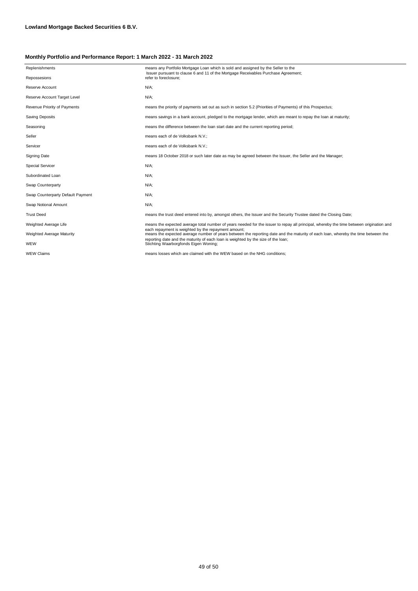| Replenishments                    | means any Portfolio Mortgage Loan which is sold and assigned by the Seller to the<br>Issuer pursuant to clause 6 and 11 of the Mortgage Receivables Purchase Agreement;                  |
|-----------------------------------|------------------------------------------------------------------------------------------------------------------------------------------------------------------------------------------|
| Repossesions                      | refer to foreclosure:                                                                                                                                                                    |
| Reserve Account                   | $N/A$ ;                                                                                                                                                                                  |
| Reserve Account Target Level      | N/A;                                                                                                                                                                                     |
| Revenue Priority of Payments      | means the priority of payments set out as such in section 5.2 (Priorities of Payments) of this Prospectus;                                                                               |
| Saving Deposits                   | means savings in a bank account, pledged to the mortgage lender, which are meant to repay the loan at maturity;                                                                          |
| Seasoning                         | means the difference between the loan start date and the current reporting period;                                                                                                       |
| Seller                            | means each of de Volksbank N.V.;                                                                                                                                                         |
| Servicer                          | means each of de Volksbank N.V.;                                                                                                                                                         |
| <b>Signing Date</b>               | means 18 October 2018 or such later date as may be agreed between the Issuer, the Seller and the Manager;                                                                                |
| <b>Special Servicer</b>           | N/A;                                                                                                                                                                                     |
| Subordinated Loan                 | $N/A$ ;                                                                                                                                                                                  |
| Swap Counterparty                 | $N/A$ ;                                                                                                                                                                                  |
| Swap Counterparty Default Payment | $N/A$ ;                                                                                                                                                                                  |
| Swap Notional Amount              | N/A;                                                                                                                                                                                     |
| <b>Trust Deed</b>                 | means the trust deed entered into by, amongst others, the Issuer and the Security Trustee dated the Closing Date;                                                                        |
| Weighted Average Life             | means the expected average total number of years needed for the issuer to repay all principal, whereby the time between origination and                                                  |
| Weighted Average Maturity         | each repayment is weighted by the repayment amount;<br>means the expected average number of years between the reporting date and the maturity of each loan, whereby the time between the |
| WEW                               | reporting date and the maturity of each loan is weighted by the size of the loan;<br>Stichting Waarborgfonds Eigen Woning;                                                               |
| <b>WEW Claims</b>                 | means losses which are claimed with the WEW based on the NHG conditions;                                                                                                                 |